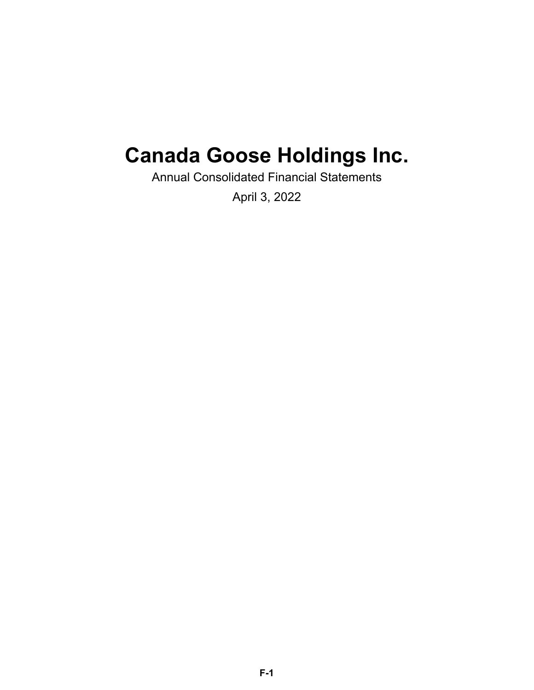# **Canada Goose Holdings Inc.**

Annual Consolidated Financial Statements

April 3, 2022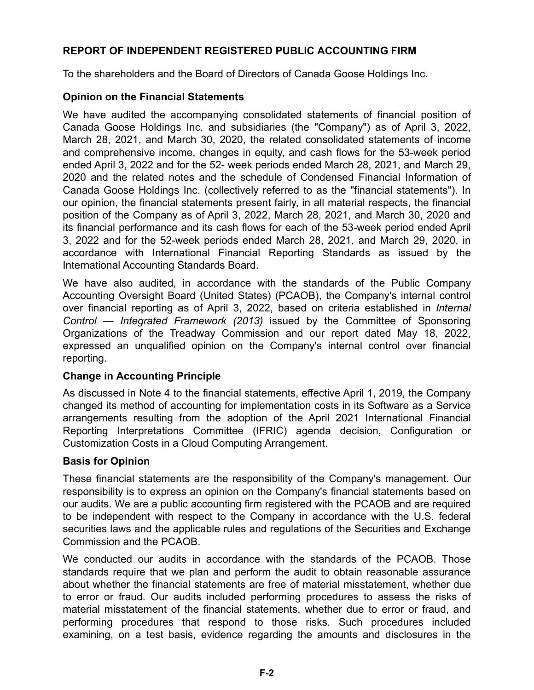### **REPORT OF INDEPENDENT REGISTERED PUBLIC ACCOUNTING FIRM**

To the shareholders and the Board of Directors of Canada Goose Holdings Inc.

### **Opinion on the Financial Statements**

We have audited the accompanying consolidated statements of financial position of Canada Goose Holdings Inc. and subsidiaries (the "Company") as of April 3, 2022, March 28, 2021, and March 30, 2020, the related consolidated statements of income and comprehensive income, changes in equity, and cash flows for the 53-week period ended April 3, 2022 and for the 52- week periods ended March 28, 2021, and March 29, 2020 and the related notes and the schedule of Condensed Financial Information of Canada Goose Holdings Inc. (collectively referred to as the "financial statements"). In our opinion, the financial statements present fairly, in all material respects, the financial position of the Company as of April 3, 2022, March 28, 2021, and March 30, 2020 and its financial performance and its cash flows for each of the 53-week period ended April 3, 2022 and for the 52-week periods ended March 28, 2021, and March 29, 2020, in accordance with International Financial Reporting Standards as issued by the International Accounting Standards Board.

We have also audited, in accordance with the standards of the Public Company Accounting Oversight Board (United States) (PCAOB), the Company's internal control over financial reporting as of April 3, 2022, based on criteria established in *Internal Control — Integrated Framework (2013)* issued by the Committee of Sponsoring Organizations of the Treadway Commission and our report dated May 18, 2022, expressed an unqualified opinion on the Company's internal control over financial reporting.

### **Change in Accounting Principle**

As discussed in Note 4 to the financial statements, effective April 1, 2019, the Company changed its method of accounting for implementation costs in its Software as a Service arrangements resulting from the adoption of the April 2021 International Financial Reporting Interpretations Committee (IFRIC) agenda decision, Configuration or Customization Costs in a Cloud Computing Arrangement.

### **Basis for Opinion**

These financial statements are the responsibility of the Company's management. Our responsibility is to express an opinion on the Company's financial statements based on our audits. We are a public accounting firm registered with the PCAOB and are required to be independent with respect to the Company in accordance with the U.S. federal securities laws and the applicable rules and regulations of the Securities and Exchange Commission and the PCAOB.

We conducted our audits in accordance with the standards of the PCAOB. Those standards require that we plan and perform the audit to obtain reasonable assurance about whether the financial statements are free of material misstatement, whether due to error or fraud. Our audits included performing procedures to assess the risks of material misstatement of the financial statements, whether due to error or fraud, and performing procedures that respond to those risks. Such procedures included examining, on a test basis, evidence regarding the amounts and disclosures in the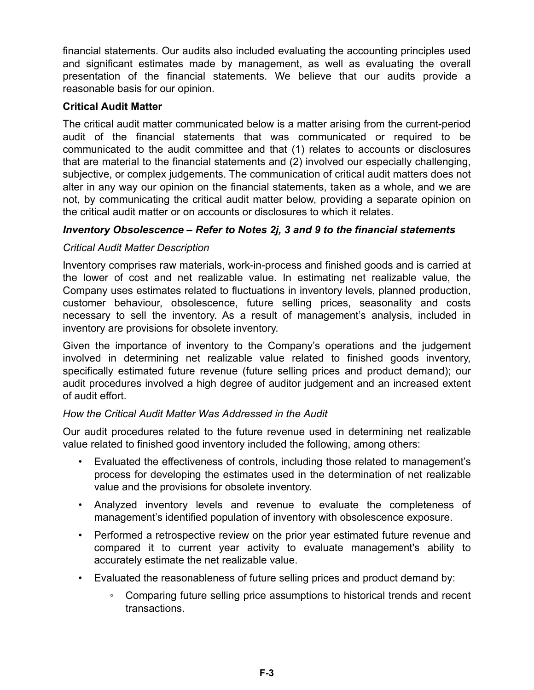financial statements. Our audits also included evaluating the accounting principles used and significant estimates made by management, as well as evaluating the overall presentation of the financial statements. We believe that our audits provide a reasonable basis for our opinion.

### **Critical Audit Matter**

The critical audit matter communicated below is a matter arising from the current-period audit of the financial statements that was communicated or required to be communicated to the audit committee and that (1) relates to accounts or disclosures that are material to the financial statements and (2) involved our especially challenging, subjective, or complex judgements. The communication of critical audit matters does not alter in any way our opinion on the financial statements, taken as a whole, and we are not, by communicating the critical audit matter below, providing a separate opinion on the critical audit matter or on accounts or disclosures to which it relates.

### *Inventory Obsolescence – Refer to Notes 2j, 3 and 9 to the financial statements*

### *Critical Audit Matter Description*

Inventory comprises raw materials, work-in-process and finished goods and is carried at the lower of cost and net realizable value. In estimating net realizable value, the Company uses estimates related to fluctuations in inventory levels, planned production, customer behaviour, obsolescence, future selling prices, seasonality and costs necessary to sell the inventory. As a result of management's analysis, included in inventory are provisions for obsolete inventory.

Given the importance of inventory to the Company's operations and the judgement involved in determining net realizable value related to finished goods inventory, specifically estimated future revenue (future selling prices and product demand); our audit procedures involved a high degree of auditor judgement and an increased extent of audit effort.

### *How the Critical Audit Matter Was Addressed in the Audit*

Our audit procedures related to the future revenue used in determining net realizable value related to finished good inventory included the following, among others:

- Evaluated the effectiveness of controls, including those related to management's process for developing the estimates used in the determination of net realizable value and the provisions for obsolete inventory.
- Analyzed inventory levels and revenue to evaluate the completeness of management's identified population of inventory with obsolescence exposure.
- Performed a retrospective review on the prior year estimated future revenue and compared it to current year activity to evaluate management's ability to accurately estimate the net realizable value.
- Evaluated the reasonableness of future selling prices and product demand by:
	- Comparing future selling price assumptions to historical trends and recent transactions.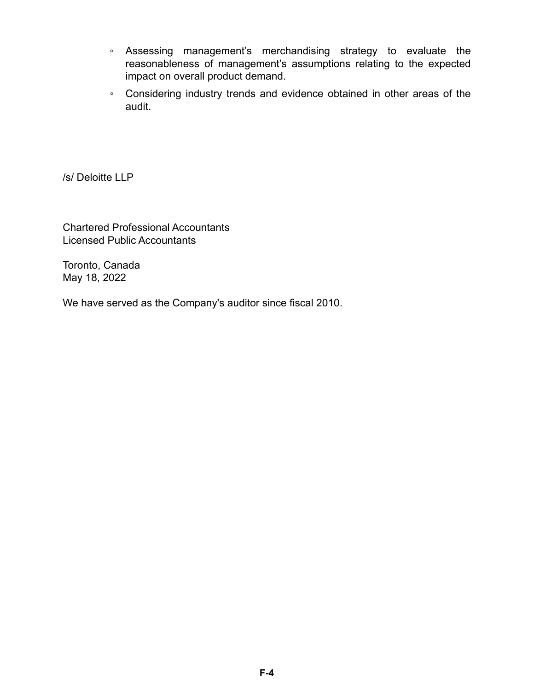- Assessing management's merchandising strategy to evaluate the reasonableness of management's assumptions relating to the expected impact on overall product demand.
- Considering industry trends and evidence obtained in other areas of the audit.

/s/ Deloitte LLP

Chartered Professional Accountants Licensed Public Accountants

Toronto, Canada May 18, 2022

We have served as the Company's auditor since fiscal 2010.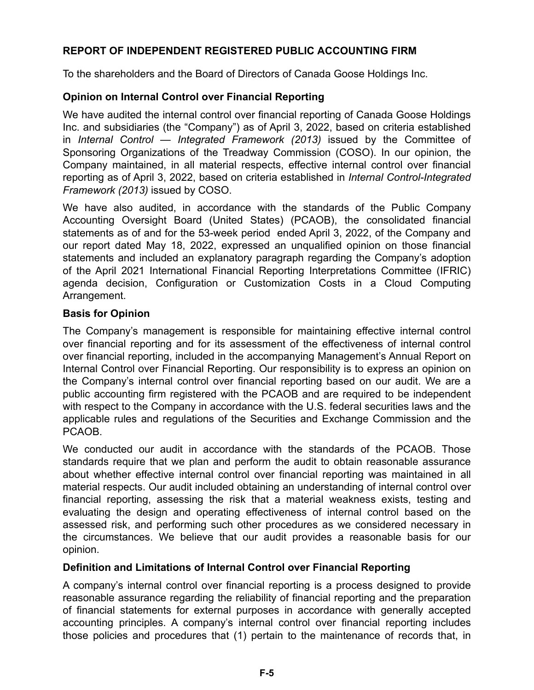### **REPORT OF INDEPENDENT REGISTERED PUBLIC ACCOUNTING FIRM**

To the shareholders and the Board of Directors of Canada Goose Holdings Inc.

### **Opinion on Internal Control over Financial Reporting**

We have audited the internal control over financial reporting of Canada Goose Holdings Inc. and subsidiaries (the "Company") as of April 3, 2022, based on criteria established in *Internal Control — Integrated Framework (2013)* issued by the Committee of Sponsoring Organizations of the Treadway Commission (COSO). In our opinion, the Company maintained, in all material respects, effective internal control over financial reporting as of April 3, 2022, based on criteria established in *Internal Control-Integrated Framework (2013)* issued by COSO.

We have also audited, in accordance with the standards of the Public Company Accounting Oversight Board (United States) (PCAOB), the consolidated financial statements as of and for the 53-week period ended April 3, 2022, of the Company and our report dated May 18, 2022, expressed an unqualified opinion on those financial statements and included an explanatory paragraph regarding the Company's adoption of the April 2021 International Financial Reporting Interpretations Committee (IFRIC) agenda decision, Configuration or Customization Costs in a Cloud Computing Arrangement.

### **Basis for Opinion**

The Company's management is responsible for maintaining effective internal control over financial reporting and for its assessment of the effectiveness of internal control over financial reporting, included in the accompanying Management's Annual Report on Internal Control over Financial Reporting. Our responsibility is to express an opinion on the Company's internal control over financial reporting based on our audit. We are a public accounting firm registered with the PCAOB and are required to be independent with respect to the Company in accordance with the U.S. federal securities laws and the applicable rules and regulations of the Securities and Exchange Commission and the PCAOB.

We conducted our audit in accordance with the standards of the PCAOB. Those standards require that we plan and perform the audit to obtain reasonable assurance about whether effective internal control over financial reporting was maintained in all material respects. Our audit included obtaining an understanding of internal control over financial reporting, assessing the risk that a material weakness exists, testing and evaluating the design and operating effectiveness of internal control based on the assessed risk, and performing such other procedures as we considered necessary in the circumstances. We believe that our audit provides a reasonable basis for our opinion.

### **Definition and Limitations of Internal Control over Financial Reporting**

A company's internal control over financial reporting is a process designed to provide reasonable assurance regarding the reliability of financial reporting and the preparation of financial statements for external purposes in accordance with generally accepted accounting principles. A company's internal control over financial reporting includes those policies and procedures that (1) pertain to the maintenance of records that, in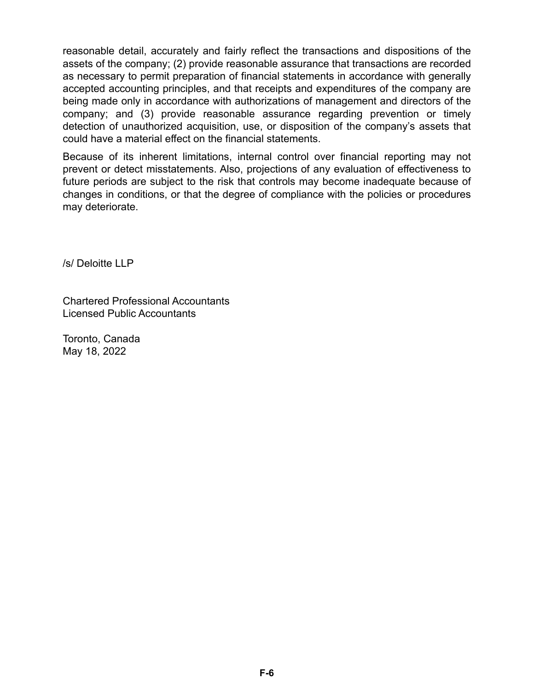reasonable detail, accurately and fairly reflect the transactions and dispositions of the assets of the company; (2) provide reasonable assurance that transactions are recorded as necessary to permit preparation of financial statements in accordance with generally accepted accounting principles, and that receipts and expenditures of the company are being made only in accordance with authorizations of management and directors of the company; and (3) provide reasonable assurance regarding prevention or timely detection of unauthorized acquisition, use, or disposition of the company's assets that could have a material effect on the financial statements.

Because of its inherent limitations, internal control over financial reporting may not prevent or detect misstatements. Also, projections of any evaluation of effectiveness to future periods are subject to the risk that controls may become inadequate because of changes in conditions, or that the degree of compliance with the policies or procedures may deteriorate.

/s/ Deloitte LLP

Chartered Professional Accountants Licensed Public Accountants

Toronto, Canada May 18, 2022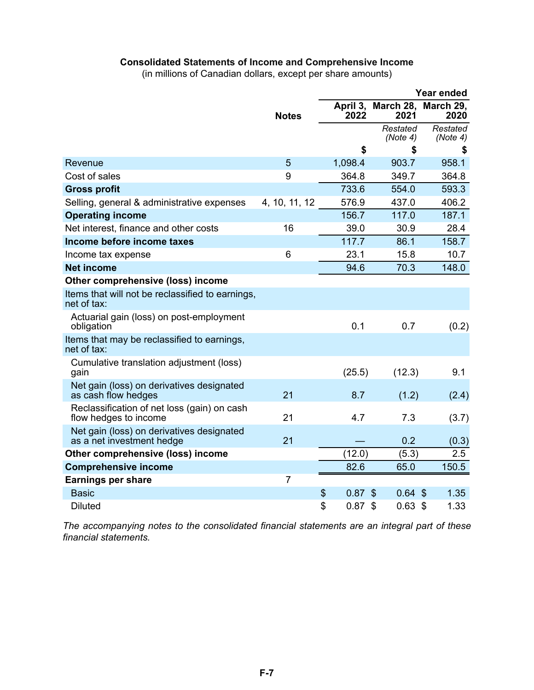### **Consolidated Statements of Income and Comprehensive Income**

(in millions of Canadian dollars, except per share amounts)

|                                                                        |               | Year ended       |                                        |                      |  |
|------------------------------------------------------------------------|---------------|------------------|----------------------------------------|----------------------|--|
|                                                                        | <b>Notes</b>  | April 3,<br>2022 | March 28,<br>2021                      | March 29,<br>2020    |  |
|                                                                        |               |                  | Restated<br>(Note 4)                   | Restated<br>(Note 4) |  |
|                                                                        |               | \$               | \$                                     | \$                   |  |
| Revenue                                                                | 5             | 1,098.4          | 903.7                                  | 958.1                |  |
| Cost of sales                                                          | 9             | 364.8            | 349.7                                  | 364.8                |  |
| <b>Gross profit</b>                                                    |               | 733.6            | 554.0                                  | 593.3                |  |
| Selling, general & administrative expenses                             | 4, 10, 11, 12 | 576.9            | 437.0                                  | 406.2                |  |
| <b>Operating income</b>                                                |               | 156.7            | 117.0                                  | 187.1                |  |
| Net interest, finance and other costs                                  | 16            | 39.0             | 30.9                                   | 28.4                 |  |
| Income before income taxes                                             |               | 117.7            | 86.1                                   | 158.7                |  |
| Income tax expense                                                     | 6             | 23.1             | 15.8                                   | 10.7                 |  |
| <b>Net income</b>                                                      |               | 94.6             | 70.3                                   | 148.0                |  |
| Other comprehensive (loss) income                                      |               |                  |                                        |                      |  |
| Items that will not be reclassified to earnings,<br>net of tax:        |               |                  |                                        |                      |  |
| Actuarial gain (loss) on post-employment<br>obligation                 |               | 0.1              | 0.7                                    | (0.2)                |  |
| Items that may be reclassified to earnings,<br>net of tax:             |               |                  |                                        |                      |  |
| Cumulative translation adjustment (loss)<br>gain                       |               | (25.5)           | (12.3)                                 | 9.1                  |  |
| Net gain (loss) on derivatives designated<br>as cash flow hedges       | 21            | 8.7              | (1.2)                                  | (2.4)                |  |
| Reclassification of net loss (gain) on cash<br>flow hedges to income   | 21            | 4.7              | 7.3                                    | (3.7)                |  |
| Net gain (loss) on derivatives designated<br>as a net investment hedge | 21            |                  | 0.2                                    | (0.3)                |  |
| Other comprehensive (loss) income                                      |               | (12.0)           | (5.3)                                  | 2.5                  |  |
| <b>Comprehensive income</b>                                            |               | 82.6             | 65.0                                   | 150.5                |  |
| <b>Earnings per share</b>                                              | 7             |                  |                                        |                      |  |
| <b>Basic</b>                                                           |               | \$<br>0.87       | $\boldsymbol{\mathsf{S}}$<br>$0.64$ \$ | 1.35                 |  |
| <b>Diluted</b>                                                         |               | \$<br>0.87       | \$<br>$0.63$ \$                        | 1.33                 |  |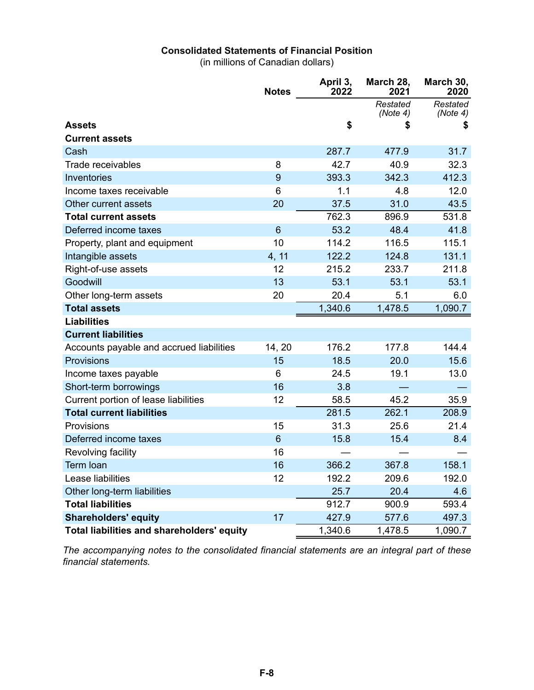### **Consolidated Statements of Financial Position**

(in millions of Canadian dollars)

|                                            | <b>Notes</b>    | April 3,<br>2022 | March 28,<br>2021    | March 30,<br>2020    |
|--------------------------------------------|-----------------|------------------|----------------------|----------------------|
|                                            |                 |                  | Restated<br>(Note 4) | Restated<br>(Note 4) |
| <b>Assets</b>                              |                 | \$               |                      | \$                   |
| <b>Current assets</b>                      |                 |                  |                      |                      |
| Cash                                       |                 | 287.7            | 477.9                | 31.7                 |
| Trade receivables                          | 8               | 42.7             | 40.9                 | 32.3                 |
| Inventories                                | 9               | 393.3            | 342.3                | 412.3                |
| Income taxes receivable                    | 6               | 1.1              | 4.8                  | 12.0                 |
| Other current assets                       | 20              | 37.5             | 31.0                 | 43.5                 |
| <b>Total current assets</b>                |                 | 762.3            | 896.9                | 531.8                |
| Deferred income taxes                      | $6\phantom{1}6$ | 53.2             | 48.4                 | 41.8                 |
| Property, plant and equipment              | 10              | 114.2            | 116.5                | 115.1                |
| Intangible assets                          | 4, 11           | 122.2            | 124.8                | 131.1                |
| Right-of-use assets                        | 12              | 215.2            | 233.7                | 211.8                |
| Goodwill                                   | 13              | 53.1             | 53.1                 | 53.1                 |
| Other long-term assets                     | 20              | 20.4             | 5.1                  | 6.0                  |
| <b>Total assets</b>                        |                 | 1,340.6          | 1,478.5              | 1,090.7              |
| <b>Liabilities</b>                         |                 |                  |                      |                      |
| <b>Current liabilities</b>                 |                 |                  |                      |                      |
| Accounts payable and accrued liabilities   | 14, 20          | 176.2            | 177.8                | 144.4                |
| <b>Provisions</b>                          | 15              | 18.5             | 20.0                 | 15.6                 |
| Income taxes payable                       | 6               | 24.5             | 19.1                 | 13.0                 |
| Short-term borrowings                      | 16              | 3.8              |                      |                      |
| Current portion of lease liabilities       | 12              | 58.5             | 45.2                 | 35.9                 |
| <b>Total current liabilities</b>           |                 | 281.5            | 262.1                | 208.9                |
| Provisions                                 | 15              | 31.3             | 25.6                 | 21.4                 |
| Deferred income taxes                      | 6               | 15.8             | 15.4                 | 8.4                  |
| Revolving facility                         | 16              |                  |                      |                      |
| Term Ioan                                  | 16              | 366.2            | 367.8                | 158.1                |
| Lease liabilities                          | 12              | 192.2            | 209.6                | 192.0                |
| Other long-term liabilities                |                 | 25.7             | 20.4                 | 4.6                  |
| <b>Total liabilities</b>                   |                 | 912.7            | 900.9                | 593.4                |
| <b>Shareholders' equity</b>                | 17              | 427.9            | 577.6                | 497.3                |
| Total liabilities and shareholders' equity |                 | 1,340.6          | 1,478.5              | 1,090.7              |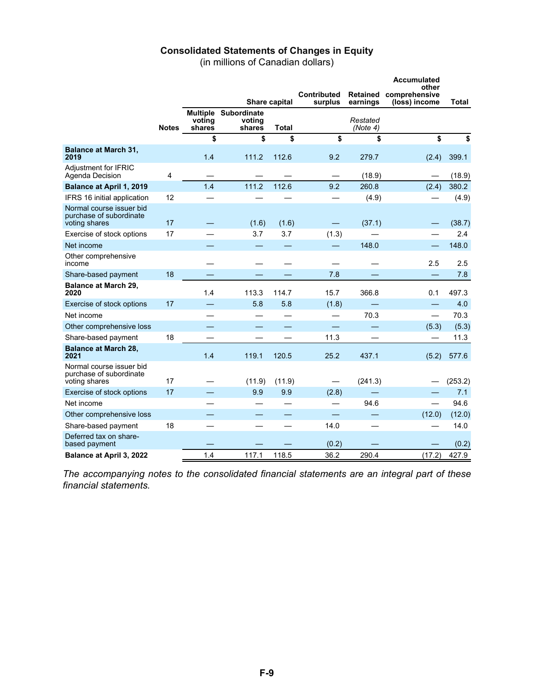#### **Consolidated Statements of Changes in Equity**

(in millions of Canadian dollars)

|                                                                      |              |                                     |                                 |              |                        | <b>Accumulated</b><br>other |                                |         |  |
|----------------------------------------------------------------------|--------------|-------------------------------------|---------------------------------|--------------|------------------------|-----------------------------|--------------------------------|---------|--|
|                                                                      |              | <b>Share capital</b>                |                                 |              | Contributed<br>surplus | <b>Retained</b><br>earnings | comprehensive<br>(loss) income | Total   |  |
|                                                                      | <b>Notes</b> | <b>Multiple</b><br>voting<br>shares | Subordinate<br>votina<br>shares | <b>Total</b> |                        | Restated<br>(Note 4)        |                                |         |  |
|                                                                      |              | \$                                  | \$                              | \$           | \$                     | \$                          | \$                             | \$      |  |
| <b>Balance at March 31,</b><br>2019                                  |              | 1.4                                 | 111.2                           | 112.6        | 9.2                    | 279.7                       | (2.4)                          | 399.1   |  |
| Adjustment for IFRIC<br>Agenda Decision                              | 4            |                                     |                                 |              |                        | (18.9)                      |                                | (18.9)  |  |
| <b>Balance at April 1, 2019</b>                                      |              | 1.4                                 | 111.2                           | 112.6        | 9.2                    | 260.8                       | (2.4)                          | 380.2   |  |
| IFRS 16 initial application                                          | 12           |                                     |                                 |              |                        | (4.9)                       |                                | (4.9)   |  |
| Normal course issuer bid<br>purchase of subordinate<br>voting shares | 17           |                                     | (1.6)                           | (1.6)        |                        | (37.1)                      |                                | (38.7)  |  |
| Exercise of stock options                                            | 17           |                                     | 3.7                             | 3.7          | (1.3)                  |                             |                                | 2.4     |  |
| Net income                                                           |              |                                     |                                 |              |                        | 148.0                       |                                | 148.0   |  |
| Other comprehensive<br>income                                        |              |                                     |                                 |              |                        |                             | 2.5                            | 2.5     |  |
| Share-based payment                                                  | 18           |                                     |                                 |              | 7.8                    |                             |                                | 7.8     |  |
| <b>Balance at March 29,</b><br>2020                                  |              | 1.4                                 | 113.3                           | 114.7        | 15.7                   | 366.8                       | 0.1                            | 497.3   |  |
| Exercise of stock options                                            | 17           |                                     | 5.8                             | 5.8          | (1.8)                  |                             | —                              | 4.0     |  |
| Net income                                                           |              |                                     |                                 |              |                        | 70.3                        | $\overline{\phantom{0}}$       | 70.3    |  |
| Other comprehensive loss                                             |              |                                     |                                 |              |                        |                             | (5.3)                          | (5.3)   |  |
| Share-based payment                                                  | 18           |                                     |                                 |              | 11.3                   |                             |                                | 11.3    |  |
| <b>Balance at March 28,</b><br>2021                                  |              | 1.4                                 | 119.1                           | 120.5        | 25.2                   | 437.1                       | (5.2)                          | 577.6   |  |
| Normal course issuer bid<br>purchase of subordinate<br>voting shares | 17           |                                     | (11.9)                          | (11.9)       |                        | (241.3)                     |                                | (253.2) |  |
| Exercise of stock options                                            | 17           |                                     | 9.9                             | 9.9          | (2.8)                  |                             |                                | 7.1     |  |
| Net income                                                           |              |                                     |                                 |              |                        | 94.6                        | $\overline{\phantom{0}}$       | 94.6    |  |
| Other comprehensive loss                                             |              |                                     |                                 |              |                        |                             | (12.0)                         | (12.0)  |  |
| Share-based payment                                                  | 18           |                                     |                                 |              | 14.0                   |                             |                                | 14.0    |  |
| Deferred tax on share-<br>based payment                              |              |                                     |                                 |              | (0.2)                  |                             |                                | (0.2)   |  |
| Balance at April 3, 2022                                             |              | 1.4                                 | 117.1                           | 118.5        | 36.2                   | 290.4                       | (17.2)                         | 427.9   |  |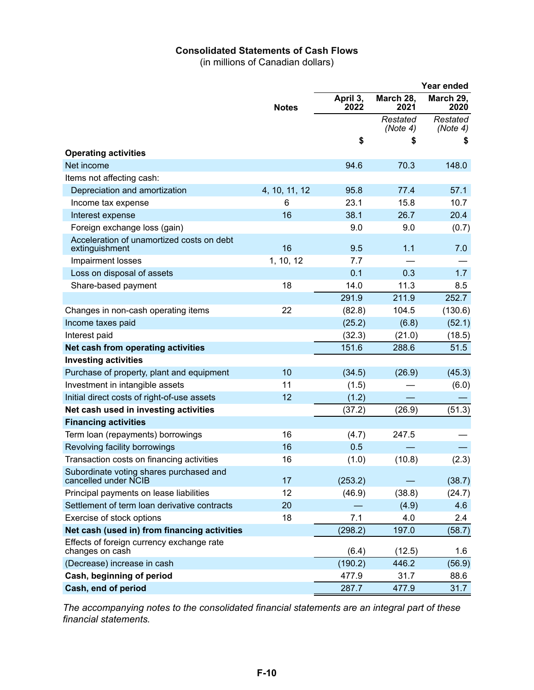### **Consolidated Statements of Cash Flows**

(in millions of Canadian dollars)

|                                                                 |               |                  |                      | Year ended           |
|-----------------------------------------------------------------|---------------|------------------|----------------------|----------------------|
|                                                                 | <b>Notes</b>  | April 3,<br>2022 | March 28,<br>2021    | March 29,<br>2020    |
|                                                                 |               |                  | Restated<br>(Note 4) | Restated<br>(Note 4) |
|                                                                 |               | \$               | 5                    | S                    |
| <b>Operating activities</b>                                     |               |                  |                      |                      |
| Net income                                                      |               | 94.6             | 70.3                 | 148.0                |
| Items not affecting cash:                                       |               |                  |                      |                      |
| Depreciation and amortization                                   | 4, 10, 11, 12 | 95.8             | 77.4                 | 57.1                 |
| Income tax expense                                              | 6             | 23.1             | 15.8                 | 10.7                 |
| Interest expense                                                | 16            | 38.1             | 26.7                 | 20.4                 |
| Foreign exchange loss (gain)                                    |               | 9.0              | 9.0                  | (0.7)                |
| Acceleration of unamortized costs on debt<br>extinguishment     | 16            | 9.5              | 1.1                  | 7.0                  |
| Impairment losses                                               | 1, 10, 12     | 7.7              |                      |                      |
| Loss on disposal of assets                                      |               | 0.1              | 0.3                  | 1.7                  |
| Share-based payment                                             | 18            | 14.0             | 11.3                 | 8.5                  |
|                                                                 |               | 291.9            | 211.9                | 252.7                |
| Changes in non-cash operating items                             | 22            | (82.8)           | 104.5                | (130.6)              |
| Income taxes paid                                               |               | (25.2)           | (6.8)                | (52.1)               |
| Interest paid                                                   |               | (32.3)           | (21.0)               | (18.5)               |
| Net cash from operating activities                              |               | 151.6            | 288.6                | 51.5                 |
| <b>Investing activities</b>                                     |               |                  |                      |                      |
| Purchase of property, plant and equipment                       | 10            | (34.5)           | (26.9)               | (45.3)               |
| Investment in intangible assets                                 | 11            | (1.5)            |                      | (6.0)                |
| Initial direct costs of right-of-use assets                     | 12            | (1.2)            |                      |                      |
| Net cash used in investing activities                           |               | (37.2)           | (26.9)               | (51.3)               |
| <b>Financing activities</b>                                     |               |                  |                      |                      |
| Term loan (repayments) borrowings                               | 16            | (4.7)            | 247.5                |                      |
| Revolving facility borrowings                                   | 16            | 0.5              |                      |                      |
| Transaction costs on financing activities                       | 16            | (1.0)            | (10.8)               | (2.3)                |
| Subordinate voting shares purchased and<br>cancelled under NCIB | 17            | (253.2)          |                      | (38.7)               |
| Principal payments on lease liabilities                         | 12            | (46.9)           | (38.8)               | (24.7)               |
| Settlement of term loan derivative contracts                    | 20            |                  | (4.9)                | 4.6                  |
| Exercise of stock options                                       | 18            | 7.1              | 4.0                  | 2.4                  |
| Net cash (used in) from financing activities                    |               | (298.2)          | 197.0                | (58.7)               |
| Effects of foreign currency exchange rate<br>changes on cash    |               | (6.4)            | (12.5)               | 1.6                  |
| (Decrease) increase in cash                                     |               | (190.2)          | 446.2                | (56.9)               |
| Cash, beginning of period                                       |               | 477.9            | 31.7                 | 88.6                 |
| Cash, end of period                                             |               | 287.7            | 477.9                | 31.7                 |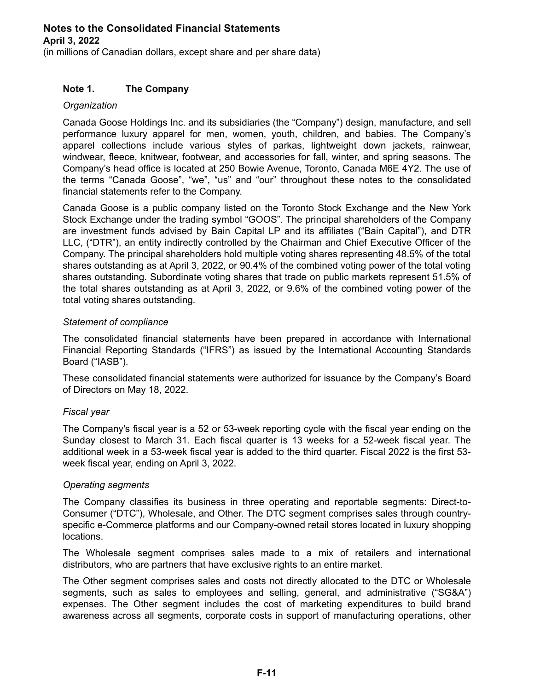(in millions of Canadian dollars, except share and per share data)

### **Note 1. The Company**

### *Organization*

Canada Goose Holdings Inc. and its subsidiaries (the "Company") design, manufacture, and sell performance luxury apparel for men, women, youth, children, and babies. The Company's apparel collections include various styles of parkas, lightweight down jackets, rainwear, windwear, fleece, knitwear, footwear, and accessories for fall, winter, and spring seasons. The Company's head office is located at 250 Bowie Avenue, Toronto, Canada M6E 4Y2. The use of the terms "Canada Goose", "we", "us" and "our" throughout these notes to the consolidated financial statements refer to the Company.

Canada Goose is a public company listed on the Toronto Stock Exchange and the New York Stock Exchange under the trading symbol "GOOS". The principal shareholders of the Company are investment funds advised by Bain Capital LP and its affiliates ("Bain Capital"), and DTR LLC, ("DTR"), an entity indirectly controlled by the Chairman and Chief Executive Officer of the Company. The principal shareholders hold multiple voting shares representing 48.5% of the total shares outstanding as at April 3, 2022, or 90.4% of the combined voting power of the total voting shares outstanding. Subordinate voting shares that trade on public markets represent 51.5% of the total shares outstanding as at April 3, 2022, or 9.6% of the combined voting power of the total voting shares outstanding.

### *Statement of compliance*

The consolidated financial statements have been prepared in accordance with International Financial Reporting Standards ("IFRS") as issued by the International Accounting Standards Board ("IASB").

These consolidated financial statements were authorized for issuance by the Company's Board of Directors on May 18, 2022.

### *Fiscal year*

The Company's fiscal year is a 52 or 53-week reporting cycle with the fiscal year ending on the Sunday closest to March 31. Each fiscal quarter is 13 weeks for a 52-week fiscal year. The additional week in a 53-week fiscal year is added to the third quarter. Fiscal 2022 is the first 53 week fiscal year, ending on April 3, 2022.

#### *Operating segments*

The Company classifies its business in three operating and reportable segments: Direct-to-Consumer ("DTC"), Wholesale, and Other. The DTC segment comprises sales through countryspecific e-Commerce platforms and our Company-owned retail stores located in luxury shopping locations.

The Wholesale segment comprises sales made to a mix of retailers and international distributors, who are partners that have exclusive rights to an entire market.

The Other segment comprises sales and costs not directly allocated to the DTC or Wholesale segments, such as sales to employees and selling, general, and administrative ("SG&A") expenses. The Other segment includes the cost of marketing expenditures to build brand awareness across all segments, corporate costs in support of manufacturing operations, other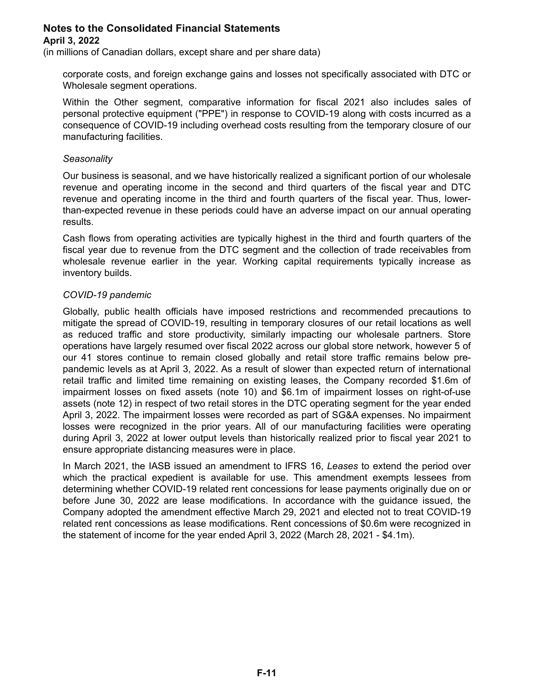(in millions of Canadian dollars, except share and per share data)

corporate costs, and foreign exchange gains and losses not specifically associated with DTC or Wholesale segment operations.

Within the Other segment, comparative information for fiscal 2021 also includes sales of personal protective equipment ("PPE") in response to COVID-19 along with costs incurred as a consequence of COVID-19 including overhead costs resulting from the temporary closure of our manufacturing facilities.

#### *Seasonality*

Our business is seasonal, and we have historically realized a significant portion of our wholesale revenue and operating income in the second and third quarters of the fiscal year and DTC revenue and operating income in the third and fourth quarters of the fiscal year. Thus, lowerthan-expected revenue in these periods could have an adverse impact on our annual operating results.

Cash flows from operating activities are typically highest in the third and fourth quarters of the fiscal year due to revenue from the DTC segment and the collection of trade receivables from wholesale revenue earlier in the year. Working capital requirements typically increase as inventory builds.

### *COVID-19 pandemic*

Globally, public health officials have imposed restrictions and recommended precautions to mitigate the spread of COVID-19, resulting in temporary closures of our retail locations as well as reduced traffic and store productivity, similarly impacting our wholesale partners. Store operations have largely resumed over fiscal 2022 across our global store network, however 5 of our 41 stores continue to remain closed globally and retail store traffic remains below prepandemic levels as at April 3, 2022. As a result of slower than expected return of international retail traffic and limited time remaining on existing leases, the Company recorded \$1.6m of impairment losses on fixed assets (note 10) and \$6.1m of impairment losses on right-of-use assets (note 12) in respect of two retail stores in the DTC operating segment for the year ended April 3, 2022. The impairment losses were recorded as part of SG&A expenses. No impairment losses were recognized in the prior years. All of our manufacturing facilities were operating during April 3, 2022 at lower output levels than historically realized prior to fiscal year 2021 to ensure appropriate distancing measures were in place.

In March 2021, the IASB issued an amendment to IFRS 16, *Leases* to extend the period over which the practical expedient is available for use. This amendment exempts lessees from determining whether COVID-19 related rent concessions for lease payments originally due on or before June 30, 2022 are lease modifications. In accordance with the guidance issued, the Company adopted the amendment effective March 29, 2021 and elected not to treat COVID-19 related rent concessions as lease modifications. Rent concessions of \$0.6m were recognized in the statement of income for the year ended April 3, 2022 (March 28, 2021 - \$4.1m).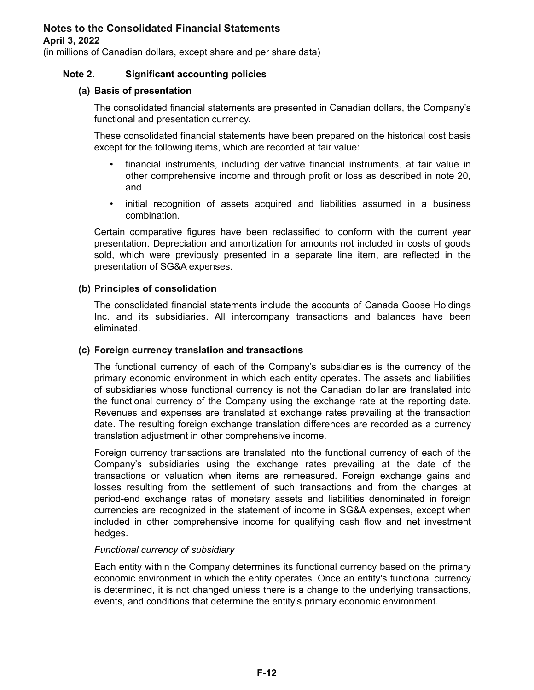(in millions of Canadian dollars, except share and per share data)

### **Note 2. Significant accounting policies**

#### **(a) Basis of presentation**

The consolidated financial statements are presented in Canadian dollars, the Company's functional and presentation currency.

These consolidated financial statements have been prepared on the historical cost basis except for the following items, which are recorded at fair value:

- financial instruments, including derivative financial instruments, at fair value in other comprehensive income and through profit or loss as described in note 20, and
- initial recognition of assets acquired and liabilities assumed in a business combination.

Certain comparative figures have been reclassified to conform with the current year presentation. Depreciation and amortization for amounts not included in costs of goods sold, which were previously presented in a separate line item, are reflected in the presentation of SG&A expenses.

#### **(b) Principles of consolidation**

The consolidated financial statements include the accounts of Canada Goose Holdings Inc. and its subsidiaries. All intercompany transactions and balances have been eliminated.

#### **(c) Foreign currency translation and transactions**

The functional currency of each of the Company's subsidiaries is the currency of the primary economic environment in which each entity operates. The assets and liabilities of subsidiaries whose functional currency is not the Canadian dollar are translated into the functional currency of the Company using the exchange rate at the reporting date. Revenues and expenses are translated at exchange rates prevailing at the transaction date. The resulting foreign exchange translation differences are recorded as a currency translation adjustment in other comprehensive income.

Foreign currency transactions are translated into the functional currency of each of the Company's subsidiaries using the exchange rates prevailing at the date of the transactions or valuation when items are remeasured. Foreign exchange gains and losses resulting from the settlement of such transactions and from the changes at period-end exchange rates of monetary assets and liabilities denominated in foreign currencies are recognized in the statement of income in SG&A expenses, except when included in other comprehensive income for qualifying cash flow and net investment hedges.

#### *Functional currency of subsidiary*

Each entity within the Company determines its functional currency based on the primary economic environment in which the entity operates. Once an entity's functional currency is determined, it is not changed unless there is a change to the underlying transactions, events, and conditions that determine the entity's primary economic environment.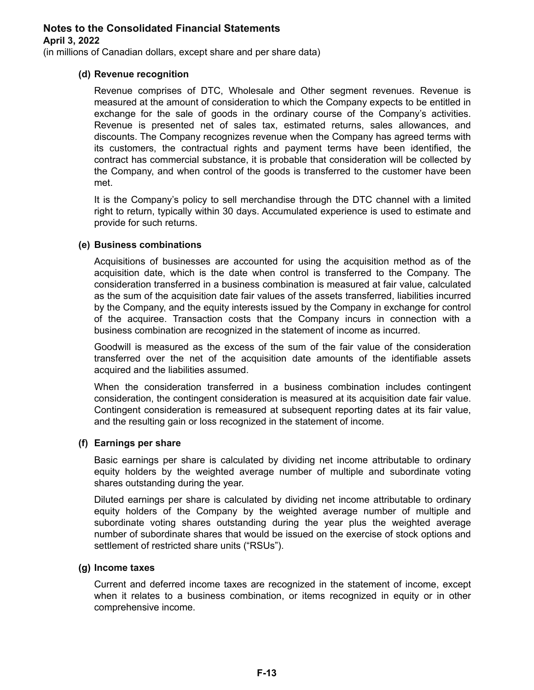(in millions of Canadian dollars, except share and per share data)

### **(d) Revenue recognition**

Revenue comprises of DTC, Wholesale and Other segment revenues. Revenue is measured at the amount of consideration to which the Company expects to be entitled in exchange for the sale of goods in the ordinary course of the Company's activities. Revenue is presented net of sales tax, estimated returns, sales allowances, and discounts. The Company recognizes revenue when the Company has agreed terms with its customers, the contractual rights and payment terms have been identified, the contract has commercial substance, it is probable that consideration will be collected by the Company, and when control of the goods is transferred to the customer have been met.

It is the Company's policy to sell merchandise through the DTC channel with a limited right to return, typically within 30 days. Accumulated experience is used to estimate and provide for such returns.

### **(e) Business combinations**

Acquisitions of businesses are accounted for using the acquisition method as of the acquisition date, which is the date when control is transferred to the Company. The consideration transferred in a business combination is measured at fair value, calculated as the sum of the acquisition date fair values of the assets transferred, liabilities incurred by the Company, and the equity interests issued by the Company in exchange for control of the acquiree. Transaction costs that the Company incurs in connection with a business combination are recognized in the statement of income as incurred.

Goodwill is measured as the excess of the sum of the fair value of the consideration transferred over the net of the acquisition date amounts of the identifiable assets acquired and the liabilities assumed.

When the consideration transferred in a business combination includes contingent consideration, the contingent consideration is measured at its acquisition date fair value. Contingent consideration is remeasured at subsequent reporting dates at its fair value, and the resulting gain or loss recognized in the statement of income.

#### **(f) Earnings per share**

Basic earnings per share is calculated by dividing net income attributable to ordinary equity holders by the weighted average number of multiple and subordinate voting shares outstanding during the year.

Diluted earnings per share is calculated by dividing net income attributable to ordinary equity holders of the Company by the weighted average number of multiple and subordinate voting shares outstanding during the year plus the weighted average number of subordinate shares that would be issued on the exercise of stock options and settlement of restricted share units ("RSUs").

#### **(g) Income taxes**

Current and deferred income taxes are recognized in the statement of income, except when it relates to a business combination, or items recognized in equity or in other comprehensive income.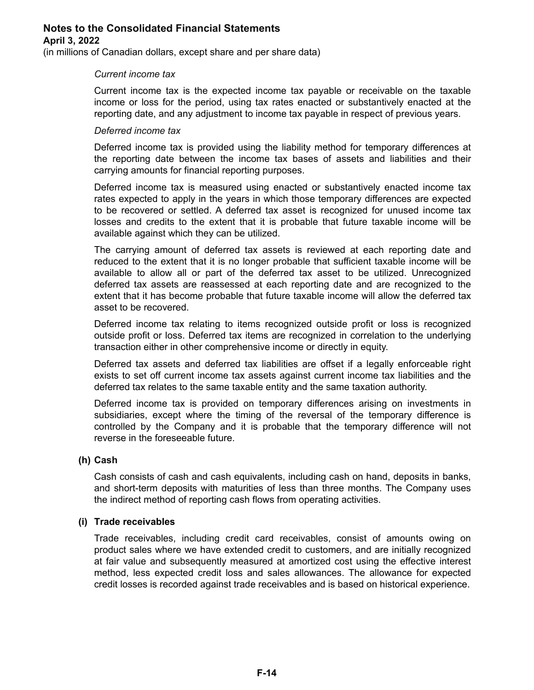(in millions of Canadian dollars, except share and per share data)

#### *Current income tax*

Current income tax is the expected income tax payable or receivable on the taxable income or loss for the period, using tax rates enacted or substantively enacted at the reporting date, and any adjustment to income tax payable in respect of previous years.

#### *Deferred income tax*

Deferred income tax is provided using the liability method for temporary differences at the reporting date between the income tax bases of assets and liabilities and their carrying amounts for financial reporting purposes.

Deferred income tax is measured using enacted or substantively enacted income tax rates expected to apply in the years in which those temporary differences are expected to be recovered or settled. A deferred tax asset is recognized for unused income tax losses and credits to the extent that it is probable that future taxable income will be available against which they can be utilized.

The carrying amount of deferred tax assets is reviewed at each reporting date and reduced to the extent that it is no longer probable that sufficient taxable income will be available to allow all or part of the deferred tax asset to be utilized. Unrecognized deferred tax assets are reassessed at each reporting date and are recognized to the extent that it has become probable that future taxable income will allow the deferred tax asset to be recovered.

Deferred income tax relating to items recognized outside profit or loss is recognized outside profit or loss. Deferred tax items are recognized in correlation to the underlying transaction either in other comprehensive income or directly in equity.

Deferred tax assets and deferred tax liabilities are offset if a legally enforceable right exists to set off current income tax assets against current income tax liabilities and the deferred tax relates to the same taxable entity and the same taxation authority.

Deferred income tax is provided on temporary differences arising on investments in subsidiaries, except where the timing of the reversal of the temporary difference is controlled by the Company and it is probable that the temporary difference will not reverse in the foreseeable future.

### **(h) Cash**

Cash consists of cash and cash equivalents, including cash on hand, deposits in banks, and short-term deposits with maturities of less than three months. The Company uses the indirect method of reporting cash flows from operating activities.

### **(i) Trade receivables**

Trade receivables, including credit card receivables, consist of amounts owing on product sales where we have extended credit to customers, and are initially recognized at fair value and subsequently measured at amortized cost using the effective interest method, less expected credit loss and sales allowances. The allowance for expected credit losses is recorded against trade receivables and is based on historical experience.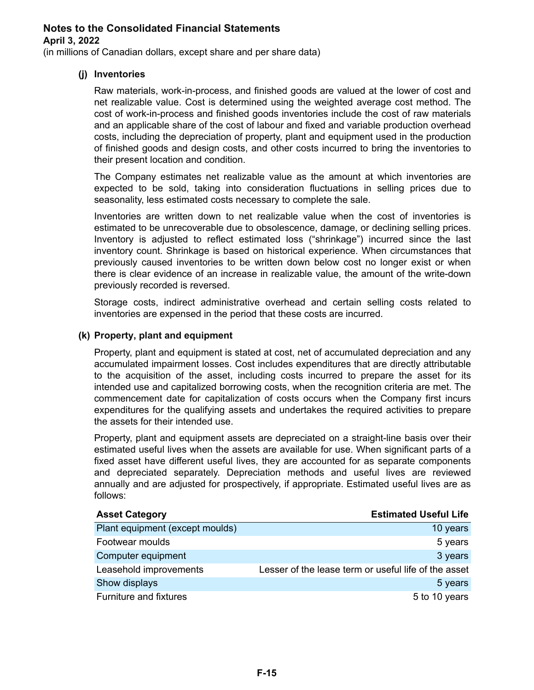(in millions of Canadian dollars, except share and per share data)

### **(j) Inventories**

Raw materials, work-in-process, and finished goods are valued at the lower of cost and net realizable value. Cost is determined using the weighted average cost method. The cost of work-in-process and finished goods inventories include the cost of raw materials and an applicable share of the cost of labour and fixed and variable production overhead costs, including the depreciation of property, plant and equipment used in the production of finished goods and design costs, and other costs incurred to bring the inventories to their present location and condition.

The Company estimates net realizable value as the amount at which inventories are expected to be sold, taking into consideration fluctuations in selling prices due to seasonality, less estimated costs necessary to complete the sale.

Inventories are written down to net realizable value when the cost of inventories is estimated to be unrecoverable due to obsolescence, damage, or declining selling prices. Inventory is adjusted to reflect estimated loss ("shrinkage") incurred since the last inventory count. Shrinkage is based on historical experience. When circumstances that previously caused inventories to be written down below cost no longer exist or when there is clear evidence of an increase in realizable value, the amount of the write-down previously recorded is reversed.

Storage costs, indirect administrative overhead and certain selling costs related to inventories are expensed in the period that these costs are incurred.

### **(k) Property, plant and equipment**

Property, plant and equipment is stated at cost, net of accumulated depreciation and any accumulated impairment losses. Cost includes expenditures that are directly attributable to the acquisition of the asset, including costs incurred to prepare the asset for its intended use and capitalized borrowing costs, when the recognition criteria are met. The commencement date for capitalization of costs occurs when the Company first incurs expenditures for the qualifying assets and undertakes the required activities to prepare the assets for their intended use.

Property, plant and equipment assets are depreciated on a straight-line basis over their estimated useful lives when the assets are available for use. When significant parts of a fixed asset have different useful lives, they are accounted for as separate components and depreciated separately. Depreciation methods and useful lives are reviewed annually and are adjusted for prospectively, if appropriate. Estimated useful lives are as follows:

| <b>Asset Category</b>           | <b>Estimated Useful Life</b>                         |
|---------------------------------|------------------------------------------------------|
| Plant equipment (except moulds) | 10 years                                             |
| Footwear moulds                 | 5 years                                              |
| Computer equipment              | 3 years                                              |
| Leasehold improvements          | Lesser of the lease term or useful life of the asset |
| Show displays                   | 5 years                                              |
| Furniture and fixtures          | 5 to 10 years                                        |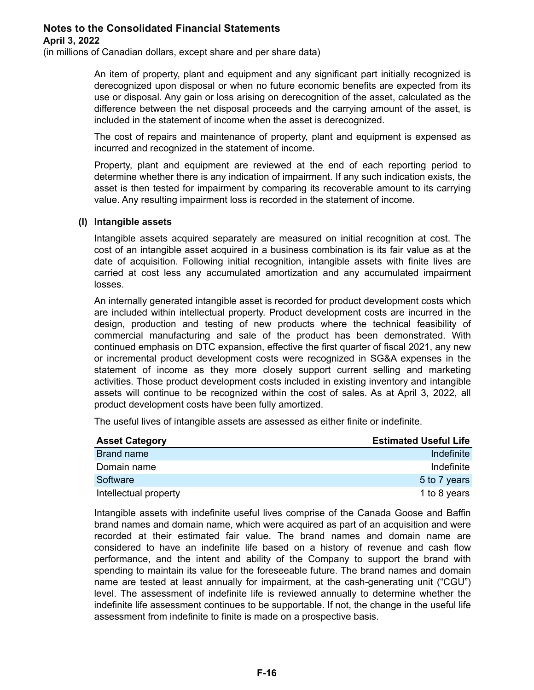(in millions of Canadian dollars, except share and per share data)

An item of property, plant and equipment and any significant part initially recognized is derecognized upon disposal or when no future economic benefits are expected from its use or disposal. Any gain or loss arising on derecognition of the asset, calculated as the difference between the net disposal proceeds and the carrying amount of the asset, is included in the statement of income when the asset is derecognized.

The cost of repairs and maintenance of property, plant and equipment is expensed as incurred and recognized in the statement of income.

Property, plant and equipment are reviewed at the end of each reporting period to determine whether there is any indication of impairment. If any such indication exists, the asset is then tested for impairment by comparing its recoverable amount to its carrying value. Any resulting impairment loss is recorded in the statement of income.

#### **(l) Intangible assets**

Intangible assets acquired separately are measured on initial recognition at cost. The cost of an intangible asset acquired in a business combination is its fair value as at the date of acquisition. Following initial recognition, intangible assets with finite lives are carried at cost less any accumulated amortization and any accumulated impairment losses.

An internally generated intangible asset is recorded for product development costs which are included within intellectual property. Product development costs are incurred in the design, production and testing of new products where the technical feasibility of commercial manufacturing and sale of the product has been demonstrated. With continued emphasis on DTC expansion, effective the first quarter of fiscal 2021, any new or incremental product development costs were recognized in SG&A expenses in the statement of income as they more closely support current selling and marketing activities. Those product development costs included in existing inventory and intangible assets will continue to be recognized within the cost of sales. As at April 3, 2022, all product development costs have been fully amortized.

The useful lives of intangible assets are assessed as either finite or indefinite.

| <b>Asset Category</b> | <b>Estimated Useful Life</b> |
|-----------------------|------------------------------|
| Brand name            | Indefinite                   |
| Domain name           | Indefinite                   |
| Software              | 5 to 7 years                 |
| Intellectual property | 1 to 8 years                 |

Intangible assets with indefinite useful lives comprise of the Canada Goose and Baffin brand names and domain name, which were acquired as part of an acquisition and were recorded at their estimated fair value. The brand names and domain name are considered to have an indefinite life based on a history of revenue and cash flow performance, and the intent and ability of the Company to support the brand with spending to maintain its value for the foreseeable future. The brand names and domain name are tested at least annually for impairment, at the cash-generating unit ("CGU") level. The assessment of indefinite life is reviewed annually to determine whether the indefinite life assessment continues to be supportable. If not, the change in the useful life assessment from indefinite to finite is made on a prospective basis.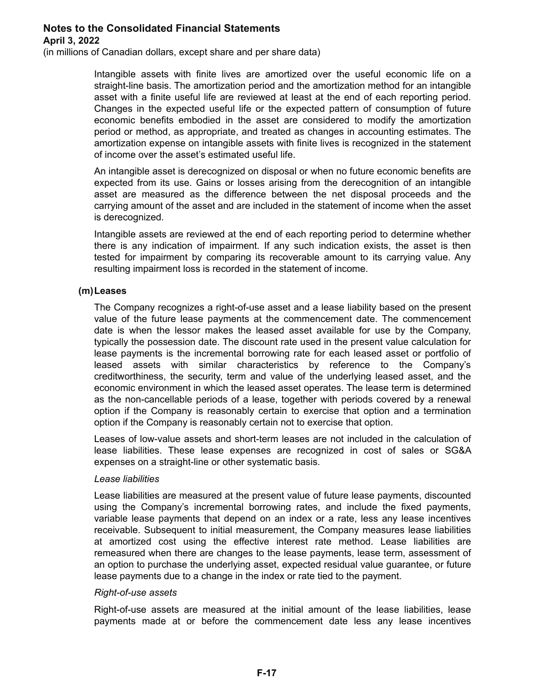(in millions of Canadian dollars, except share and per share data)

Intangible assets with finite lives are amortized over the useful economic life on a straight-line basis. The amortization period and the amortization method for an intangible asset with a finite useful life are reviewed at least at the end of each reporting period. Changes in the expected useful life or the expected pattern of consumption of future economic benefits embodied in the asset are considered to modify the amortization period or method, as appropriate, and treated as changes in accounting estimates. The amortization expense on intangible assets with finite lives is recognized in the statement of income over the asset's estimated useful life.

An intangible asset is derecognized on disposal or when no future economic benefits are expected from its use. Gains or losses arising from the derecognition of an intangible asset are measured as the difference between the net disposal proceeds and the carrying amount of the asset and are included in the statement of income when the asset is derecognized.

Intangible assets are reviewed at the end of each reporting period to determine whether there is any indication of impairment. If any such indication exists, the asset is then tested for impairment by comparing its recoverable amount to its carrying value. Any resulting impairment loss is recorded in the statement of income.

### **(m)Leases**

The Company recognizes a right-of-use asset and a lease liability based on the present value of the future lease payments at the commencement date. The commencement date is when the lessor makes the leased asset available for use by the Company, typically the possession date. The discount rate used in the present value calculation for lease payments is the incremental borrowing rate for each leased asset or portfolio of leased assets with similar characteristics by reference to the Company's creditworthiness, the security, term and value of the underlying leased asset, and the economic environment in which the leased asset operates. The lease term is determined as the non-cancellable periods of a lease, together with periods covered by a renewal option if the Company is reasonably certain to exercise that option and a termination option if the Company is reasonably certain not to exercise that option.

Leases of low-value assets and short-term leases are not included in the calculation of lease liabilities. These lease expenses are recognized in cost of sales or SG&A expenses on a straight-line or other systematic basis.

#### *Lease liabilities*

Lease liabilities are measured at the present value of future lease payments, discounted using the Company's incremental borrowing rates, and include the fixed payments, variable lease payments that depend on an index or a rate, less any lease incentives receivable. Subsequent to initial measurement, the Company measures lease liabilities at amortized cost using the effective interest rate method. Lease liabilities are remeasured when there are changes to the lease payments, lease term, assessment of an option to purchase the underlying asset, expected residual value guarantee, or future lease payments due to a change in the index or rate tied to the payment.

#### *Right-of-use assets*

Right-of-use assets are measured at the initial amount of the lease liabilities, lease payments made at or before the commencement date less any lease incentives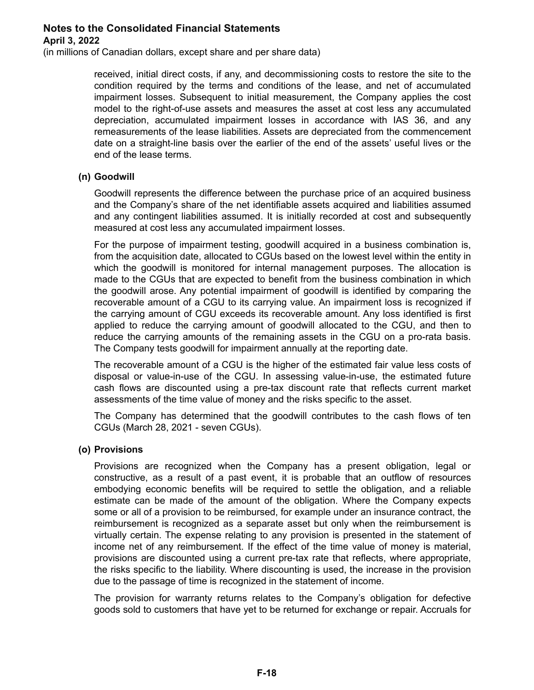(in millions of Canadian dollars, except share and per share data)

received, initial direct costs, if any, and decommissioning costs to restore the site to the condition required by the terms and conditions of the lease, and net of accumulated impairment losses. Subsequent to initial measurement, the Company applies the cost model to the right-of-use assets and measures the asset at cost less any accumulated depreciation, accumulated impairment losses in accordance with IAS 36, and any remeasurements of the lease liabilities. Assets are depreciated from the commencement date on a straight-line basis over the earlier of the end of the assets' useful lives or the end of the lease terms.

### **(n) Goodwill**

Goodwill represents the difference between the purchase price of an acquired business and the Company's share of the net identifiable assets acquired and liabilities assumed and any contingent liabilities assumed. It is initially recorded at cost and subsequently measured at cost less any accumulated impairment losses.

For the purpose of impairment testing, goodwill acquired in a business combination is, from the acquisition date, allocated to CGUs based on the lowest level within the entity in which the goodwill is monitored for internal management purposes. The allocation is made to the CGUs that are expected to benefit from the business combination in which the goodwill arose. Any potential impairment of goodwill is identified by comparing the recoverable amount of a CGU to its carrying value. An impairment loss is recognized if the carrying amount of CGU exceeds its recoverable amount. Any loss identified is first applied to reduce the carrying amount of goodwill allocated to the CGU, and then to reduce the carrying amounts of the remaining assets in the CGU on a pro-rata basis. The Company tests goodwill for impairment annually at the reporting date.

The recoverable amount of a CGU is the higher of the estimated fair value less costs of disposal or value-in-use of the CGU. In assessing value-in-use, the estimated future cash flows are discounted using a pre-tax discount rate that reflects current market assessments of the time value of money and the risks specific to the asset.

The Company has determined that the goodwill contributes to the cash flows of ten CGUs (March 28, 2021 - seven CGUs).

#### **(o) Provisions**

Provisions are recognized when the Company has a present obligation, legal or constructive, as a result of a past event, it is probable that an outflow of resources embodying economic benefits will be required to settle the obligation, and a reliable estimate can be made of the amount of the obligation. Where the Company expects some or all of a provision to be reimbursed, for example under an insurance contract, the reimbursement is recognized as a separate asset but only when the reimbursement is virtually certain. The expense relating to any provision is presented in the statement of income net of any reimbursement. If the effect of the time value of money is material, provisions are discounted using a current pre-tax rate that reflects, where appropriate, the risks specific to the liability. Where discounting is used, the increase in the provision due to the passage of time is recognized in the statement of income.

The provision for warranty returns relates to the Company's obligation for defective goods sold to customers that have yet to be returned for exchange or repair. Accruals for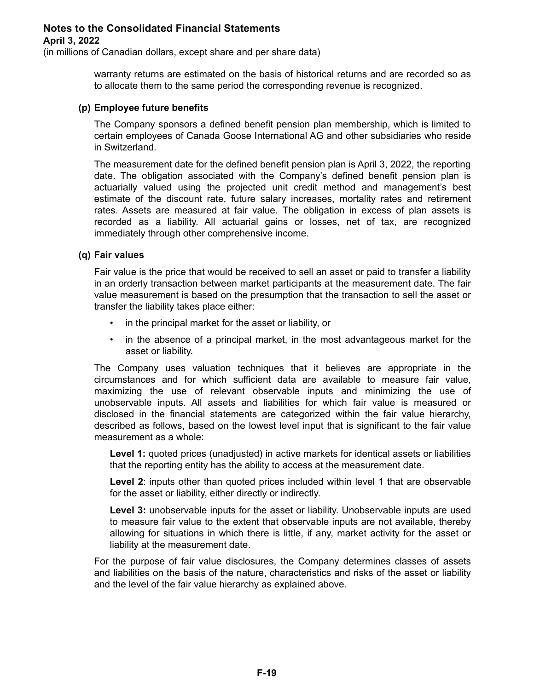(in millions of Canadian dollars, except share and per share data)

warranty returns are estimated on the basis of historical returns and are recorded so as to allocate them to the same period the corresponding revenue is recognized.

#### **(p) Employee future benefits**

The Company sponsors a defined benefit pension plan membership, which is limited to certain employees of Canada Goose International AG and other subsidiaries who reside in Switzerland.

The measurement date for the defined benefit pension plan is April 3, 2022, the reporting date. The obligation associated with the Company's defined benefit pension plan is actuarially valued using the projected unit credit method and management's best estimate of the discount rate, future salary increases, mortality rates and retirement rates. Assets are measured at fair value. The obligation in excess of plan assets is recorded as a liability. All actuarial gains or losses, net of tax, are recognized immediately through other comprehensive income.

#### **(q) Fair values**

Fair value is the price that would be received to sell an asset or paid to transfer a liability in an orderly transaction between market participants at the measurement date. The fair value measurement is based on the presumption that the transaction to sell the asset or transfer the liability takes place either:

- in the principal market for the asset or liability, or
- in the absence of a principal market, in the most advantageous market for the asset or liability.

The Company uses valuation techniques that it believes are appropriate in the circumstances and for which sufficient data are available to measure fair value, maximizing the use of relevant observable inputs and minimizing the use of unobservable inputs. All assets and liabilities for which fair value is measured or disclosed in the financial statements are categorized within the fair value hierarchy, described as follows, based on the lowest level input that is significant to the fair value measurement as a whole:

**Level 1:** quoted prices (unadjusted) in active markets for identical assets or liabilities that the reporting entity has the ability to access at the measurement date.

**Level 2**: inputs other than quoted prices included within level 1 that are observable for the asset or liability, either directly or indirectly.

**Level 3:** unobservable inputs for the asset or liability. Unobservable inputs are used to measure fair value to the extent that observable inputs are not available, thereby allowing for situations in which there is little, if any, market activity for the asset or liability at the measurement date.

For the purpose of fair value disclosures, the Company determines classes of assets and liabilities on the basis of the nature, characteristics and risks of the asset or liability and the level of the fair value hierarchy as explained above.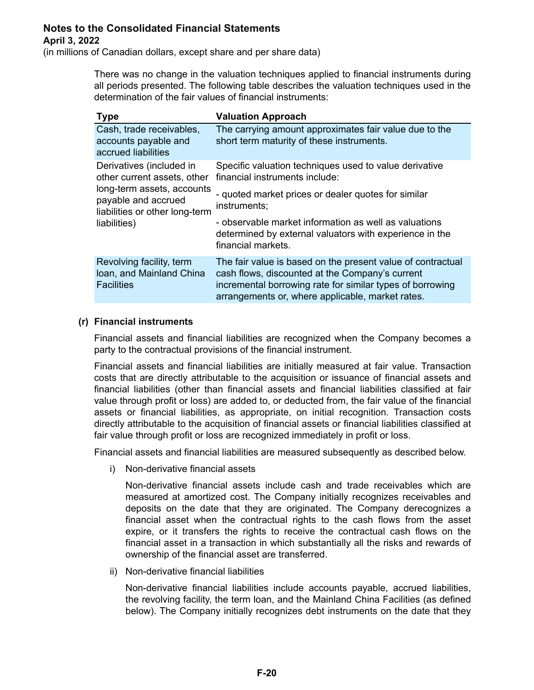(in millions of Canadian dollars, except share and per share data)

There was no change in the valuation techniques applied to financial instruments during all periods presented. The following table describes the valuation techniques used in the determination of the fair values of financial instruments:

| <b>Type</b>                                                                                                                                                    | <b>Valuation Approach</b>                                                                                                                                                                                                       |
|----------------------------------------------------------------------------------------------------------------------------------------------------------------|---------------------------------------------------------------------------------------------------------------------------------------------------------------------------------------------------------------------------------|
| Cash, trade receivables,<br>accounts payable and<br>accrued liabilities                                                                                        | The carrying amount approximates fair value due to the<br>short term maturity of these instruments.                                                                                                                             |
| Derivatives (included in<br>other current assets, other<br>long-term assets, accounts<br>payable and accrued<br>liabilities or other long-term<br>liabilities) | Specific valuation techniques used to value derivative<br>financial instruments include:                                                                                                                                        |
|                                                                                                                                                                | - quoted market prices or dealer quotes for similar<br>instruments;                                                                                                                                                             |
|                                                                                                                                                                | - observable market information as well as valuations<br>determined by external valuators with experience in the<br>financial markets.                                                                                          |
| Revolving facility, term<br>Ioan, and Mainland China<br><b>Facilities</b>                                                                                      | The fair value is based on the present value of contractual<br>cash flows, discounted at the Company's current<br>incremental borrowing rate for similar types of borrowing<br>arrangements or, where applicable, market rates. |

### **(r) Financial instruments**

Financial assets and financial liabilities are recognized when the Company becomes a party to the contractual provisions of the financial instrument.

Financial assets and financial liabilities are initially measured at fair value. Transaction costs that are directly attributable to the acquisition or issuance of financial assets and financial liabilities (other than financial assets and financial liabilities classified at fair value through profit or loss) are added to, or deducted from, the fair value of the financial assets or financial liabilities, as appropriate, on initial recognition. Transaction costs directly attributable to the acquisition of financial assets or financial liabilities classified at fair value through profit or loss are recognized immediately in profit or loss.

Financial assets and financial liabilities are measured subsequently as described below.

i) Non-derivative financial assets

Non-derivative financial assets include cash and trade receivables which are measured at amortized cost. The Company initially recognizes receivables and deposits on the date that they are originated. The Company derecognizes a financial asset when the contractual rights to the cash flows from the asset expire, or it transfers the rights to receive the contractual cash flows on the financial asset in a transaction in which substantially all the risks and rewards of ownership of the financial asset are transferred.

ii) Non-derivative financial liabilities

Non-derivative financial liabilities include accounts payable, accrued liabilities, the revolving facility, the term loan, and the Mainland China Facilities (as defined below). The Company initially recognizes debt instruments on the date that they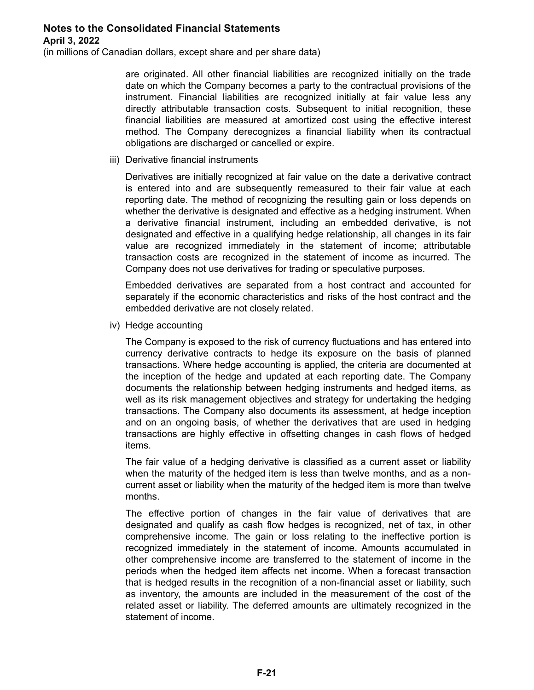(in millions of Canadian dollars, except share and per share data)

are originated. All other financial liabilities are recognized initially on the trade date on which the Company becomes a party to the contractual provisions of the instrument. Financial liabilities are recognized initially at fair value less any directly attributable transaction costs. Subsequent to initial recognition, these financial liabilities are measured at amortized cost using the effective interest method. The Company derecognizes a financial liability when its contractual obligations are discharged or cancelled or expire.

iii) Derivative financial instruments

Derivatives are initially recognized at fair value on the date a derivative contract is entered into and are subsequently remeasured to their fair value at each reporting date. The method of recognizing the resulting gain or loss depends on whether the derivative is designated and effective as a hedging instrument. When a derivative financial instrument, including an embedded derivative, is not designated and effective in a qualifying hedge relationship, all changes in its fair value are recognized immediately in the statement of income; attributable transaction costs are recognized in the statement of income as incurred. The Company does not use derivatives for trading or speculative purposes.

Embedded derivatives are separated from a host contract and accounted for separately if the economic characteristics and risks of the host contract and the embedded derivative are not closely related.

iv) Hedge accounting

The Company is exposed to the risk of currency fluctuations and has entered into currency derivative contracts to hedge its exposure on the basis of planned transactions. Where hedge accounting is applied, the criteria are documented at the inception of the hedge and updated at each reporting date. The Company documents the relationship between hedging instruments and hedged items, as well as its risk management objectives and strategy for undertaking the hedging transactions. The Company also documents its assessment, at hedge inception and on an ongoing basis, of whether the derivatives that are used in hedging transactions are highly effective in offsetting changes in cash flows of hedged items.

The fair value of a hedging derivative is classified as a current asset or liability when the maturity of the hedged item is less than twelve months, and as a noncurrent asset or liability when the maturity of the hedged item is more than twelve months.

The effective portion of changes in the fair value of derivatives that are designated and qualify as cash flow hedges is recognized, net of tax, in other comprehensive income. The gain or loss relating to the ineffective portion is recognized immediately in the statement of income. Amounts accumulated in other comprehensive income are transferred to the statement of income in the periods when the hedged item affects net income. When a forecast transaction that is hedged results in the recognition of a non-financial asset or liability, such as inventory, the amounts are included in the measurement of the cost of the related asset or liability. The deferred amounts are ultimately recognized in the statement of income.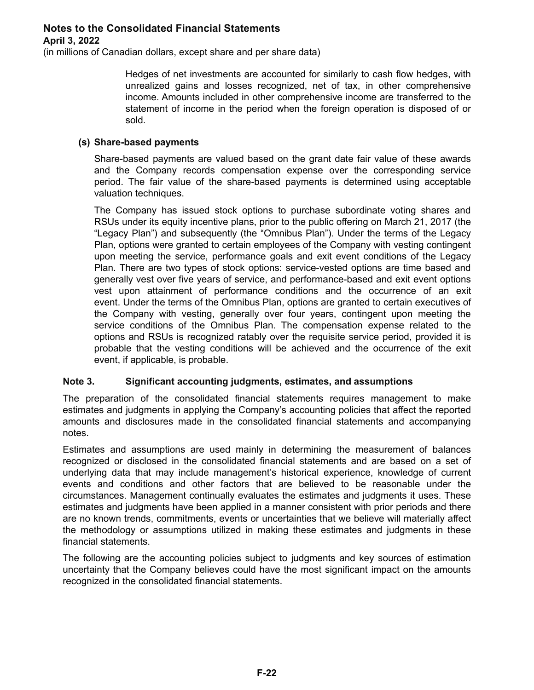(in millions of Canadian dollars, except share and per share data)

Hedges of net investments are accounted for similarly to cash flow hedges, with unrealized gains and losses recognized, net of tax, in other comprehensive income. Amounts included in other comprehensive income are transferred to the statement of income in the period when the foreign operation is disposed of or sold.

### **(s) Share-based payments**

Share-based payments are valued based on the grant date fair value of these awards and the Company records compensation expense over the corresponding service period. The fair value of the share-based payments is determined using acceptable valuation techniques.

The Company has issued stock options to purchase subordinate voting shares and RSUs under its equity incentive plans, prior to the public offering on March 21, 2017 (the "Legacy Plan") and subsequently (the "Omnibus Plan"). Under the terms of the Legacy Plan, options were granted to certain employees of the Company with vesting contingent upon meeting the service, performance goals and exit event conditions of the Legacy Plan. There are two types of stock options: service-vested options are time based and generally vest over five years of service, and performance-based and exit event options vest upon attainment of performance conditions and the occurrence of an exit event. Under the terms of the Omnibus Plan, options are granted to certain executives of the Company with vesting, generally over four years, contingent upon meeting the service conditions of the Omnibus Plan. The compensation expense related to the options and RSUs is recognized ratably over the requisite service period, provided it is probable that the vesting conditions will be achieved and the occurrence of the exit event, if applicable, is probable.

#### **Note 3. Significant accounting judgments, estimates, and assumptions**

The preparation of the consolidated financial statements requires management to make estimates and judgments in applying the Company's accounting policies that affect the reported amounts and disclosures made in the consolidated financial statements and accompanying notes.

Estimates and assumptions are used mainly in determining the measurement of balances recognized or disclosed in the consolidated financial statements and are based on a set of underlying data that may include management's historical experience, knowledge of current events and conditions and other factors that are believed to be reasonable under the circumstances. Management continually evaluates the estimates and judgments it uses. These estimates and judgments have been applied in a manner consistent with prior periods and there are no known trends, commitments, events or uncertainties that we believe will materially affect the methodology or assumptions utilized in making these estimates and judgments in these financial statements.

The following are the accounting policies subject to judgments and key sources of estimation uncertainty that the Company believes could have the most significant impact on the amounts recognized in the consolidated financial statements.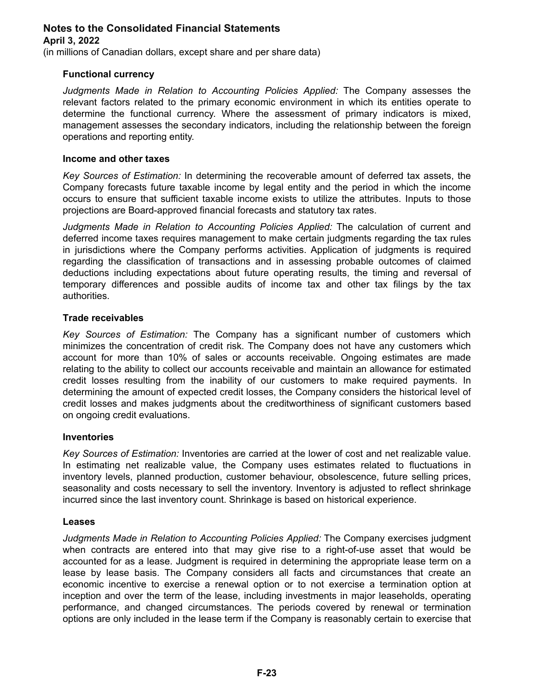(in millions of Canadian dollars, except share and per share data)

### **Functional currency**

*Judgments Made in Relation to Accounting Policies Applied:* The Company assesses the relevant factors related to the primary economic environment in which its entities operate to determine the functional currency. Where the assessment of primary indicators is mixed, management assesses the secondary indicators, including the relationship between the foreign operations and reporting entity.

#### **Income and other taxes**

*Key Sources of Estimation:* In determining the recoverable amount of deferred tax assets, the Company forecasts future taxable income by legal entity and the period in which the income occurs to ensure that sufficient taxable income exists to utilize the attributes. Inputs to those projections are Board-approved financial forecasts and statutory tax rates.

*Judgments Made in Relation to Accounting Policies Applied:* The calculation of current and deferred income taxes requires management to make certain judgments regarding the tax rules in jurisdictions where the Company performs activities. Application of judgments is required regarding the classification of transactions and in assessing probable outcomes of claimed deductions including expectations about future operating results, the timing and reversal of temporary differences and possible audits of income tax and other tax filings by the tax authorities.

#### **Trade receivables**

*Key Sources of Estimation:* The Company has a significant number of customers which minimizes the concentration of credit risk. The Company does not have any customers which account for more than 10% of sales or accounts receivable. Ongoing estimates are made relating to the ability to collect our accounts receivable and maintain an allowance for estimated credit losses resulting from the inability of our customers to make required payments. In determining the amount of expected credit losses, the Company considers the historical level of credit losses and makes judgments about the creditworthiness of significant customers based on ongoing credit evaluations.

#### **Inventories**

*Key Sources of Estimation:* Inventories are carried at the lower of cost and net realizable value. In estimating net realizable value, the Company uses estimates related to fluctuations in inventory levels, planned production, customer behaviour, obsolescence, future selling prices, seasonality and costs necessary to sell the inventory. Inventory is adjusted to reflect shrinkage incurred since the last inventory count. Shrinkage is based on historical experience.

#### **Leases**

*Judgments Made in Relation to Accounting Policies Applied:* The Company exercises judgment when contracts are entered into that may give rise to a right-of-use asset that would be accounted for as a lease. Judgment is required in determining the appropriate lease term on a lease by lease basis. The Company considers all facts and circumstances that create an economic incentive to exercise a renewal option or to not exercise a termination option at inception and over the term of the lease, including investments in major leaseholds, operating performance, and changed circumstances. The periods covered by renewal or termination options are only included in the lease term if the Company is reasonably certain to exercise that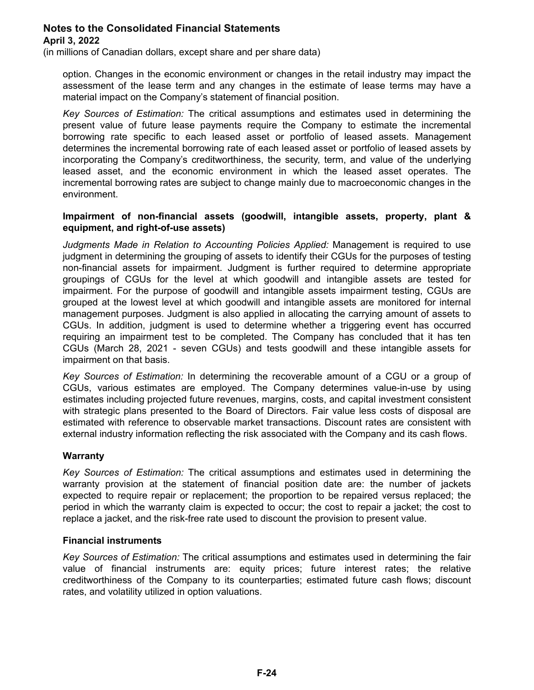(in millions of Canadian dollars, except share and per share data)

option. Changes in the economic environment or changes in the retail industry may impact the assessment of the lease term and any changes in the estimate of lease terms may have a material impact on the Company's statement of financial position.

*Key Sources of Estimation:* The critical assumptions and estimates used in determining the present value of future lease payments require the Company to estimate the incremental borrowing rate specific to each leased asset or portfolio of leased assets. Management determines the incremental borrowing rate of each leased asset or portfolio of leased assets by incorporating the Company's creditworthiness, the security, term, and value of the underlying leased asset, and the economic environment in which the leased asset operates. The incremental borrowing rates are subject to change mainly due to macroeconomic changes in the environment.

### **Impairment of non-financial assets (goodwill, intangible assets, property, plant & equipment, and right-of-use assets)**

*Judgments Made in Relation to Accounting Policies Applied:* Management is required to use judgment in determining the grouping of assets to identify their CGUs for the purposes of testing non-financial assets for impairment. Judgment is further required to determine appropriate groupings of CGUs for the level at which goodwill and intangible assets are tested for impairment. For the purpose of goodwill and intangible assets impairment testing, CGUs are grouped at the lowest level at which goodwill and intangible assets are monitored for internal management purposes. Judgment is also applied in allocating the carrying amount of assets to CGUs. In addition, judgment is used to determine whether a triggering event has occurred requiring an impairment test to be completed. The Company has concluded that it has ten CGUs (March 28, 2021 - seven CGUs) and tests goodwill and these intangible assets for impairment on that basis.

*Key Sources of Estimation:* In determining the recoverable amount of a CGU or a group of CGUs, various estimates are employed. The Company determines value-in-use by using estimates including projected future revenues, margins, costs, and capital investment consistent with strategic plans presented to the Board of Directors. Fair value less costs of disposal are estimated with reference to observable market transactions. Discount rates are consistent with external industry information reflecting the risk associated with the Company and its cash flows.

### **Warranty**

*Key Sources of Estimation:* The critical assumptions and estimates used in determining the warranty provision at the statement of financial position date are: the number of jackets expected to require repair or replacement; the proportion to be repaired versus replaced; the period in which the warranty claim is expected to occur; the cost to repair a jacket; the cost to replace a jacket, and the risk-free rate used to discount the provision to present value.

### **Financial instruments**

*Key Sources of Estimation:* The critical assumptions and estimates used in determining the fair value of financial instruments are: equity prices; future interest rates; the relative creditworthiness of the Company to its counterparties; estimated future cash flows; discount rates, and volatility utilized in option valuations.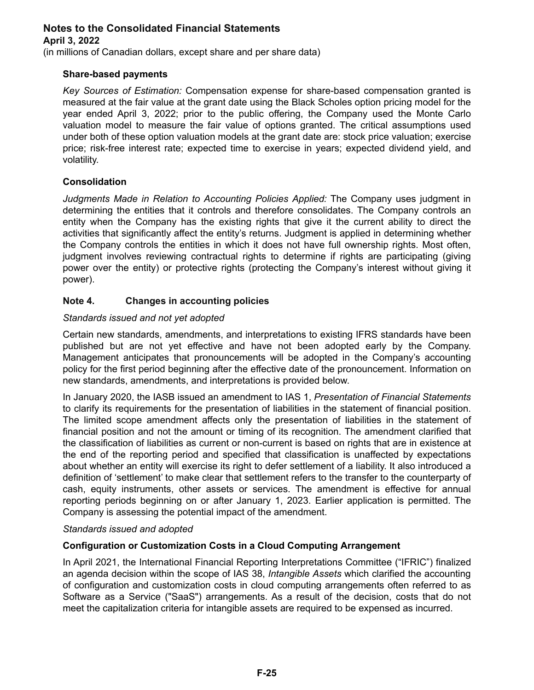(in millions of Canadian dollars, except share and per share data)

### **Share-based payments**

*Key Sources of Estimation:* Compensation expense for share-based compensation granted is measured at the fair value at the grant date using the Black Scholes option pricing model for the year ended April 3, 2022; prior to the public offering, the Company used the Monte Carlo valuation model to measure the fair value of options granted. The critical assumptions used under both of these option valuation models at the grant date are: stock price valuation; exercise price; risk-free interest rate; expected time to exercise in years; expected dividend yield, and volatility.

### **Consolidation**

*Judgments Made in Relation to Accounting Policies Applied:* The Company uses judgment in determining the entities that it controls and therefore consolidates. The Company controls an entity when the Company has the existing rights that give it the current ability to direct the activities that significantly affect the entity's returns. Judgment is applied in determining whether the Company controls the entities in which it does not have full ownership rights. Most often, judgment involves reviewing contractual rights to determine if rights are participating (giving power over the entity) or protective rights (protecting the Company's interest without giving it power).

### **Note 4. Changes in accounting policies**

### *Standards issued and not yet adopted*

Certain new standards, amendments, and interpretations to existing IFRS standards have been published but are not yet effective and have not been adopted early by the Company. Management anticipates that pronouncements will be adopted in the Company's accounting policy for the first period beginning after the effective date of the pronouncement. Information on new standards, amendments, and interpretations is provided below.

In January 2020, the IASB issued an amendment to IAS 1, *Presentation of Financial Statements* to clarify its requirements for the presentation of liabilities in the statement of financial position. The limited scope amendment affects only the presentation of liabilities in the statement of financial position and not the amount or timing of its recognition. The amendment clarified that the classification of liabilities as current or non-current is based on rights that are in existence at the end of the reporting period and specified that classification is unaffected by expectations about whether an entity will exercise its right to defer settlement of a liability. It also introduced a definition of 'settlement' to make clear that settlement refers to the transfer to the counterparty of cash, equity instruments, other assets or services. The amendment is effective for annual reporting periods beginning on or after January 1, 2023. Earlier application is permitted. The Company is assessing the potential impact of the amendment.

#### *Standards issued and adopted*

### **Configuration or Customization Costs in a Cloud Computing Arrangement**

In April 2021, the International Financial Reporting Interpretations Committee ("IFRIC") finalized an agenda decision within the scope of IAS 38, *Intangible Assets* which clarified the accounting of configuration and customization costs in cloud computing arrangements often referred to as Software as a Service ("SaaS") arrangements. As a result of the decision, costs that do not meet the capitalization criteria for intangible assets are required to be expensed as incurred.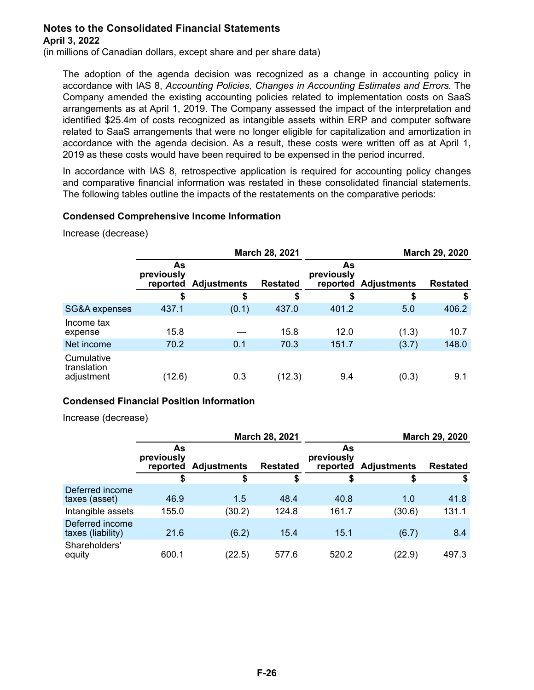(in millions of Canadian dollars, except share and per share data)

The adoption of the agenda decision was recognized as a change in accounting policy in accordance with IAS 8, *Accounting Policies, Changes in Accounting Estimates and Errors.* The Company amended the existing accounting policies related to implementation costs on SaaS arrangements as at April 1, 2019. The Company assessed the impact of the interpretation and identified \$25.4m of costs recognized as intangible assets within ERP and computer software related to SaaS arrangements that were no longer eligible for capitalization and amortization in accordance with the agenda decision. As a result, these costs were written off as at April 1, 2019 as these costs would have been required to be expensed in the period incurred.

In accordance with IAS 8, retrospective application is required for accounting policy changes and comparative financial information was restated in these consolidated financial statements. The following tables outline the impacts of the restatements on the comparative periods:

### **Condensed Comprehensive Income Information**

Increase (decrease)

|                                         | March 28, 2021               |                    |                 |                              |                    | March 29, 2020  |
|-----------------------------------------|------------------------------|--------------------|-----------------|------------------------------|--------------------|-----------------|
|                                         | As<br>previously<br>reported | <b>Adjustments</b> | <b>Restated</b> | As<br>previously<br>reported | <b>Adjustments</b> | <b>Restated</b> |
|                                         | \$                           | \$                 | \$              | \$                           | \$                 | \$              |
| SG&A expenses                           | 437.1                        | (0.1)              | 437.0           | 401.2                        | 5.0                | 406.2           |
| Income tax<br>expense                   | 15.8                         |                    | 15.8            | 12.0                         | (1.3)              | 10.7            |
| Net income                              | 70.2                         | 0.1                | 70.3            | 151.7                        | (3.7)              | 148.0           |
| Cumulative<br>translation<br>adjustment | (12.6)                       | 0.3                | (12.3)          | 9.4                          | (0.3)              | 9.1             |

### **Condensed Financial Position Information**

Increase (decrease)

|                                      | March 28, 2021               |                    |                 |                              |                    | March 29, 2020  |
|--------------------------------------|------------------------------|--------------------|-----------------|------------------------------|--------------------|-----------------|
|                                      | As<br>previously<br>reported | <b>Adjustments</b> | <b>Restated</b> | As<br>previously<br>reported | <b>Adjustments</b> | <b>Restated</b> |
|                                      | \$                           | S                  | \$              | \$                           | \$                 | S               |
| Deferred income<br>taxes (asset)     | 46.9                         | 1.5                | 48.4            | 40.8                         | 1.0                | 41.8            |
| Intangible assets                    | 155.0                        | (30.2)             | 124.8           | 161.7                        | (30.6)             | 131.1           |
| Deferred income<br>taxes (liability) | 21.6                         | (6.2)              | 15.4            | 15.1                         | (6.7)              | 8.4             |
| Shareholders'<br>equity              | 600.1                        | (22.5)             | 577.6           | 520.2                        | (22.9)             | 497.3           |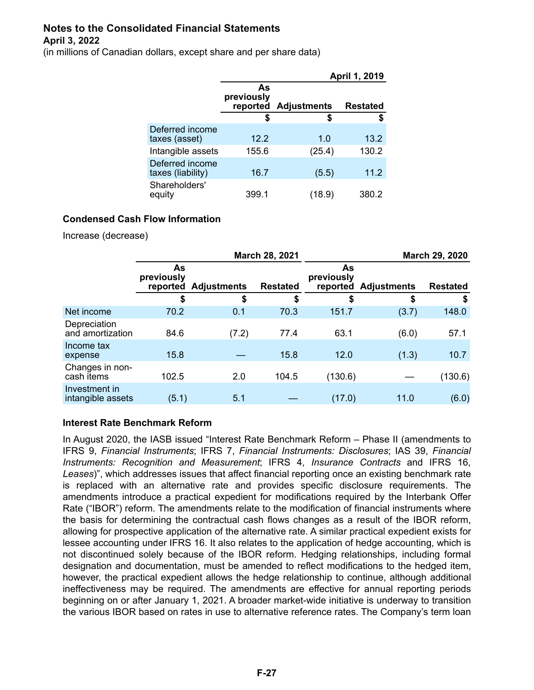(in millions of Canadian dollars, except share and per share data)

|                                      |                              |                    | April 1, 2019   |
|--------------------------------------|------------------------------|--------------------|-----------------|
|                                      | As<br>previously<br>reported | <b>Adjustments</b> | <b>Restated</b> |
|                                      | S                            | S                  | S               |
| Deferred income<br>taxes (asset)     | 12.2                         | 1.0                | 13.2            |
| Intangible assets                    | 155.6                        | (25.4)             | 130.2           |
| Deferred income<br>taxes (liability) | 16.7                         | (5.5)              | 11.2            |
| Shareholders'<br>equity              | 399.1                        | (18.9)             | 380.2           |

### **Condensed Cash Flow Information**

Increase (decrease)

|                                    | March 28, 2021               |                    |                 | March 29, 2020   |                      |                 |  |
|------------------------------------|------------------------------|--------------------|-----------------|------------------|----------------------|-----------------|--|
|                                    | As<br>previously<br>reported | <b>Adjustments</b> | <b>Restated</b> | As<br>previously | reported Adjustments | <b>Restated</b> |  |
|                                    | \$                           | \$                 | \$              | \$               | \$                   | \$              |  |
| Net income                         | 70.2                         | 0.1                | 70.3            | 151.7            | (3.7)                | 148.0           |  |
| Depreciation<br>and amortization   | 84.6                         | (7.2)              | 77.4            | 63.1             | (6.0)                | 57.1            |  |
| Income tax<br>expense              | 15.8                         |                    | 15.8            | 12.0             | (1.3)                | 10.7            |  |
| Changes in non-<br>cash items      | 102.5                        | 2.0                | 104.5           | (130.6)          |                      | (130.6)         |  |
| Investment in<br>intangible assets | (5.1)                        | 5.1                |                 | (17.0)           | 11.0                 | (6.0)           |  |

### **Interest Rate Benchmark Reform**

In August 2020, the IASB issued "Interest Rate Benchmark Reform – Phase II (amendments to IFRS 9, *Financial Instruments*; IFRS 7, *Financial Instruments: Disclosures*; IAS 39, *Financial Instruments: Recognition and Measurement*; IFRS 4, *Insurance Contracts* and IFRS 16, *Leases*)", which addresses issues that affect financial reporting once an existing benchmark rate is replaced with an alternative rate and provides specific disclosure requirements. The amendments introduce a practical expedient for modifications required by the Interbank Offer Rate ("IBOR") reform. The amendments relate to the modification of financial instruments where the basis for determining the contractual cash flows changes as a result of the IBOR reform, allowing for prospective application of the alternative rate. A similar practical expedient exists for lessee accounting under IFRS 16. It also relates to the application of hedge accounting, which is not discontinued solely because of the IBOR reform. Hedging relationships, including formal designation and documentation, must be amended to reflect modifications to the hedged item, however, the practical expedient allows the hedge relationship to continue, although additional ineffectiveness may be required. The amendments are effective for annual reporting periods beginning on or after January 1, 2021. A broader market-wide initiative is underway to transition the various IBOR based on rates in use to alternative reference rates. The Company's term loan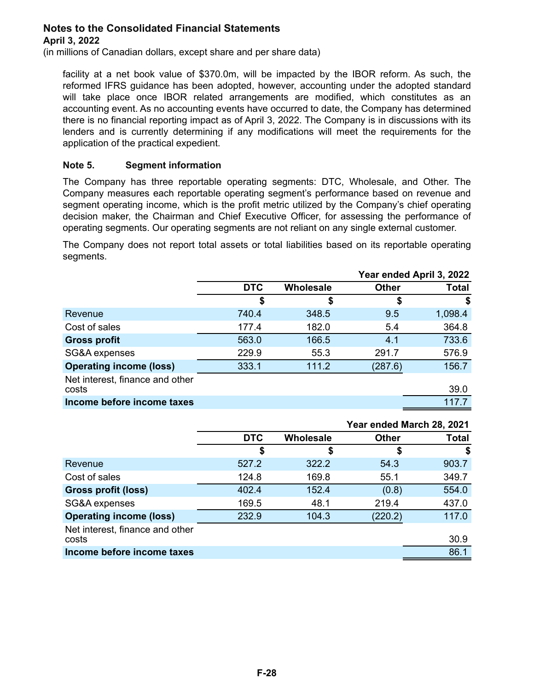(in millions of Canadian dollars, except share and per share data)

facility at a net book value of \$370.0m, will be impacted by the IBOR reform. As such, the reformed IFRS guidance has been adopted, however, accounting under the adopted standard will take place once IBOR related arrangements are modified, which constitutes as an accounting event. As no accounting events have occurred to date, the Company has determined there is no financial reporting impact as of April 3, 2022. The Company is in discussions with its lenders and is currently determining if any modifications will meet the requirements for the application of the practical expedient.

### **Note 5. Segment information**

The Company has three reportable operating segments: DTC, Wholesale, and Other. The Company measures each reportable operating segment's performance based on revenue and segment operating income, which is the profit metric utilized by the Company's chief operating decision maker, the Chairman and Chief Executive Officer, for assessing the performance of operating segments. Our operating segments are not reliant on any single external customer.

The Company does not report total assets or total liabilities based on its reportable operating segments.

|                                          |            | Year ended April 3, 2022 |              |              |
|------------------------------------------|------------|--------------------------|--------------|--------------|
|                                          | <b>DTC</b> | Wholesale                | <b>Other</b> | <b>Total</b> |
|                                          | \$         | \$                       |              | \$           |
| Revenue                                  | 740.4      | 348.5                    | 9.5          | 1,098.4      |
| Cost of sales                            | 177.4      | 182.0                    | 5.4          | 364.8        |
| <b>Gross profit</b>                      | 563.0      | 166.5                    | 4.1          | 733.6        |
| SG&A expenses                            | 229.9      | 55.3                     | 291.7        | 576.9        |
| <b>Operating income (loss)</b>           | 333.1      | 111.2                    | (287.6)      | 156.7        |
| Net interest, finance and other<br>costs |            |                          |              | 39.0         |
| Income before income taxes               |            |                          |              | 117.7        |

|                                 |            |           |              | Year ended March 28, 2021 |
|---------------------------------|------------|-----------|--------------|---------------------------|
|                                 | <b>DTC</b> | Wholesale | <b>Other</b> | Total                     |
|                                 | \$         | \$        |              | \$                        |
| Revenue                         | 527.2      | 322.2     | 54.3         | 903.7                     |
| Cost of sales                   | 124.8      | 169.8     | 55.1         | 349.7                     |
| Gross profit (loss)             | 402.4      | 152.4     | (0.8)        | 554.0                     |
| SG&A expenses                   | 169.5      | 48.1      | 219.4        | 437.0                     |
| <b>Operating income (loss)</b>  | 232.9      | 104.3     | (220.2)      | 117.0                     |
| Net interest, finance and other |            |           |              |                           |
| costs                           |            |           |              | 30.9                      |
| Income before income taxes      |            |           |              | 86.1                      |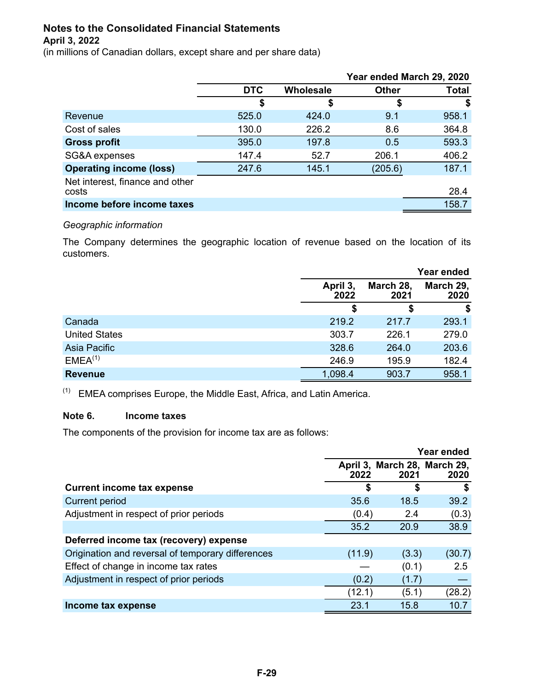(in millions of Canadian dollars, except share and per share data)

|                                 |            |           |              | Year ended March 29, 2020 |
|---------------------------------|------------|-----------|--------------|---------------------------|
|                                 | <b>DTC</b> | Wholesale | <b>Other</b> | Total                     |
|                                 | \$         | \$        |              | \$                        |
| Revenue                         | 525.0      | 424.0     | 9.1          | 958.1                     |
| Cost of sales                   | 130.0      | 226.2     | 8.6          | 364.8                     |
| <b>Gross profit</b>             | 395.0      | 197.8     | 0.5          | 593.3                     |
| SG&A expenses                   | 147.4      | 52.7      | 206.1        | 406.2                     |
| <b>Operating income (loss)</b>  | 247.6      | 145.1     | (205.6)      | 187.1                     |
| Net interest, finance and other |            |           |              |                           |
| costs                           |            |           |              | 28.4                      |
| Income before income taxes      |            |           |              | 158.7                     |

#### *Geographic information*

The Company determines the geographic location of revenue based on the location of its customers.

|                      |                  |                   | Year ended        |
|----------------------|------------------|-------------------|-------------------|
|                      | April 3,<br>2022 | March 28,<br>2021 | March 29,<br>2020 |
|                      | S                | \$                | \$                |
| Canada               | 219.2            | 217.7             | 293.1             |
| <b>United States</b> | 303.7            | 226.1             | 279.0             |
| Asia Pacific         | 328.6            | 264.0             | 203.6             |
| EMEA <sup>(1)</sup>  | 246.9            | 195.9             | 182.4             |
| <b>Revenue</b>       | 1,098.4          | 903.7             | 958.1             |

 $(1)$  EMEA comprises Europe, the Middle East, Africa, and Latin America.

### **Note 6. Income taxes**

The components of the provision for income tax are as follows:

|                                                   |        |                                      | Year ended |
|---------------------------------------------------|--------|--------------------------------------|------------|
|                                                   | 2022   | April 3, March 28, March 29,<br>2021 | 2020       |
| <b>Current income tax expense</b>                 | S      | S                                    | S          |
| <b>Current period</b>                             | 35.6   | 18.5                                 | 39.2       |
| Adjustment in respect of prior periods            | (0.4)  | 2.4                                  | (0.3)      |
|                                                   | 35.2   | 20.9                                 | 38.9       |
| Deferred income tax (recovery) expense            |        |                                      |            |
| Origination and reversal of temporary differences | (11.9) | (3.3)                                | (30.7)     |
| Effect of change in income tax rates              |        | (0.1)                                | 2.5        |
| Adjustment in respect of prior periods            | (0.2)  | (1.7)                                |            |
|                                                   | (12.1) | (5.1)                                | (28.2)     |
| Income tax expense                                | 23.1   | 15.8                                 | 10.7       |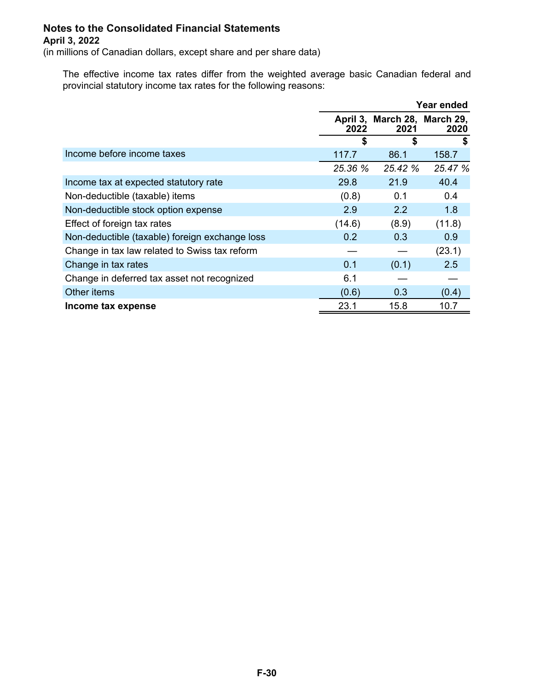(in millions of Canadian dollars, except share and per share data)

The effective income tax rates differ from the weighted average basic Canadian federal and provincial statutory income tax rates for the following reasons:

|                                                |         |                                      | Year ended |
|------------------------------------------------|---------|--------------------------------------|------------|
|                                                | 2022    | April 3, March 28, March 29,<br>2021 | 2020       |
|                                                | \$      | \$                                   | S          |
| Income before income taxes                     | 117.7   | 86.1                                 | 158.7      |
|                                                | 25.36 % | 25.42 %                              | 25.47 %    |
| Income tax at expected statutory rate          | 29.8    | 21.9                                 | 40.4       |
| Non-deductible (taxable) items                 | (0.8)   | 0.1                                  | 0.4        |
| Non-deductible stock option expense            | 2.9     | 2.2                                  | 1.8        |
| Effect of foreign tax rates                    | (14.6)  | (8.9)                                | (11.8)     |
| Non-deductible (taxable) foreign exchange loss | 0.2     | 0.3                                  | 0.9        |
| Change in tax law related to Swiss tax reform  |         |                                      | (23.1)     |
| Change in tax rates                            | 0.1     | (0.1)                                | 2.5        |
| Change in deferred tax asset not recognized    | 6.1     |                                      |            |
| Other items                                    | (0.6)   | 0.3                                  | (0.4)      |
| Income tax expense                             | 23.1    | 15.8                                 | 10.7       |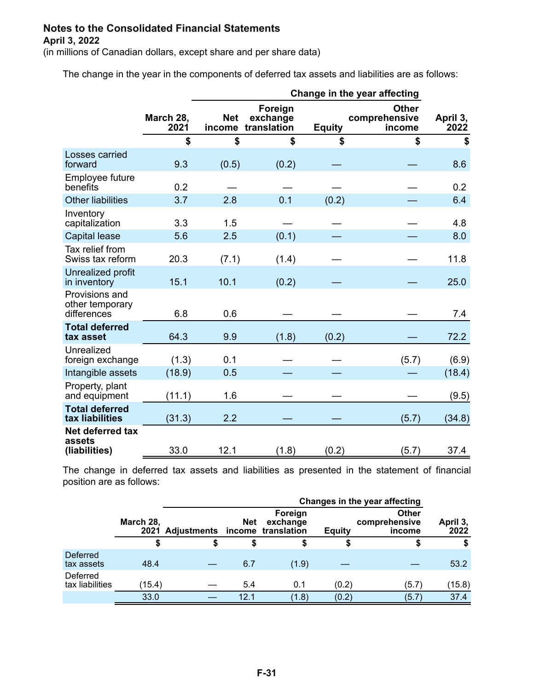(in millions of Canadian dollars, except share and per share data)

The change in the year in the components of deferred tax assets and liabilities are as follows:

|                                                  |                   | Change in the year affecting |                                    |               |                                         |                  |
|--------------------------------------------------|-------------------|------------------------------|------------------------------------|---------------|-----------------------------------------|------------------|
|                                                  | March 28,<br>2021 | <b>Net</b><br>income         | Foreign<br>exchange<br>translation | <b>Equity</b> | <b>Other</b><br>comprehensive<br>income | April 3,<br>2022 |
|                                                  | \$                | \$                           | \$                                 | \$            | \$                                      | \$               |
| Losses carried<br>forward                        | 9.3               | (0.5)                        | (0.2)                              |               |                                         | 8.6              |
| Employee future<br>benefits                      | 0.2               |                              |                                    |               |                                         | 0.2              |
| <b>Other liabilities</b>                         | 3.7               | 2.8                          | 0.1                                | (0.2)         |                                         | 6.4              |
| Inventory<br>capitalization                      | 3.3               | 1.5                          |                                    |               |                                         | 4.8              |
| <b>Capital lease</b>                             | 5.6               | 2.5                          | (0.1)                              |               |                                         | 8.0              |
| Tax relief from<br>Swiss tax reform              | 20.3              | (7.1)                        | (1.4)                              |               |                                         | 11.8             |
| Unrealized profit<br>in inventory                | 15.1              | 10.1                         | (0.2)                              |               |                                         | 25.0             |
| Provisions and<br>other temporary<br>differences | 6.8               | 0.6                          |                                    |               |                                         | 7.4              |
| <b>Total deferred</b><br>tax asset               | 64.3              | 9.9                          | (1.8)                              | (0.2)         |                                         | 72.2             |
| Unrealized<br>foreign exchange                   | (1.3)             | 0.1                          |                                    |               | (5.7)                                   | (6.9)            |
| Intangible assets                                | (18.9)            | 0.5                          |                                    |               |                                         | (18.4)           |
| Property, plant<br>and equipment                 | (11.1)            | 1.6                          |                                    |               |                                         | (9.5)            |
| <b>Total deferred</b><br>tax liabilities         | (31.3)            | 2.2                          |                                    |               | (5.7)                                   | (34.8)           |
| Net deferred tax<br>assets<br>(liabilities)      | 33.0              | 12.1                         | (1.8)                              | (0.2)         | (5.7)                                   | 37.4             |

The change in deferred tax assets and liabilities as presented in the statement of financial position are as follows:

|                             |                   | Changes in the year affecting       |            |                     |               |                                         |                  |
|-----------------------------|-------------------|-------------------------------------|------------|---------------------|---------------|-----------------------------------------|------------------|
|                             | March 28,         | 2021 Adjustments income translation | <b>Net</b> | Foreign<br>exchange | <b>Equity</b> | <b>Other</b><br>comprehensive<br>income | April 3,<br>2022 |
|                             |                   | S                                   |            | S                   |               |                                         |                  |
| Deferred<br>tax assets      | 48.4              |                                     | 6.7        | (1.9)               |               |                                         | 53.2             |
| Deferred<br>tax liabilities | $^{\prime}$ 15.4) |                                     | 5.4        | 0.1                 | (0.2)         | (5.7)                                   | (15.8)           |
|                             | 33.0              |                                     | 12.1       | (1.8)               | (0.2)         | (5.7)                                   | 37.4             |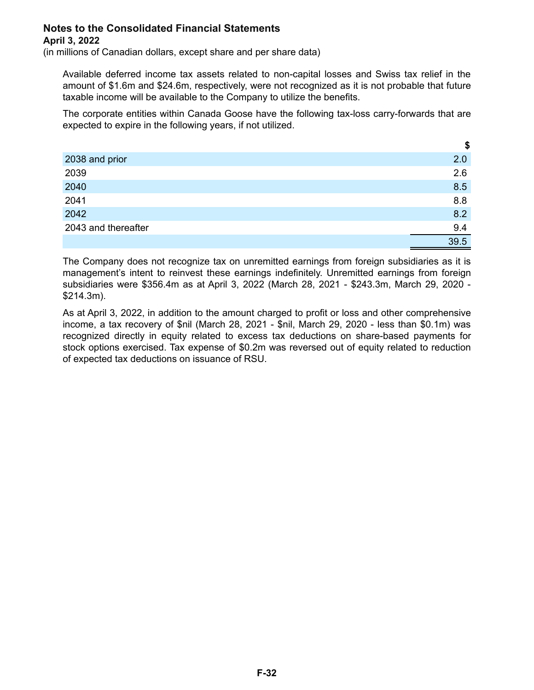(in millions of Canadian dollars, except share and per share data)

Available deferred income tax assets related to non-capital losses and Swiss tax relief in the amount of \$1.6m and \$24.6m, respectively, were not recognized as it is not probable that future taxable income will be available to the Company to utilize the benefits.

The corporate entities within Canada Goose have the following tax-loss carry-forwards that are expected to expire in the following years, if not utilized.

|                     | \$   |
|---------------------|------|
| 2038 and prior      | 2.0  |
| 2039                | 2.6  |
| 2040                | 8.5  |
| 2041                | 8.8  |
| 2042                | 8.2  |
| 2043 and thereafter | 9.4  |
|                     | 39.5 |

The Company does not recognize tax on unremitted earnings from foreign subsidiaries as it is management's intent to reinvest these earnings indefinitely. Unremitted earnings from foreign subsidiaries were \$356.4m as at April 3, 2022 (March 28, 2021 - \$243.3m, March 29, 2020 - \$214.3m).

As at April 3, 2022, in addition to the amount charged to profit or loss and other comprehensive income, a tax recovery of \$nil (March 28, 2021 - \$nil, March 29, 2020 - less than \$0.1m) was recognized directly in equity related to excess tax deductions on share-based payments for stock options exercised. Tax expense of \$0.2m was reversed out of equity related to reduction of expected tax deductions on issuance of RSU.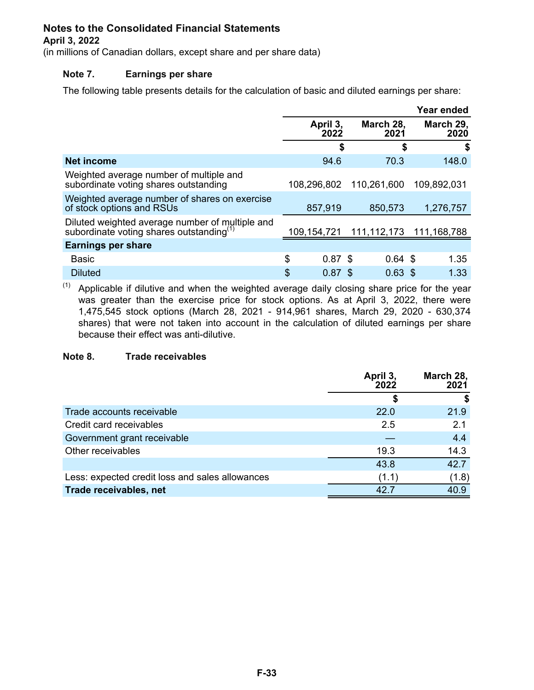### **April 3, 2022**

(in millions of Canadian dollars, except share and per share data)

### **Note 7. Earnings per share**

The following table presents details for the calculation of basic and diluted earnings per share:

|                                                                                                         |                  |                   | Year ended        |
|---------------------------------------------------------------------------------------------------------|------------------|-------------------|-------------------|
|                                                                                                         | April 3,<br>2022 | March 28,<br>2021 | March 29,<br>2020 |
|                                                                                                         | \$               | \$                | \$                |
| <b>Net income</b>                                                                                       | 94.6             | 70.3              | 148.0             |
| Weighted average number of multiple and<br>subordinate voting shares outstanding                        | 108,296,802      | 110,261,600       | 109,892,031       |
| Weighted average number of shares on exercise<br>of stock options and RSUs                              | 857,919          | 850,573           | 1,276,757         |
| Diluted weighted average number of multiple and<br>subordinate voting shares outstanding <sup>(1)</sup> | 109, 154, 721    | 111, 112, 173     | 111,168,788       |
| <b>Earnings per share</b>                                                                               |                  |                   |                   |
| <b>Basic</b>                                                                                            | \$<br>$0.87$ \$  | $0.64$ \$         | 1.35              |
| <b>Diluted</b>                                                                                          | \$<br>0.87       | $0.63$ \$<br>S    | 1.33              |

 $(1)$  Applicable if dilutive and when the weighted average daily closing share price for the year was greater than the exercise price for stock options. As at April 3, 2022, there were 1,475,545 stock options (March 28, 2021 - 914,961 shares, March 29, 2020 - 630,374 shares) that were not taken into account in the calculation of diluted earnings per share because their effect was anti-dilutive.

### **Note 8. Trade receivables**

|                                                 | April 3,<br>2022 | March 28,<br>2021 |
|-------------------------------------------------|------------------|-------------------|
|                                                 | \$               |                   |
| Trade accounts receivable                       | 22.0             | 21.9              |
| Credit card receivables                         | 2.5              | 2.1               |
| Government grant receivable                     |                  | 4.4               |
| Other receivables                               | 19.3             | 14.3              |
|                                                 | 43.8             | 42.7              |
| Less: expected credit loss and sales allowances | (1.1)            | (1.8)             |
| Trade receivables, net                          | 42.7             | 40.9              |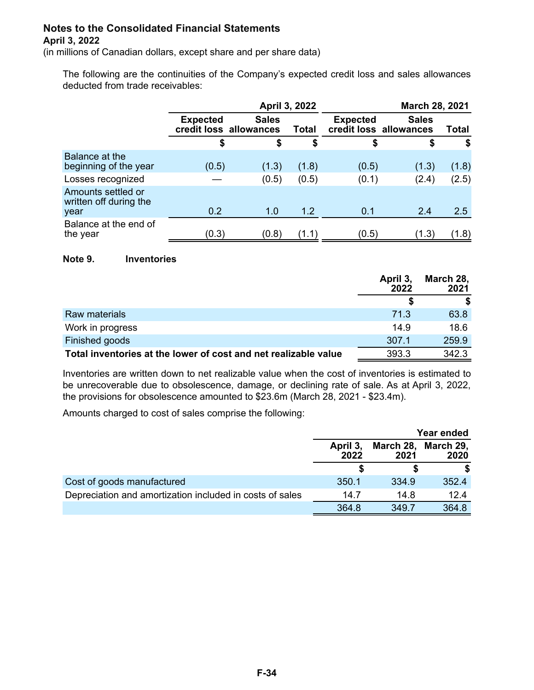(in millions of Canadian dollars, except share and per share data)

The following are the continuities of the Company's expected credit loss and sales allowances deducted from trade receivables:

|                                                      | April 3, 2022   |                                        |       |                 | <b>March 28, 2021</b>                  |       |
|------------------------------------------------------|-----------------|----------------------------------------|-------|-----------------|----------------------------------------|-------|
|                                                      | <b>Expected</b> | <b>Sales</b><br>credit loss allowances | Total | <b>Expected</b> | <b>Sales</b><br>credit loss allowances | Total |
|                                                      | \$              | \$                                     | \$    | \$              | \$                                     | \$    |
| Balance at the<br>beginning of the year              | (0.5)           | (1.3)                                  | (1.8) | (0.5)           | (1.3)                                  | (1.8) |
| Losses recognized                                    |                 | (0.5)                                  | (0.5) | (0.1)           | (2.4)                                  | (2.5) |
| Amounts settled or<br>written off during the<br>year | 0.2             | 1.0                                    | 1.2   | 0.1             | 2.4                                    | 2.5   |
| Balance at the end of<br>the year                    | (0.3)           | (0.8)                                  | (1.1  | (0.5)           | (1.3)                                  | (1.8) |

#### **Note 9. Inventories**

|                                                                 | April 3,<br>2022 | March 28,<br>2021 |
|-----------------------------------------------------------------|------------------|-------------------|
|                                                                 |                  |                   |
| Raw materials                                                   | 71.3             | 63.8              |
| Work in progress                                                | 14.9             | 18.6              |
| Finished goods                                                  | 307.1            | 259.9             |
| Total inventories at the lower of cost and net realizable value | 393.3            | 342.3             |

Inventories are written down to net realizable value when the cost of inventories is estimated to be unrecoverable due to obsolescence, damage, or declining rate of sale. As at April 3, 2022, the provisions for obsolescence amounted to \$23.6m (March 28, 2021 - \$23.4m).

Amounts charged to cost of sales comprise the following:

|                                                          | Year ended       |                             |       |  |
|----------------------------------------------------------|------------------|-----------------------------|-------|--|
|                                                          | April 3,<br>2022 | March 28, March 29,<br>2021 | 2020  |  |
|                                                          |                  |                             |       |  |
| Cost of goods manufactured                               | 350.1            | 334.9                       | 352.4 |  |
| Depreciation and amortization included in costs of sales | 14.7             | 14.8                        | 12.4  |  |
|                                                          | 364.8            | 349.7                       | 364.8 |  |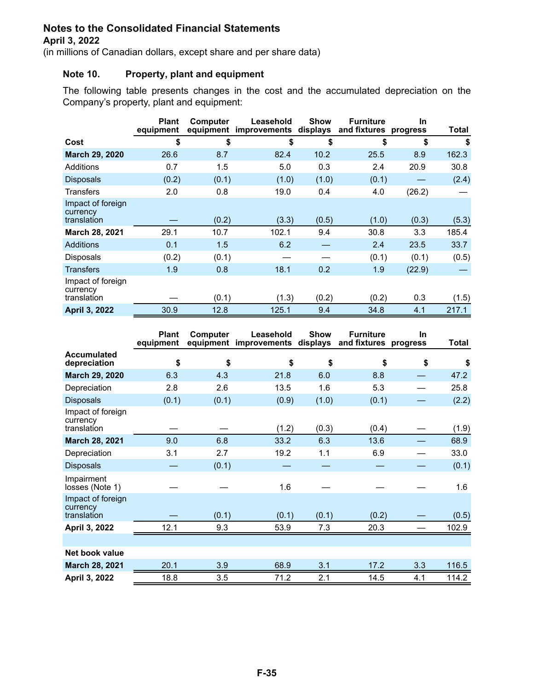(in millions of Canadian dollars, except share and per share data)

### **Note 10. Property, plant and equipment**

The following table presents changes in the cost and the accumulated depreciation on the Company's property, plant and equipment:

|                                              | <b>Plant</b><br>equipment | Computer | Leasehold<br>equipment improvements | <b>Show</b><br>displays | <b>Furniture</b><br>and fixtures progress | In     | Total |
|----------------------------------------------|---------------------------|----------|-------------------------------------|-------------------------|-------------------------------------------|--------|-------|
| Cost                                         | \$                        | \$       | \$                                  | \$                      | \$                                        | \$     | \$    |
| <b>March 29, 2020</b>                        | 26.6                      | 8.7      | 82.4                                | 10.2                    | 25.5                                      | 8.9    | 162.3 |
| Additions                                    | 0.7                       | 1.5      | 5.0                                 | 0.3                     | 2.4                                       | 20.9   | 30.8  |
| <b>Disposals</b>                             | (0.2)                     | (0.1)    | (1.0)                               | (1.0)                   | (0.1)                                     |        | (2.4) |
| Transfers                                    | 2.0                       | 0.8      | 19.0                                | 0.4                     | 4.0                                       | (26.2) |       |
| Impact of foreign<br>currency<br>translation |                           | (0.2)    | (3.3)                               | (0.5)                   | (1.0)                                     | (0.3)  | (5.3) |
| <b>March 28, 2021</b>                        | 29.1                      | 10.7     | 102.1                               | 9.4                     | 30.8                                      | 3.3    | 185.4 |
| <b>Additions</b>                             | 0.1                       | 1.5      | 6.2                                 |                         | 2.4                                       | 23.5   | 33.7  |
| <b>Disposals</b>                             | (0.2)                     | (0.1)    |                                     |                         | (0.1)                                     | (0.1)  | (0.5) |
| Transfers                                    | 1.9                       | 0.8      | 18.1                                | 0.2                     | 1.9                                       | (22.9) |       |
| Impact of foreign<br>currency<br>translation |                           | (0.1)    | (1.3)                               | (0.2)                   | (0.2)                                     | 0.3    | (1.5) |
| <b>April 3, 2022</b>                         | 30.9                      | 12.8     | 125.1                               | 9.4                     | 34.8                                      | 4.1    | 217.1 |

|                                              | <b>Plant</b><br>equipment | Computer | Leasehold<br>equipment improvements | <b>Show</b><br>displays | <b>Furniture</b><br>and fixtures progress | In. | Total |
|----------------------------------------------|---------------------------|----------|-------------------------------------|-------------------------|-------------------------------------------|-----|-------|
| <b>Accumulated</b><br>depreciation           | \$                        | \$       | \$                                  | \$                      | \$                                        | \$  | \$    |
| <b>March 29, 2020</b>                        | 6.3                       | 4.3      | 21.8                                | 6.0                     | 8.8                                       |     | 47.2  |
| Depreciation                                 | 2.8                       | 2.6      | 13.5                                | 1.6                     | 5.3                                       |     | 25.8  |
| <b>Disposals</b>                             | (0.1)                     | (0.1)    | (0.9)                               | (1.0)                   | (0.1)                                     |     | (2.2) |
| Impact of foreign<br>currency<br>translation |                           |          | (1.2)                               | (0.3)                   | (0.4)                                     |     | (1.9) |
| March 28, 2021                               | 9.0                       | 6.8      | 33.2                                | 6.3                     | 13.6                                      |     | 68.9  |
| Depreciation                                 | 3.1                       | 2.7      | 19.2                                | 1.1                     | 6.9                                       |     | 33.0  |
| <b>Disposals</b>                             |                           | (0.1)    |                                     |                         |                                           |     | (0.1) |
| Impairment<br>losses (Note 1)                |                           |          | 1.6                                 |                         |                                           |     | 1.6   |
| Impact of foreign<br>currency<br>translation |                           | (0.1)    | (0.1)                               | (0.1)                   | (0.2)                                     |     | (0.5) |
| April 3, 2022                                | 12.1                      | 9.3      | 53.9                                | 7.3                     | 20.3                                      |     | 102.9 |
|                                              |                           |          |                                     |                         |                                           |     |       |
| Net book value                               |                           |          |                                     |                         |                                           |     |       |
| <b>March 28, 2021</b>                        | 20.1                      | 3.9      | 68.9                                | 3.1                     | 17.2                                      | 3.3 | 116.5 |
| April 3, 2022                                | 18.8                      | 3.5      | 71.2                                | 2.1                     | 14.5                                      | 4.1 | 114.2 |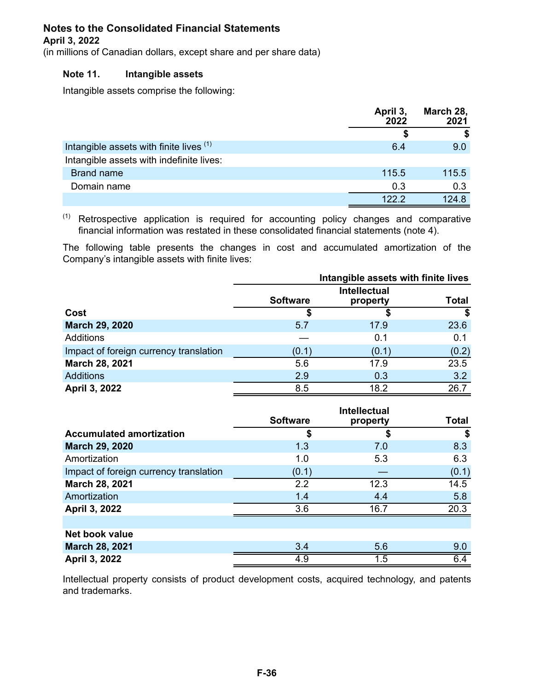#### **April 3, 2022**

(in millions of Canadian dollars, except share and per share data)

### **Note 11. Intangible assets**

Intangible assets comprise the following:

|                                          | April 3,<br>2022 | March 28,<br>2021 |
|------------------------------------------|------------------|-------------------|
|                                          |                  |                   |
| Intangible assets with finite lives (1)  | 6.4              | 9.0               |
| Intangible assets with indefinite lives: |                  |                   |
| <b>Brand name</b>                        | 115.5            | 115.5             |
| Domain name                              | 0.3              | 0.3               |
|                                          | 1222             | 1248              |

 $(1)$  Retrospective application is required for accounting policy changes and comparative financial information was restated in these consolidated financial statements (note 4).

The following table presents the changes in cost and accumulated amortization of the Company's intangible assets with finite lives:

|                                        | Intangible assets with finite lives |                                 |              |  |
|----------------------------------------|-------------------------------------|---------------------------------|--------------|--|
|                                        | <b>Software</b>                     | <b>Intellectual</b><br>property | <b>Total</b> |  |
| Cost                                   |                                     |                                 | S            |  |
| <b>March 29, 2020</b>                  | 5.7                                 | 17.9                            | 23.6         |  |
| Additions                              |                                     | 0.1                             | 0.1          |  |
| Impact of foreign currency translation | (0.1)                               | (0.1)                           | (0.2)        |  |
| March 28, 2021                         | 5.6                                 | 17.9                            | 23.5         |  |
| <b>Additions</b>                       | 2.9                                 | 0.3                             | 3.2          |  |
| April 3, 2022                          | 8.5                                 | 18.2                            | 26.7         |  |

|                                        | <b>Software</b> | property | <b>Total</b> |
|----------------------------------------|-----------------|----------|--------------|
| <b>Accumulated amortization</b>        | \$              |          | \$           |
| <b>March 29, 2020</b>                  | 1.3             | 7.0      | 8.3          |
| Amortization                           | 1.0             | 5.3      | 6.3          |
| Impact of foreign currency translation | (0.1)           |          | (0.1)        |
| March 28, 2021                         | 2.2             | 12.3     | 14.5         |
| Amortization                           | 1.4             | 4.4      | 5.8          |
| April 3, 2022                          | 3.6             | 16.7     | 20.3         |
|                                        |                 |          |              |
| Net book value                         |                 |          |              |
| March 28, 2021                         | 3.4             | 5.6      | 9.0          |
| April 3, 2022                          | 4.9             | 1.5      | 6.4          |

Intellectual property consists of product development costs, acquired technology, and patents and trademarks.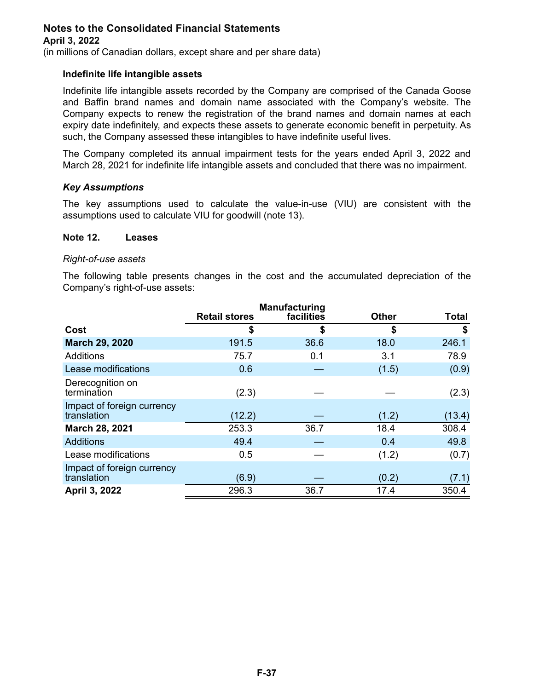(in millions of Canadian dollars, except share and per share data)

### **Indefinite life intangible assets**

Indefinite life intangible assets recorded by the Company are comprised of the Canada Goose and Baffin brand names and domain name associated with the Company's website. The Company expects to renew the registration of the brand names and domain names at each expiry date indefinitely, and expects these assets to generate economic benefit in perpetuity. As such, the Company assessed these intangibles to have indefinite useful lives.

The Company completed its annual impairment tests for the years ended April 3, 2022 and March 28, 2021 for indefinite life intangible assets and concluded that there was no impairment.

### *Key Assumptions*

The key assumptions used to calculate the value-in-use (VIU) are consistent with the assumptions used to calculate VIU for goodwill (note 13).

#### **Note 12. Leases**

#### *Right-of-use assets*

The following table presents changes in the cost and the accumulated depreciation of the Company's right-of-use assets:

|                                           |                      | <b>Manufacturing</b> |              |              |
|-------------------------------------------|----------------------|----------------------|--------------|--------------|
|                                           | <b>Retail stores</b> | facilities           | <b>Other</b> | <b>Total</b> |
| Cost                                      | \$                   | \$                   | \$           | \$           |
| <b>March 29, 2020</b>                     | 191.5                | 36.6                 | 18.0         | 246.1        |
| <b>Additions</b>                          | 75.7                 | 0.1                  | 3.1          | 78.9         |
| Lease modifications                       | 0.6                  |                      | (1.5)        | (0.9)        |
| Derecognition on<br>termination           | (2.3)                |                      |              | (2.3)        |
| Impact of foreign currency<br>translation | (12.2)               |                      | (1.2)        | (13.4)       |
| March 28, 2021                            | 253.3                | 36.7                 | 18.4         | 308.4        |
| <b>Additions</b>                          | 49.4                 |                      | 0.4          | 49.8         |
| Lease modifications                       | 0.5                  |                      | (1.2)        | (0.7)        |
| Impact of foreign currency<br>translation | (6.9)                |                      | (0.2)        | (7.1)        |
| April 3, 2022                             | 296.3                | 36.7                 | 17.4         | 350.4        |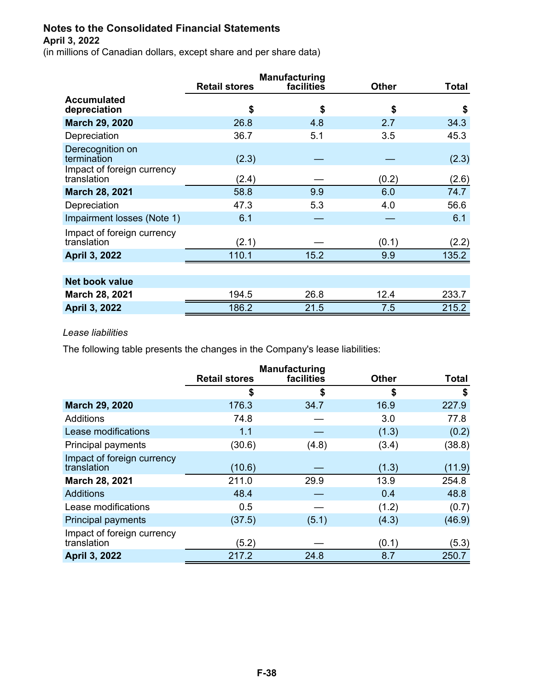(in millions of Canadian dollars, except share and per share data)

|                                           |                      | <b>Manufacturing</b> |              |       |
|-------------------------------------------|----------------------|----------------------|--------------|-------|
|                                           | <b>Retail stores</b> | facilities           | <b>Other</b> | Total |
| <b>Accumulated</b><br>depreciation        | \$                   | \$                   | \$           | \$    |
| <b>March 29, 2020</b>                     | 26.8                 | 4.8                  | 2.7          | 34.3  |
| Depreciation                              | 36.7                 | 5.1                  | 3.5          | 45.3  |
| Derecognition on<br>termination           | (2.3)                |                      |              | (2.3) |
| Impact of foreign currency<br>translation | (2.4)                |                      | (0.2)        | (2.6) |
| <b>March 28, 2021</b>                     | 58.8                 | 9.9                  | 6.0          | 74.7  |
| Depreciation                              | 47.3                 | 5.3                  | 4.0          | 56.6  |
| Impairment losses (Note 1)                | 6.1                  |                      |              | 6.1   |
| Impact of foreign currency<br>translation | (2.1)                |                      | (0.1)        | (2.2) |
| <b>April 3, 2022</b>                      | 110.1                | 15.2                 | 9.9          | 135.2 |
|                                           |                      |                      |              |       |
| <b>Net book value</b>                     |                      |                      |              |       |
| <b>March 28, 2021</b>                     | 194.5                | 26.8                 | 12.4         | 233.7 |
| <b>April 3, 2022</b>                      | 186.2                | 21.5                 | 7.5          | 215.2 |

### *Lease liabilities*

The following table presents the changes in the Company's lease liabilities:

|                                           |                      | <b>Manufacturing</b> |              |              |
|-------------------------------------------|----------------------|----------------------|--------------|--------------|
|                                           | <b>Retail stores</b> | facilities           | <b>Other</b> | <b>Total</b> |
|                                           | \$                   | \$                   | \$           | \$           |
| <b>March 29, 2020</b>                     | 176.3                | 34.7                 | 16.9         | 227.9        |
| Additions                                 | 74.8                 |                      | 3.0          | 77.8         |
| Lease modifications                       | 1.1                  |                      | (1.3)        | (0.2)        |
| Principal payments                        | (30.6)               | (4.8)                | (3.4)        | (38.8)       |
| Impact of foreign currency<br>translation | (10.6)               |                      | (1.3)        | (11.9)       |
| March 28, 2021                            | 211.0                | 29.9                 | 13.9         | 254.8        |
| <b>Additions</b>                          | 48.4                 |                      | 0.4          | 48.8         |
| Lease modifications                       | 0.5                  |                      | (1.2)        | (0.7)        |
| <b>Principal payments</b>                 | (37.5)               | (5.1)                | (4.3)        | (46.9)       |
| Impact of foreign currency<br>translation | (5.2)                |                      | (0.1)        | (5.3)        |
| <b>April 3, 2022</b>                      | 217.2                | 24.8                 | 8.7          | 250.7        |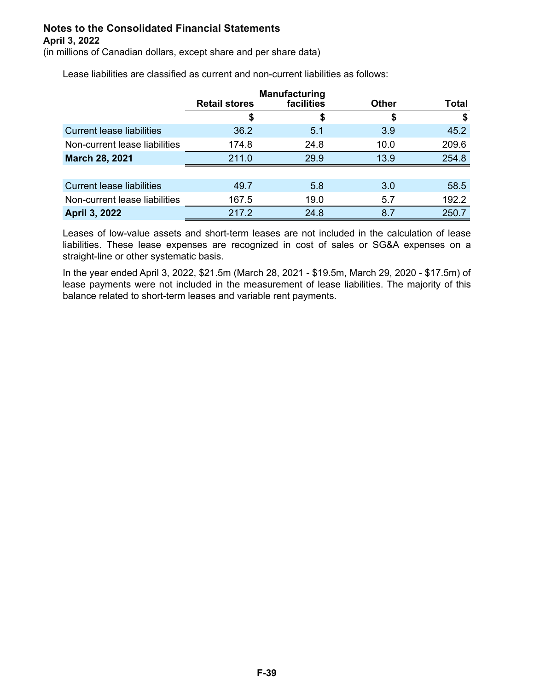(in millions of Canadian dollars, except share and per share data)

Lease liabilities are classified as current and non-current liabilities as follows:

|                                  | <b>Retail stores</b> | <b>Manufacturing</b><br>facilities | <b>Other</b> | Total |
|----------------------------------|----------------------|------------------------------------|--------------|-------|
|                                  | \$                   | J                                  | \$           |       |
| <b>Current lease liabilities</b> | 36.2                 | 5.1                                | 3.9          | 45.2  |
| Non-current lease liabilities    | 174.8                | 24.8                               | 10.0         | 209.6 |
| <b>March 28, 2021</b>            | 211.0                | 29.9                               | 13.9         | 254.8 |
|                                  |                      |                                    |              |       |
| <b>Current lease liabilities</b> | 49.7                 | 5.8                                | 3.0          | 58.5  |
| Non-current lease liabilities    | 167.5                | 19.0                               | 5.7          | 192.2 |
| <b>April 3, 2022</b>             | 217.2                | 24.8                               | 8.7          | 250.7 |

Leases of low-value assets and short-term leases are not included in the calculation of lease liabilities. These lease expenses are recognized in cost of sales or SG&A expenses on a straight-line or other systematic basis.

In the year ended April 3, 2022, \$21.5m (March 28, 2021 - \$19.5m, March 29, 2020 - \$17.5m) of lease payments were not included in the measurement of lease liabilities. The majority of this balance related to short-term leases and variable rent payments.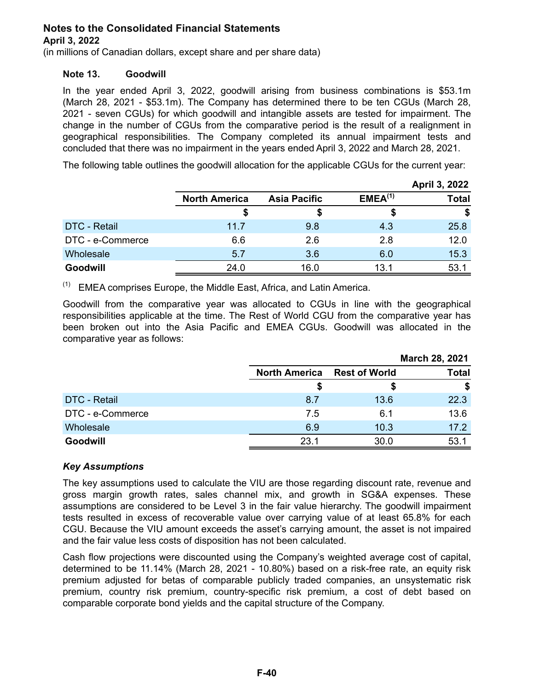(in millions of Canadian dollars, except share and per share data)

### **Note 13. Goodwill**

In the year ended April 3, 2022, goodwill arising from business combinations is \$53.1m (March 28, 2021 - \$53.1m). The Company has determined there to be ten CGUs (March 28, 2021 - seven CGUs) for which goodwill and intangible assets are tested for impairment. The change in the number of CGUs from the comparative period is the result of a realignment in geographical responsibilities. The Company completed its annual impairment tests and concluded that there was no impairment in the years ended April 3, 2022 and March 28, 2021.

The following table outlines the goodwill allocation for the applicable CGUs for the current year:

|                     |                      |                     |                     | April 3, 2022 |
|---------------------|----------------------|---------------------|---------------------|---------------|
|                     | <b>North America</b> | <b>Asia Pacific</b> | EMEA <sup>(1)</sup> | <b>Total</b>  |
|                     |                      |                     |                     | \$            |
| <b>DTC - Retail</b> | 11.7                 | 9.8                 | 4.3                 | 25.8          |
| DTC - e-Commerce    | 6.6                  | 2.6                 | 2.8                 | 12.0          |
| Wholesale           | 5.7                  | 3.6                 | 6.0                 | 15.3          |
| Goodwill            | 24.0                 | 16.0                | 13.1                | 53.7          |

 $(1)$  EMEA comprises Europe, the Middle East, Africa, and Latin America.

Goodwill from the comparative year was allocated to CGUs in line with the geographical responsibilities applicable at the time. The Rest of World CGU from the comparative year has been broken out into the Asia Pacific and EMEA CGUs. Goodwill was allocated in the comparative year as follows:

|                     |                                    |      | March 28, 2021 |
|---------------------|------------------------------------|------|----------------|
|                     | <b>North America</b> Rest of World |      | <b>Total</b>   |
|                     |                                    |      | S              |
| <b>DTC - Retail</b> | 8.7                                | 13.6 | 22.3           |
| DTC - e-Commerce    | 7.5                                | 6.1  | 13.6           |
| Wholesale           | 6.9                                | 10.3 | 17.2           |
| <b>Goodwill</b>     | 23.1                               | 30.0 | 53.            |

### *Key Assumptions*

The key assumptions used to calculate the VIU are those regarding discount rate, revenue and gross margin growth rates, sales channel mix, and growth in SG&A expenses. These assumptions are considered to be Level 3 in the fair value hierarchy. The goodwill impairment tests resulted in excess of recoverable value over carrying value of at least 65.8% for each CGU. Because the VIU amount exceeds the asset's carrying amount, the asset is not impaired and the fair value less costs of disposition has not been calculated.

Cash flow projections were discounted using the Company's weighted average cost of capital, determined to be 11.14% (March 28, 2021 - 10.80%) based on a risk-free rate, an equity risk premium adjusted for betas of comparable publicly traded companies, an unsystematic risk premium, country risk premium, country-specific risk premium, a cost of debt based on comparable corporate bond yields and the capital structure of the Company.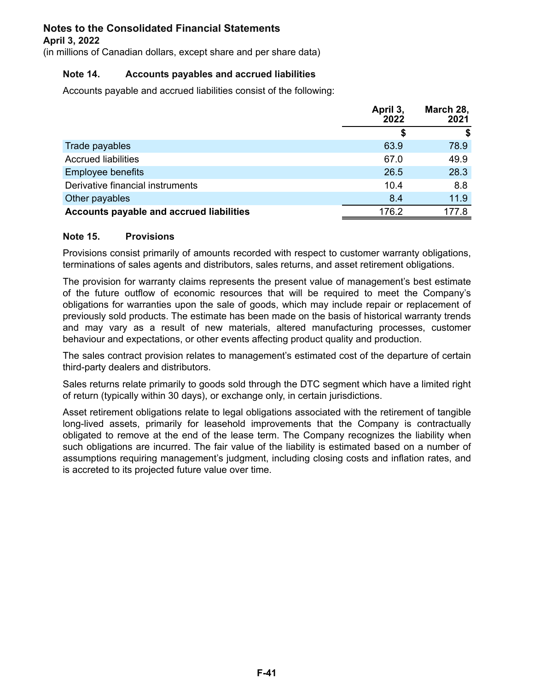(in millions of Canadian dollars, except share and per share data)

### **Note 14. Accounts payables and accrued liabilities**

Accounts payable and accrued liabilities consist of the following:

|                                          | April 3,<br>2022 | March 28,<br>2021 |
|------------------------------------------|------------------|-------------------|
|                                          | S                |                   |
| Trade payables                           | 63.9             | 78.9              |
| <b>Accrued liabilities</b>               | 67.0             | 49.9              |
| <b>Employee benefits</b>                 | 26.5             | 28.3              |
| Derivative financial instruments         | 10.4             | 8.8               |
| Other payables                           | 8.4              | 11.9              |
| Accounts payable and accrued liabilities | 176.2            | 177.8             |

### **Note 15. Provisions**

Provisions consist primarily of amounts recorded with respect to customer warranty obligations, terminations of sales agents and distributors, sales returns, and asset retirement obligations.

The provision for warranty claims represents the present value of management's best estimate of the future outflow of economic resources that will be required to meet the Company's obligations for warranties upon the sale of goods, which may include repair or replacement of previously sold products. The estimate has been made on the basis of historical warranty trends and may vary as a result of new materials, altered manufacturing processes, customer behaviour and expectations, or other events affecting product quality and production.

The sales contract provision relates to management's estimated cost of the departure of certain third-party dealers and distributors.

Sales returns relate primarily to goods sold through the DTC segment which have a limited right of return (typically within 30 days), or exchange only, in certain jurisdictions.

Asset retirement obligations relate to legal obligations associated with the retirement of tangible long-lived assets, primarily for leasehold improvements that the Company is contractually obligated to remove at the end of the lease term. The Company recognizes the liability when such obligations are incurred. The fair value of the liability is estimated based on a number of assumptions requiring management's judgment, including closing costs and inflation rates, and is accreted to its projected future value over time.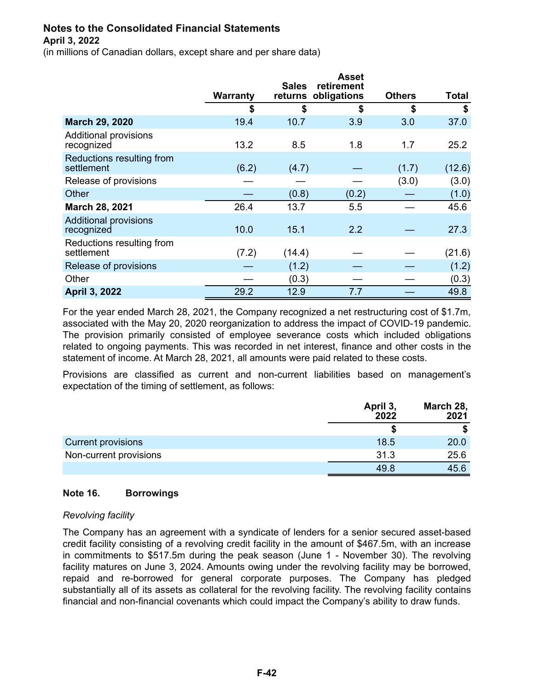(in millions of Canadian dollars, except share and per share data)

|                                            | Warranty | <b>Sales</b><br>returns | <b>Asset</b><br>retirement<br>obligations | <b>Others</b> | <b>Total</b> |
|--------------------------------------------|----------|-------------------------|-------------------------------------------|---------------|--------------|
|                                            | \$       | \$                      | \$                                        | \$            | \$           |
| March 29, 2020                             | 19.4     | 10.7                    | 3.9                                       | 3.0           | 37.0         |
| <b>Additional provisions</b><br>recognized | 13.2     | 8.5                     | 1.8                                       | 1.7           | 25.2         |
| Reductions resulting from<br>settlement    | (6.2)    | (4.7)                   |                                           | (1.7)         | (12.6)       |
| Release of provisions                      |          |                         |                                           | (3.0)         | (3.0)        |
| Other                                      |          | (0.8)                   | (0.2)                                     |               | (1.0)        |
| <b>March 28, 2021</b>                      | 26.4     | 13.7                    | 5.5                                       |               | 45.6         |
| <b>Additional provisions</b><br>recognized | 10.0     | 15.1                    | 2.2                                       |               | 27.3         |
| Reductions resulting from<br>settlement    | (7.2)    | (14.4)                  |                                           |               | (21.6)       |
| Release of provisions                      |          | (1.2)                   |                                           |               | (1.2)        |
| Other                                      |          | (0.3)                   |                                           |               | (0.3)        |
| <b>April 3, 2022</b>                       | 29.2     | 12.9                    | 7.7                                       |               | 49.8         |

For the year ended March 28, 2021, the Company recognized a net restructuring cost of \$1.7m, associated with the May 20, 2020 reorganization to address the impact of COVID-19 pandemic. The provision primarily consisted of employee severance costs which included obligations related to ongoing payments. This was recorded in net interest, finance and other costs in the statement of income. At March 28, 2021, all amounts were paid related to these costs.

Provisions are classified as current and non-current liabilities based on management's expectation of the timing of settlement, as follows:

|                           | April 3,<br>2022 | March 28,<br>2021 |
|---------------------------|------------------|-------------------|
|                           |                  |                   |
| <b>Current provisions</b> | 18.5             | 20.0              |
| Non-current provisions    | 31.3             | 25.6              |
|                           | 49.8             | 45.6              |

### **Note 16. Borrowings**

#### *Revolving facility*

The Company has an agreement with a syndicate of lenders for a senior secured asset-based credit facility consisting of a revolving credit facility in the amount of \$467.5m, with an increase in commitments to \$517.5m during the peak season (June 1 - November 30). The revolving facility matures on June 3, 2024. Amounts owing under the revolving facility may be borrowed, repaid and re-borrowed for general corporate purposes. The Company has pledged substantially all of its assets as collateral for the revolving facility. The revolving facility contains financial and non-financial covenants which could impact the Company's ability to draw funds.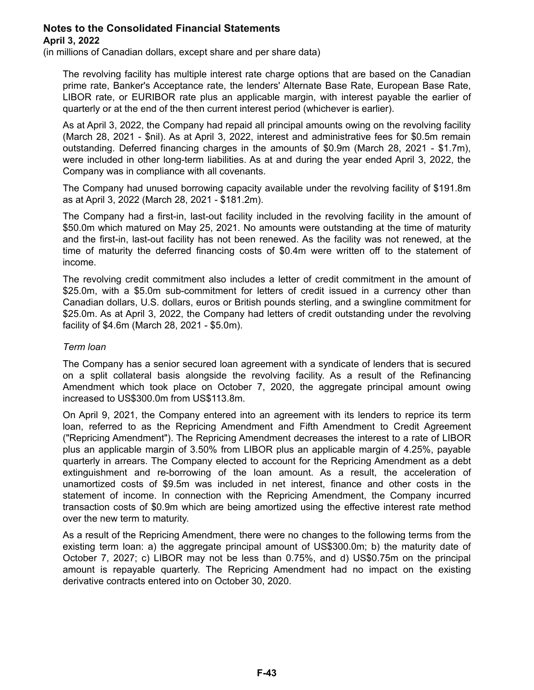(in millions of Canadian dollars, except share and per share data)

The revolving facility has multiple interest rate charge options that are based on the Canadian prime rate, Banker's Acceptance rate, the lenders' Alternate Base Rate, European Base Rate, LIBOR rate, or EURIBOR rate plus an applicable margin, with interest payable the earlier of quarterly or at the end of the then current interest period (whichever is earlier).

As at April 3, 2022, the Company had repaid all principal amounts owing on the revolving facility (March 28, 2021 - \$nil). As at April 3, 2022, interest and administrative fees for \$0.5m remain outstanding. Deferred financing charges in the amounts of \$0.9m (March 28, 2021 - \$1.7m), were included in other long-term liabilities. As at and during the year ended April 3, 2022, the Company was in compliance with all covenants.

The Company had unused borrowing capacity available under the revolving facility of \$191.8m as at April 3, 2022 (March 28, 2021 - \$181.2m).

The Company had a first-in, last-out facility included in the revolving facility in the amount of \$50.0m which matured on May 25, 2021. No amounts were outstanding at the time of maturity and the first-in, last-out facility has not been renewed. As the facility was not renewed, at the time of maturity the deferred financing costs of \$0.4m were written off to the statement of income.

The revolving credit commitment also includes a letter of credit commitment in the amount of \$25.0m, with a \$5.0m sub-commitment for letters of credit issued in a currency other than Canadian dollars, U.S. dollars, euros or British pounds sterling, and a swingline commitment for \$25.0m. As at April 3, 2022, the Company had letters of credit outstanding under the revolving facility of \$4.6m (March 28, 2021 - \$5.0m).

### *Term loan*

The Company has a senior secured loan agreement with a syndicate of lenders that is secured on a split collateral basis alongside the revolving facility. As a result of the Refinancing Amendment which took place on October 7, 2020, the aggregate principal amount owing increased to US\$300.0m from US\$113.8m.

On April 9, 2021, the Company entered into an agreement with its lenders to reprice its term loan, referred to as the Repricing Amendment and Fifth Amendment to Credit Agreement ("Repricing Amendment"). The Repricing Amendment decreases the interest to a rate of LIBOR plus an applicable margin of 3.50% from LIBOR plus an applicable margin of 4.25%, payable quarterly in arrears. The Company elected to account for the Repricing Amendment as a debt extinguishment and re-borrowing of the loan amount. As a result, the acceleration of unamortized costs of \$9.5m was included in net interest, finance and other costs in the statement of income. In connection with the Repricing Amendment, the Company incurred transaction costs of \$0.9m which are being amortized using the effective interest rate method over the new term to maturity.

As a result of the Repricing Amendment, there were no changes to the following terms from the existing term loan: a) the aggregate principal amount of US\$300.0m; b) the maturity date of October 7, 2027; c) LIBOR may not be less than 0.75%, and d) US\$0.75m on the principal amount is repayable quarterly. The Repricing Amendment had no impact on the existing derivative contracts entered into on October 30, 2020.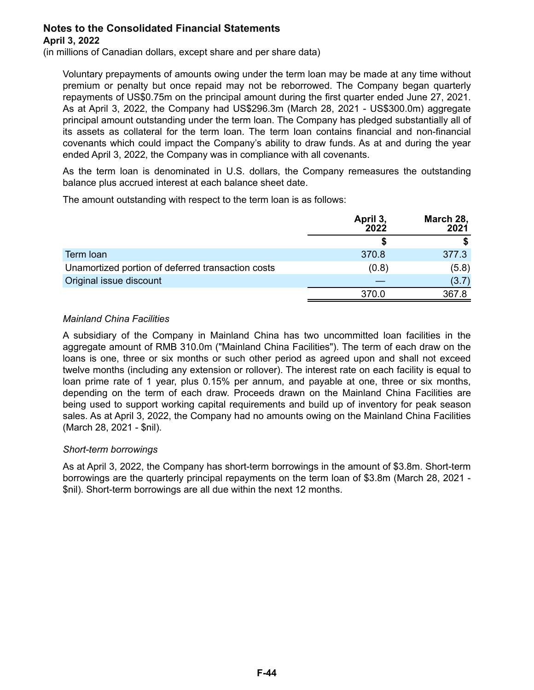(in millions of Canadian dollars, except share and per share data)

Voluntary prepayments of amounts owing under the term loan may be made at any time without premium or penalty but once repaid may not be reborrowed. The Company began quarterly repayments of US\$0.75m on the principal amount during the first quarter ended June 27, 2021. As at April 3, 2022, the Company had US\$296.3m (March 28, 2021 - US\$300.0m) aggregate principal amount outstanding under the term loan. The Company has pledged substantially all of its assets as collateral for the term loan. The term loan contains financial and non-financial covenants which could impact the Company's ability to draw funds. As at and during the year ended April 3, 2022, the Company was in compliance with all covenants.

As the term loan is denominated in U.S. dollars, the Company remeasures the outstanding balance plus accrued interest at each balance sheet date.

The amount outstanding with respect to the term loan is as follows:

|                                                   | April 3,<br>2022 | March 28,<br>2021 |
|---------------------------------------------------|------------------|-------------------|
|                                                   |                  |                   |
| Term loan                                         | 370.8            | 377.3             |
| Unamortized portion of deferred transaction costs | (0.8)            | (5.8)             |
| Original issue discount                           |                  | (3.7)             |
|                                                   | 370.0            | 367.8             |

### *Mainland China Facilities*

A subsidiary of the Company in Mainland China has two uncommitted loan facilities in the aggregate amount of RMB 310.0m ("Mainland China Facilities"). The term of each draw on the loans is one, three or six months or such other period as agreed upon and shall not exceed twelve months (including any extension or rollover). The interest rate on each facility is equal to loan prime rate of 1 year, plus 0.15% per annum, and payable at one, three or six months, depending on the term of each draw. Proceeds drawn on the Mainland China Facilities are being used to support working capital requirements and build up of inventory for peak season sales. As at April 3, 2022, the Company had no amounts owing on the Mainland China Facilities (March 28, 2021 - \$nil).

### *Short-term borrowings*

As at April 3, 2022, the Company has short-term borrowings in the amount of \$3.8m. Short-term borrowings are the quarterly principal repayments on the term loan of \$3.8m (March 28, 2021 - \$nil). Short-term borrowings are all due within the next 12 months.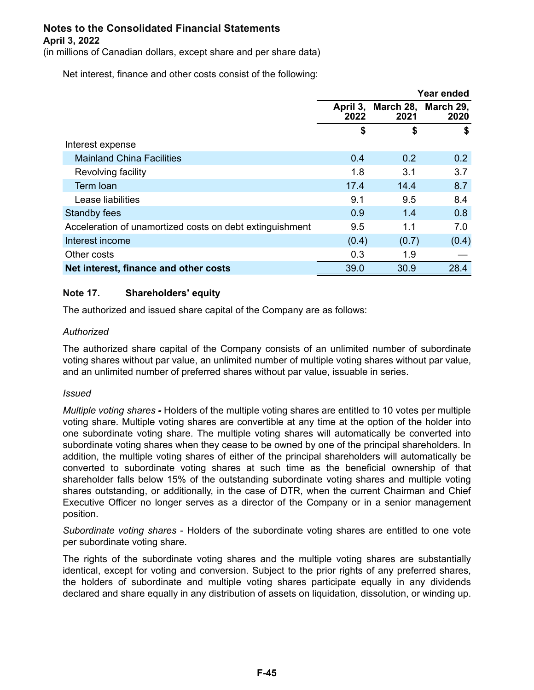(in millions of Canadian dollars, except share and per share data)

Net interest, finance and other costs consist of the following:

|                                                          |                  |                   | Year ended        |
|----------------------------------------------------------|------------------|-------------------|-------------------|
|                                                          | April 3,<br>2022 | March 28,<br>2021 | March 29,<br>2020 |
|                                                          | \$               | \$                | \$                |
| Interest expense                                         |                  |                   |                   |
| <b>Mainland China Facilities</b>                         | 0.4              | 0.2               | 0.2               |
| Revolving facility                                       | 1.8              | 3.1               | 3.7               |
| Term loan                                                | 17.4             | 14.4              | 8.7               |
| Lease liabilities                                        | 9.1              | 9.5               | 8.4               |
| Standby fees                                             | 0.9              | 1.4               | 0.8               |
| Acceleration of unamortized costs on debt extinguishment | 9.5              | 1.1               | 7.0               |
| Interest income                                          | (0.4)            | (0.7)             | (0.4)             |
| Other costs                                              | 0.3              | 1.9               |                   |
| Net interest, finance and other costs                    | 39.0             | 30.9              | 28.4              |

### **Note 17. Shareholders' equity**

The authorized and issued share capital of the Company are as follows:

### *Authorized*

The authorized share capital of the Company consists of an unlimited number of subordinate voting shares without par value, an unlimited number of multiple voting shares without par value, and an unlimited number of preferred shares without par value, issuable in series.

#### *Issued*

*Multiple voting shares -* Holders of the multiple voting shares are entitled to 10 votes per multiple voting share. Multiple voting shares are convertible at any time at the option of the holder into one subordinate voting share. The multiple voting shares will automatically be converted into subordinate voting shares when they cease to be owned by one of the principal shareholders. In addition, the multiple voting shares of either of the principal shareholders will automatically be converted to subordinate voting shares at such time as the beneficial ownership of that shareholder falls below 15% of the outstanding subordinate voting shares and multiple voting shares outstanding, or additionally, in the case of DTR, when the current Chairman and Chief Executive Officer no longer serves as a director of the Company or in a senior management position.

*Subordinate voting shares* - Holders of the subordinate voting shares are entitled to one vote per subordinate voting share.

The rights of the subordinate voting shares and the multiple voting shares are substantially identical, except for voting and conversion. Subject to the prior rights of any preferred shares, the holders of subordinate and multiple voting shares participate equally in any dividends declared and share equally in any distribution of assets on liquidation, dissolution, or winding up.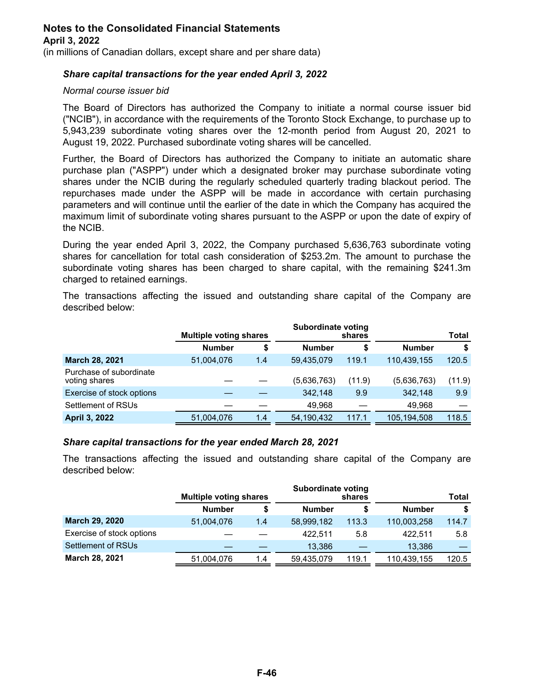(in millions of Canadian dollars, except share and per share data)

### *Share capital transactions for the year ended April 3, 2022*

#### *Normal course issuer bid*

The Board of Directors has authorized the Company to initiate a normal course issuer bid ("NCIB"), in accordance with the requirements of the Toronto Stock Exchange, to purchase up to 5,943,239 subordinate voting shares over the 12-month period from August 20, 2021 to August 19, 2022. Purchased subordinate voting shares will be cancelled.

Further, the Board of Directors has authorized the Company to initiate an automatic share purchase plan ("ASPP") under which a designated broker may purchase subordinate voting shares under the NCIB during the regularly scheduled quarterly trading blackout period. The repurchases made under the ASPP will be made in accordance with certain purchasing parameters and will continue until the earlier of the date in which the Company has acquired the maximum limit of subordinate voting shares pursuant to the ASPP or upon the date of expiry of the NCIB.

During the year ended April 3, 2022, the Company purchased 5,636,763 subordinate voting shares for cancellation for total cash consideration of \$253.2m. The amount to purchase the subordinate voting shares has been charged to share capital, with the remaining \$241.3m charged to retained earnings.

The transactions affecting the issued and outstanding share capital of the Company are described below:

|                                          | <b>Multiple voting shares</b> |     | <b>Subordinate voting</b> | shares | <b>Total</b>  |        |  |
|------------------------------------------|-------------------------------|-----|---------------------------|--------|---------------|--------|--|
|                                          | <b>Number</b>                 | \$  | <b>Number</b>             | S      | <b>Number</b> | \$     |  |
| <b>March 28, 2021</b>                    | 51,004,076                    | 1.4 | 59,435,079                | 119.1  | 110,439,155   | 120.5  |  |
| Purchase of subordinate<br>voting shares |                               |     | (5,636,763)               | (11.9) | (5,636,763)   | (11.9) |  |
| Exercise of stock options                |                               |     | 342,148                   | 9.9    | 342.148       | 9.9    |  |
| Settlement of RSUs                       |                               |     | 49,968                    |        | 49,968        |        |  |
| <b>April 3, 2022</b>                     | 51,004,076                    | 1.4 | 54,190,432                | 117.1  | 105,194,508   | 118.5  |  |

#### *Share capital transactions for the year ended March 28, 2021*

The transactions affecting the issued and outstanding share capital of the Company are described below:

|                           |               | <b>Subordinate voting</b><br><b>Multiple voting shares</b><br>shares |               |       |               | Total |
|---------------------------|---------------|----------------------------------------------------------------------|---------------|-------|---------------|-------|
|                           | <b>Number</b> |                                                                      | <b>Number</b> | S     | <b>Number</b> | S     |
| March 29, 2020            | 51,004,076    | 1.4                                                                  | 58,999,182    | 113.3 | 110,003,258   | 114.7 |
| Exercise of stock options |               |                                                                      | 422.511       | 5.8   | 422.511       | 5.8   |
| Settlement of RSUs        |               |                                                                      | 13.386        |       | 13.386        |       |
| March 28, 2021            | 51,004,076    | 1.4                                                                  | 59,435,079    | 119.1 | 110,439,155   | 120.5 |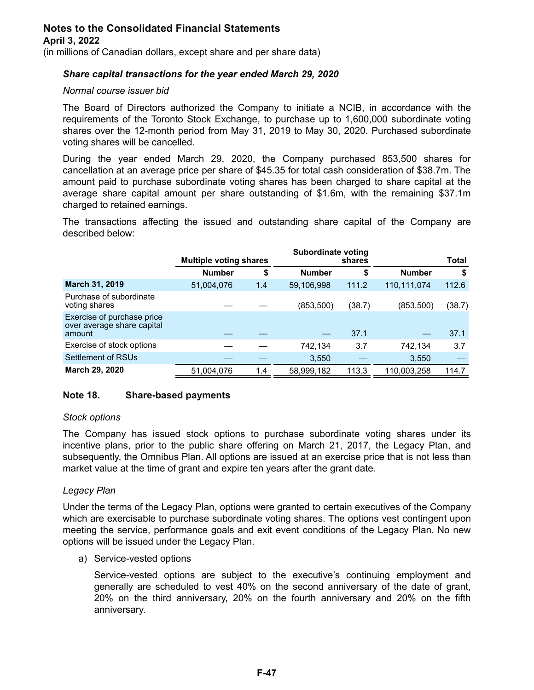(in millions of Canadian dollars, except share and per share data)

### *Share capital transactions for the year ended March 29, 2020*

### *Normal course issuer bid*

The Board of Directors authorized the Company to initiate a NCIB, in accordance with the requirements of the Toronto Stock Exchange, to purchase up to 1,600,000 subordinate voting shares over the 12-month period from May 31, 2019 to May 30, 2020. Purchased subordinate voting shares will be cancelled.

During the year ended March 29, 2020, the Company purchased 853,500 shares for cancellation at an average price per share of \$45.35 for total cash consideration of \$38.7m. The amount paid to purchase subordinate voting shares has been charged to share capital at the average share capital amount per share outstanding of \$1.6m, with the remaining \$37.1m charged to retained earnings.

The transactions affecting the issued and outstanding share capital of the Company are described below:

|                                                                    | <b>Multiple voting shares</b> |     | Subordinate voting | shares |               | Total  |
|--------------------------------------------------------------------|-------------------------------|-----|--------------------|--------|---------------|--------|
|                                                                    | <b>Number</b>                 | \$  | <b>Number</b>      | \$     | <b>Number</b> | \$     |
| March 31, 2019                                                     | 51,004,076                    | 1.4 | 59,106,998         | 111.2  | 110,111,074   | 112.6  |
| Purchase of subordinate<br>voting shares                           |                               |     | (853, 500)         | (38.7) | (853,500)     | (38.7) |
| Exercise of purchase price<br>over average share capital<br>amount |                               |     |                    | 37.1   |               | 37.1   |
| Exercise of stock options                                          |                               |     | 742,134            | 3.7    | 742,134       | 3.7    |
| Settlement of RSUs                                                 |                               |     | 3,550              |        | 3,550         |        |
| March 29, 2020                                                     | 51,004,076                    | 1.4 | 58,999,182         | 113.3  | 110,003,258   | 114.7  |

### **Note 18. Share-based payments**

#### *Stock options*

The Company has issued stock options to purchase subordinate voting shares under its incentive plans, prior to the public share offering on March 21, 2017, the Legacy Plan, and subsequently, the Omnibus Plan. All options are issued at an exercise price that is not less than market value at the time of grant and expire ten years after the grant date.

#### *Legacy Plan*

Under the terms of the Legacy Plan, options were granted to certain executives of the Company which are exercisable to purchase subordinate voting shares. The options vest contingent upon meeting the service, performance goals and exit event conditions of the Legacy Plan. No new options will be issued under the Legacy Plan.

a) Service-vested options

Service-vested options are subject to the executive's continuing employment and generally are scheduled to vest 40% on the second anniversary of the date of grant, 20% on the third anniversary, 20% on the fourth anniversary and 20% on the fifth anniversary.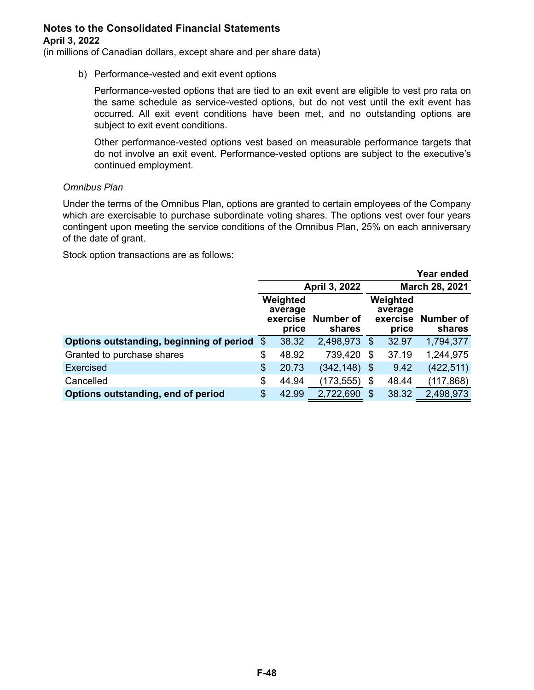(in millions of Canadian dollars, except share and per share data)

b) Performance-vested and exit event options

Performance-vested options that are tied to an exit event are eligible to vest pro rata on the same schedule as service-vested options, but do not vest until the exit event has occurred. All exit event conditions have been met, and no outstanding options are subject to exit event conditions.

Other performance-vested options vest based on measurable performance targets that do not involve an exit event. Performance-vested options are subject to the executive's continued employment.

#### *Omnibus Plan*

Under the terms of the Omnibus Plan, options are granted to certain employees of the Company which are exercisable to purchase subordinate voting shares. The options vest over four years contingent upon meeting the service conditions of the Omnibus Plan, 25% on each anniversary of the date of grant.

Stock option transactions are as follows:

| Year ended                               |                                                                        |       |                                          |    |                     |                |
|------------------------------------------|------------------------------------------------------------------------|-------|------------------------------------------|----|---------------------|----------------|
|                                          |                                                                        |       | April 3, 2022                            |    |                     | March 28, 2021 |
|                                          | Weighted<br>average<br><b>Number of</b><br>exercise<br>shares<br>price |       | Weighted<br>average<br>exercise<br>price |    | Number of<br>shares |                |
| Options outstanding, beginning of period | -\$                                                                    | 38.32 | 2,498,973                                | \$ | 32.97               | 1,794,377      |
| Granted to purchase shares               | \$                                                                     | 48.92 | 739,420                                  | \$ | 37.19               | 1,244,975      |
| Exercised                                | \$                                                                     | 20.73 | $(342, 148)$ \$                          |    | 9.42                | (422, 511)     |
| Cancelled                                | \$                                                                     | 44.94 | (173, 555)                               | \$ | 48.44               | (117, 868)     |
| Options outstanding, end of period       | \$                                                                     | 42.99 | 2,722,690                                | \$ | 38.32               | 2,498,973      |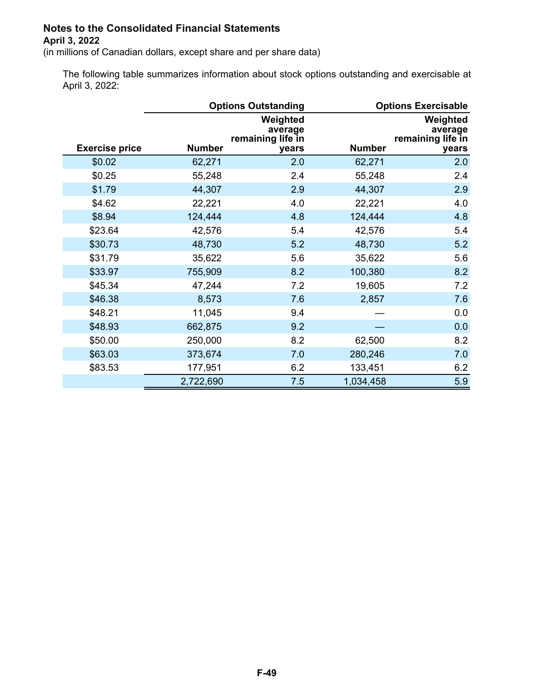(in millions of Canadian dollars, except share and per share data)

The following table summarizes information about stock options outstanding and exercisable at April 3, 2022:

|                       |               | <b>Options Outstanding</b>                        | <b>Options Exercisable</b> |                                                   |
|-----------------------|---------------|---------------------------------------------------|----------------------------|---------------------------------------------------|
| <b>Exercise price</b> | <b>Number</b> | Weighted<br>average<br>remaining life in<br>years | <b>Number</b>              | Weighted<br>average<br>remaining life in<br>years |
| \$0.02                | 62,271        | 2.0                                               | 62,271                     | 2.0                                               |
| \$0.25                | 55,248        | 2.4                                               | 55,248                     | 2.4                                               |
| \$1.79                | 44,307        | 2.9                                               | 44,307                     | 2.9                                               |
| \$4.62                | 22,221        | 4.0                                               | 22,221                     | 4.0                                               |
| \$8.94                | 124,444       | 4.8                                               | 124,444                    | 4.8                                               |
| \$23.64               | 42,576        | 5.4                                               | 42,576                     | 5.4                                               |
| \$30.73               | 48,730        | 5.2                                               | 48,730                     | 5.2                                               |
| \$31.79               | 35,622        | 5.6                                               | 35,622                     | 5.6                                               |
| \$33.97               | 755,909       | 8.2                                               | 100,380                    | 8.2                                               |
| \$45.34               | 47,244        | 7.2                                               | 19,605                     | 7.2                                               |
| \$46.38               | 8,573         | 7.6                                               | 2,857                      | 7.6                                               |
| \$48.21               | 11,045        | 9.4                                               |                            | 0.0                                               |
| \$48.93               | 662,875       | 9.2                                               |                            | 0.0                                               |
| \$50.00               | 250,000       | 8.2                                               | 62,500                     | 8.2                                               |
| \$63.03               | 373,674       | 7.0                                               | 280,246                    | 7.0                                               |
| \$83.53               | 177,951       | 6.2                                               | 133,451                    | 6.2                                               |
|                       | 2,722,690     | 7.5                                               | 1,034,458                  | 5.9                                               |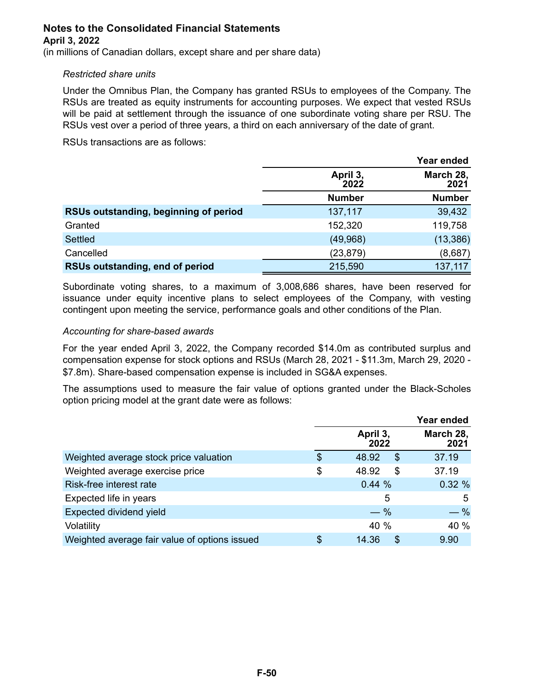(in millions of Canadian dollars, except share and per share data)

#### *Restricted share units*

Under the Omnibus Plan, the Company has granted RSUs to employees of the Company. The RSUs are treated as equity instruments for accounting purposes. We expect that vested RSUs will be paid at settlement through the issuance of one subordinate voting share per RSU. The RSUs vest over a period of three years, a third on each anniversary of the date of grant.

RSUs transactions are as follows:

|                                       | Year ended       |                   |  |
|---------------------------------------|------------------|-------------------|--|
|                                       | April 3,<br>2022 | March 28,<br>2021 |  |
|                                       | <b>Number</b>    | <b>Number</b>     |  |
| RSUs outstanding, beginning of period | 137,117          | 39,432            |  |
| Granted                               | 152,320          | 119,758           |  |
| <b>Settled</b>                        | (49,968)         | (13, 386)         |  |
| Cancelled                             | (23, 879)        | (8,687)           |  |
| RSUs outstanding, end of period       | 215,590          | 137,117           |  |

Subordinate voting shares, to a maximum of 3,008,686 shares, have been reserved for issuance under equity incentive plans to select employees of the Company, with vesting contingent upon meeting the service, performance goals and other conditions of the Plan.

### *Accounting for share-based awards*

For the year ended April 3, 2022, the Company recorded \$14.0m as contributed surplus and compensation expense for stock options and RSUs (March 28, 2021 - \$11.3m, March 29, 2020 - \$7.8m). Share-based compensation expense is included in SG&A expenses.

The assumptions used to measure the fair value of options granted under the Black-Scholes option pricing model at the grant date were as follows:

|                                               |                   | Year ended        |
|-----------------------------------------------|-------------------|-------------------|
|                                               | April 3,<br>2022  | March 28,<br>2021 |
| Weighted average stock price valuation        | \$<br>48.92<br>\$ | 37.19             |
| Weighted average exercise price               | \$<br>48.92<br>\$ | 37.19             |
| Risk-free interest rate                       | 0.44%             | 0.32%             |
| Expected life in years                        | 5                 | 5                 |
| Expected dividend yield                       | $-$ %             | $-$ %             |
| Volatility                                    | 40 %              | 40 %              |
| Weighted average fair value of options issued | \$<br>\$<br>14.36 | 9.90              |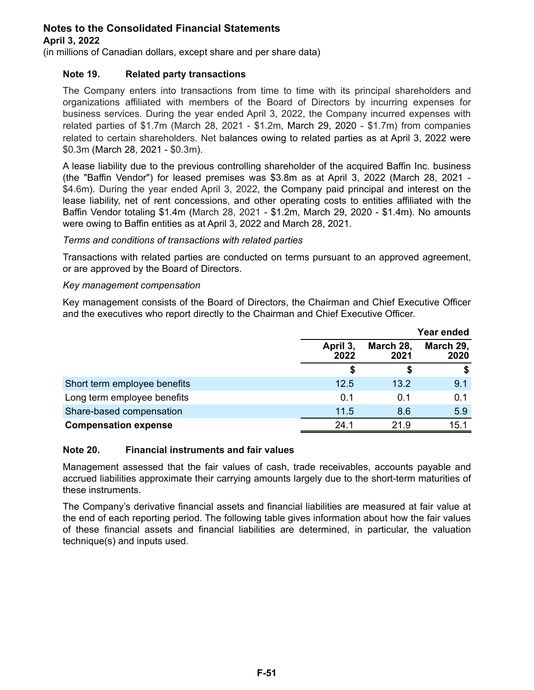(in millions of Canadian dollars, except share and per share data)

### **Note 19. Related party transactions**

The Company enters into transactions from time to time with its principal shareholders and organizations affiliated with members of the Board of Directors by incurring expenses for business services. During the year ended April 3, 2022, the Company incurred expenses with related parties of \$1.7m (March 28, 2021 - \$1.2m, March 29, 2020 - \$1.7m) from companies related to certain shareholders. Net balances owing to related parties as at April 3, 2022 were \$0.3m (March 28, 2021 - \$0.3m).

A lease liability due to the previous controlling shareholder of the acquired Baffin Inc. business (the "Baffin Vendor") for leased premises was \$3.8m as at April 3, 2022 (March 28, 2021 - \$4.6m). During the year ended April 3, 2022, the Company paid principal and interest on the lease liability, net of rent concessions, and other operating costs to entities affiliated with the Baffin Vendor totaling \$1.4m (March 28, 2021 - \$1.2m, March 29, 2020 - \$1.4m). No amounts were owing to Baffin entities as at April 3, 2022 and March 28, 2021.

#### *Terms and conditions of transactions with related parties*

Transactions with related parties are conducted on terms pursuant to an approved agreement, or are approved by the Board of Directors.

#### *Key management compensation*

Key management consists of the Board of Directors, the Chairman and Chief Executive Officer and the executives who report directly to the Chairman and Chief Executive Officer.

|                              |                  |                   | Year ended        |
|------------------------------|------------------|-------------------|-------------------|
|                              | April 3,<br>2022 | March 28,<br>2021 | March 29,<br>2020 |
|                              |                  |                   |                   |
| Short term employee benefits | 12.5             | 13.2              | 9.1               |
| Long term employee benefits  | 0.1              | 0.1               | 0.1               |
| Share-based compensation     | 11.5             | 8.6               | 5.9               |
| <b>Compensation expense</b>  | 24.1             | 21.9              | 15.1              |

#### **Note 20. Financial instruments and fair values**

Management assessed that the fair values of cash, trade receivables, accounts payable and accrued liabilities approximate their carrying amounts largely due to the short-term maturities of these instruments.

The Company's derivative financial assets and financial liabilities are measured at fair value at the end of each reporting period. The following table gives information about how the fair values of these financial assets and financial liabilities are determined, in particular, the valuation technique(s) and inputs used.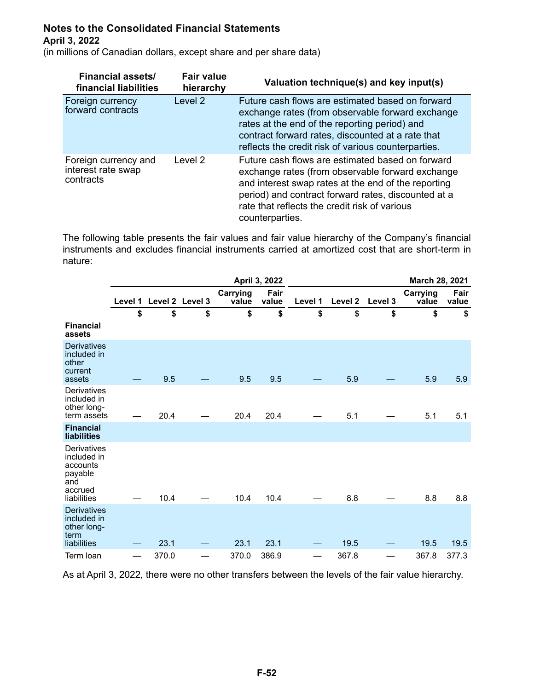(in millions of Canadian dollars, except share and per share data)

| <b>Financial assets/</b><br>financial liabilities       | <b>Fair value</b><br>hierarchy | Valuation technique(s) and key input(s)                                                                                                                                                                                                                                                |
|---------------------------------------------------------|--------------------------------|----------------------------------------------------------------------------------------------------------------------------------------------------------------------------------------------------------------------------------------------------------------------------------------|
| Foreign currency<br>forward contracts                   | Level <sub>2</sub>             | Future cash flows are estimated based on forward<br>exchange rates (from observable forward exchange<br>rates at the end of the reporting period) and<br>contract forward rates, discounted at a rate that<br>reflects the credit risk of various counterparties.                      |
| Foreign currency and<br>interest rate swap<br>contracts | Level 2                        | Future cash flows are estimated based on forward<br>exchange rates (from observable forward exchange<br>and interest swap rates at the end of the reporting<br>period) and contract forward rates, discounted at a<br>rate that reflects the credit risk of various<br>counterparties. |

The following table presents the fair values and fair value hierarchy of the Company's financial instruments and excludes financial instruments carried at amortized cost that are short-term in nature:

|                                                                                    |         |       |                 |                   | April 3, 2022 |         |                    |         | March 28, 2021    |               |
|------------------------------------------------------------------------------------|---------|-------|-----------------|-------------------|---------------|---------|--------------------|---------|-------------------|---------------|
|                                                                                    | Level 1 |       | Level 2 Level 3 | Carrying<br>value | Fair<br>value | Level 1 | Level <sub>2</sub> | Level 3 | Carrying<br>value | Fair<br>value |
|                                                                                    | \$      | \$    | \$              | \$                | \$            | \$      | \$                 | \$      | \$                | \$            |
| <b>Financial</b><br>assets                                                         |         |       |                 |                   |               |         |                    |         |                   |               |
| <b>Derivatives</b><br>included in<br>other<br>current                              |         |       |                 |                   |               |         |                    |         |                   |               |
| assets                                                                             |         | 9.5   |                 | 9.5               | 9.5           |         | 5.9                |         | 5.9               | 5.9           |
| Derivatives<br>included in<br>other long-<br>term assets                           |         | 20.4  |                 | 20.4              | 20.4          |         | 5.1                |         | 5.1               | 5.1           |
| <b>Financial</b><br><b>liabilities</b>                                             |         |       |                 |                   |               |         |                    |         |                   |               |
| Derivatives<br>included in<br>accounts<br>payable<br>and<br>accrued<br>liabilities |         | 10.4  |                 | 10.4              | 10.4          |         | 8.8                |         | 8.8               | 8.8           |
| <b>Derivatives</b><br>included in<br>other long-<br>term<br>liabilities            |         | 23.1  |                 | 23.1              | 23.1          |         | 19.5               |         | 19.5              | 19.5          |
| Term loan                                                                          |         | 370.0 |                 | 370.0             | 386.9         |         | 367.8              |         | 367.8             | 377.3         |

As at April 3, 2022, there were no other transfers between the levels of the fair value hierarchy.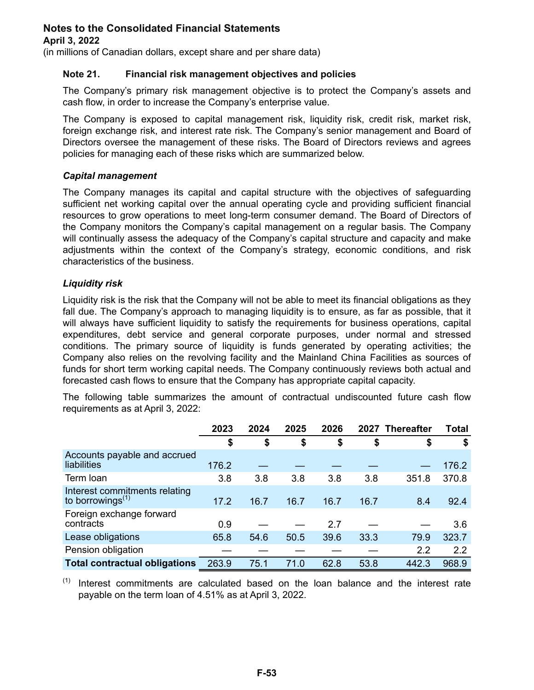(in millions of Canadian dollars, except share and per share data)

### **Note 21. Financial risk management objectives and policies**

The Company's primary risk management objective is to protect the Company's assets and cash flow, in order to increase the Company's enterprise value.

The Company is exposed to capital management risk, liquidity risk, credit risk, market risk, foreign exchange risk, and interest rate risk. The Company's senior management and Board of Directors oversee the management of these risks. The Board of Directors reviews and agrees policies for managing each of these risks which are summarized below.

### *Capital management*

The Company manages its capital and capital structure with the objectives of safeguarding sufficient net working capital over the annual operating cycle and providing sufficient financial resources to grow operations to meet long-term consumer demand. The Board of Directors of the Company monitors the Company's capital management on a regular basis. The Company will continually assess the adequacy of the Company's capital structure and capacity and make adjustments within the context of the Company's strategy, economic conditions, and risk characteristics of the business.

### *Liquidity risk*

Liquidity risk is the risk that the Company will not be able to meet its financial obligations as they fall due. The Company's approach to managing liquidity is to ensure, as far as possible, that it will always have sufficient liquidity to satisfy the requirements for business operations, capital expenditures, debt service and general corporate purposes, under normal and stressed conditions. The primary source of liquidity is funds generated by operating activities; the Company also relies on the revolving facility and the Mainland China Facilities as sources of funds for short term working capital needs. The Company continuously reviews both actual and forecasted cash flows to ensure that the Company has appropriate capital capacity.

The following table summarizes the amount of contractual undiscounted future cash flow requirements as at April 3, 2022:

|                                                         | 2023  | 2024 | 2025 | 2026 | 2027 Thereafter |       | <b>Total</b> |
|---------------------------------------------------------|-------|------|------|------|-----------------|-------|--------------|
|                                                         | \$    | \$   | \$   | \$   | \$              | \$    | \$           |
| Accounts payable and accrued<br>liabilities             | 176.2 |      |      |      |                 |       | 176.2        |
| Term Ioan                                               | 3.8   | 3.8  | 3.8  | 3.8  | 3.8             | 351.8 | 370.8        |
| Interest commitments relating<br>to borrowings $^{(1)}$ | 17.2  | 16.7 | 16.7 | 16.7 | 16.7            | 8.4   | 92.4         |
| Foreign exchange forward<br>contracts                   | 0.9   |      |      | 2.7  |                 |       | 3.6          |
| Lease obligations                                       | 65.8  | 54.6 | 50.5 | 39.6 | 33.3            | 79.9  | 323.7        |
| Pension obligation                                      |       |      |      |      |                 | 2.2   | 2.2          |
| <b>Total contractual obligations</b>                    | 263.9 | 75.1 | 71.0 | 62.8 | 53.8            | 442.3 | 968.9        |

 $(1)$  Interest commitments are calculated based on the loan balance and the interest rate payable on the term loan of 4.51% as at April 3, 2022.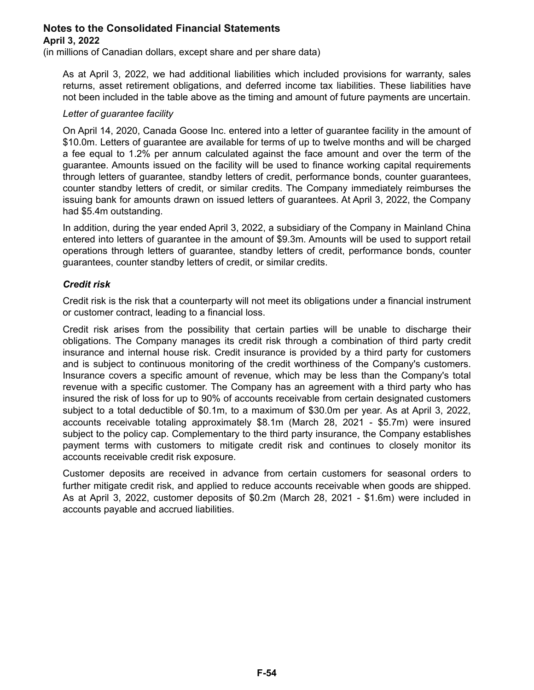(in millions of Canadian dollars, except share and per share data)

As at April 3, 2022, we had additional liabilities which included provisions for warranty, sales returns, asset retirement obligations, and deferred income tax liabilities. These liabilities have not been included in the table above as the timing and amount of future payments are uncertain.

#### *Letter of guarantee facility*

On April 14, 2020, Canada Goose Inc. entered into a letter of guarantee facility in the amount of \$10.0m. Letters of guarantee are available for terms of up to twelve months and will be charged a fee equal to 1.2% per annum calculated against the face amount and over the term of the guarantee. Amounts issued on the facility will be used to finance working capital requirements through letters of guarantee, standby letters of credit, performance bonds, counter guarantees, counter standby letters of credit, or similar credits. The Company immediately reimburses the issuing bank for amounts drawn on issued letters of guarantees. At April 3, 2022, the Company had \$5.4m outstanding.

In addition, during the year ended April 3, 2022, a subsidiary of the Company in Mainland China entered into letters of guarantee in the amount of \$9.3m. Amounts will be used to support retail operations through letters of guarantee, standby letters of credit, performance bonds, counter guarantees, counter standby letters of credit, or similar credits.

### *Credit risk*

Credit risk is the risk that a counterparty will not meet its obligations under a financial instrument or customer contract, leading to a financial loss.

Credit risk arises from the possibility that certain parties will be unable to discharge their obligations. The Company manages its credit risk through a combination of third party credit insurance and internal house risk. Credit insurance is provided by a third party for customers and is subject to continuous monitoring of the credit worthiness of the Company's customers. Insurance covers a specific amount of revenue, which may be less than the Company's total revenue with a specific customer. The Company has an agreement with a third party who has insured the risk of loss for up to 90% of accounts receivable from certain designated customers subject to a total deductible of \$0.1m, to a maximum of \$30.0m per year. As at April 3, 2022, accounts receivable totaling approximately \$8.1m (March 28, 2021 - \$5.7m) were insured subject to the policy cap. Complementary to the third party insurance, the Company establishes payment terms with customers to mitigate credit risk and continues to closely monitor its accounts receivable credit risk exposure.

Customer deposits are received in advance from certain customers for seasonal orders to further mitigate credit risk, and applied to reduce accounts receivable when goods are shipped. As at April 3, 2022, customer deposits of \$0.2m (March 28, 2021 - \$1.6m) were included in accounts payable and accrued liabilities.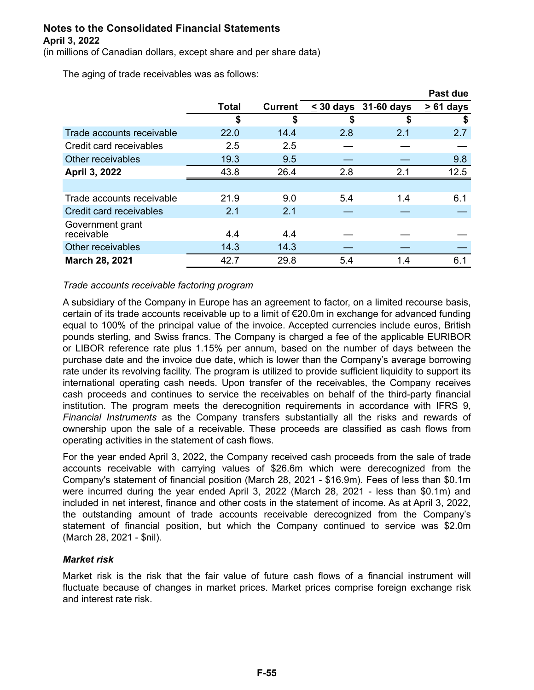(in millions of Canadian dollars, except share and per share data)

The aging of trade receivables was as follows:

|                                |       |                |                |            | Past due       |
|--------------------------------|-------|----------------|----------------|------------|----------------|
|                                | Total | <b>Current</b> | $\leq$ 30 days | 31-60 days | $\geq 61$ days |
|                                | \$    | \$             | \$             |            | S              |
| Trade accounts receivable      | 22.0  | 14.4           | 2.8            | 2.1        | 2.7            |
| Credit card receivables        | 2.5   | 2.5            |                |            |                |
| Other receivables              | 19.3  | 9.5            |                |            | 9.8            |
| April 3, 2022                  | 43.8  | 26.4           | 2.8            | 2.1        | 12.5           |
|                                |       |                |                |            |                |
| Trade accounts receivable      | 21.9  | 9.0            | 5.4            | 1.4        | 6.1            |
| Credit card receivables        | 2.1   | 2.1            |                |            |                |
| Government grant<br>receivable | 4.4   | 4.4            |                |            |                |
| Other receivables              | 14.3  | 14.3           |                |            |                |
| <b>March 28, 2021</b>          | 42.7  | 29.8           | 5.4            | 1.4        | 6.1            |

### *Trade accounts receivable factoring program*

A subsidiary of the Company in Europe has an agreement to factor, on a limited recourse basis, certain of its trade accounts receivable up to a limit of €20.0m in exchange for advanced funding equal to 100% of the principal value of the invoice. Accepted currencies include euros, British pounds sterling, and Swiss francs. The Company is charged a fee of the applicable EURIBOR or LIBOR reference rate plus 1.15% per annum, based on the number of days between the purchase date and the invoice due date, which is lower than the Company's average borrowing rate under its revolving facility. The program is utilized to provide sufficient liquidity to support its international operating cash needs. Upon transfer of the receivables, the Company receives cash proceeds and continues to service the receivables on behalf of the third-party financial institution. The program meets the derecognition requirements in accordance with IFRS 9, *Financial Instruments* as the Company transfers substantially all the risks and rewards of ownership upon the sale of a receivable. These proceeds are classified as cash flows from operating activities in the statement of cash flows.

For the year ended April 3, 2022, the Company received cash proceeds from the sale of trade accounts receivable with carrying values of \$26.6m which were derecognized from the Company's statement of financial position (March 28, 2021 - \$16.9m). Fees of less than \$0.1m were incurred during the year ended April 3, 2022 (March 28, 2021 - less than \$0.1m) and included in net interest, finance and other costs in the statement of income. As at April 3, 2022, the outstanding amount of trade accounts receivable derecognized from the Company's statement of financial position, but which the Company continued to service was \$2.0m (March 28, 2021 - \$nil).

### *Market risk*

Market risk is the risk that the fair value of future cash flows of a financial instrument will fluctuate because of changes in market prices. Market prices comprise foreign exchange risk and interest rate risk.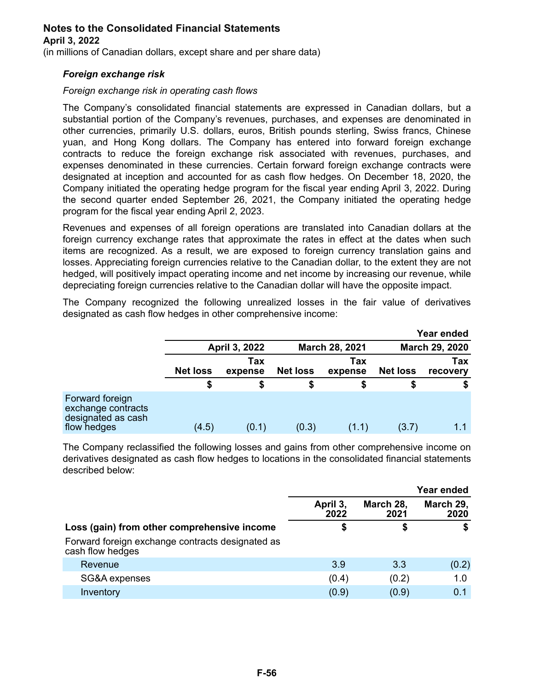#### **April 3, 2022**

(in millions of Canadian dollars, except share and per share data)

### *Foreign exchange risk*

### *Foreign exchange risk in operating cash flows*

The Company's consolidated financial statements are expressed in Canadian dollars, but a substantial portion of the Company's revenues, purchases, and expenses are denominated in other currencies, primarily U.S. dollars, euros, British pounds sterling, Swiss francs, Chinese yuan, and Hong Kong dollars. The Company has entered into forward foreign exchange contracts to reduce the foreign exchange risk associated with revenues, purchases, and expenses denominated in these currencies. Certain forward foreign exchange contracts were designated at inception and accounted for as cash flow hedges. On December 18, 2020, the Company initiated the operating hedge program for the fiscal year ending April 3, 2022. During the second quarter ended September 26, 2021, the Company initiated the operating hedge program for the fiscal year ending April 2, 2023.

Revenues and expenses of all foreign operations are translated into Canadian dollars at the foreign currency exchange rates that approximate the rates in effect at the dates when such items are recognized. As a result, we are exposed to foreign currency translation gains and losses. Appreciating foreign currencies relative to the Canadian dollar, to the extent they are not hedged, will positively impact operating income and net income by increasing our revenue, while depreciating foreign currencies relative to the Canadian dollar will have the opposite impact.

The Company recognized the following unrealized losses in the fair value of derivatives designated as cash flow hedges in other comprehensive income:

|                                                                            |                 |                |                 |                       |                 | Year ended      |
|----------------------------------------------------------------------------|-----------------|----------------|-----------------|-----------------------|-----------------|-----------------|
|                                                                            |                 | April 3, 2022  |                 | <b>March 28, 2021</b> |                 | March 29, 2020  |
|                                                                            | <b>Net loss</b> | Tax<br>expense | <b>Net loss</b> | Tax<br>expense        | <b>Net loss</b> | Tax<br>recovery |
|                                                                            |                 |                |                 |                       |                 |                 |
| Forward foreign<br>exchange contracts<br>designated as cash<br>flow hedges | (4.5)           | (0.1)          | (0.3)           | (1.1)                 | (3.7)           |                 |

The Company reclassified the following losses and gains from other comprehensive income on derivatives designated as cash flow hedges to locations in the consolidated financial statements described below:

|                                                                      |                  |                   | <b>Year ended</b> |
|----------------------------------------------------------------------|------------------|-------------------|-------------------|
|                                                                      | April 3,<br>2022 | March 28,<br>2021 | March 29,<br>2020 |
| Loss (gain) from other comprehensive income                          | \$               | S                 | S                 |
| Forward foreign exchange contracts designated as<br>cash flow hedges |                  |                   |                   |
| Revenue                                                              | 3.9              | 3.3               | (0.2)             |
| SG&A expenses                                                        | (0.4)            | (0.2)             | 1.0               |
| Inventory                                                            | (0.9)            | (0.9)             | 0.1               |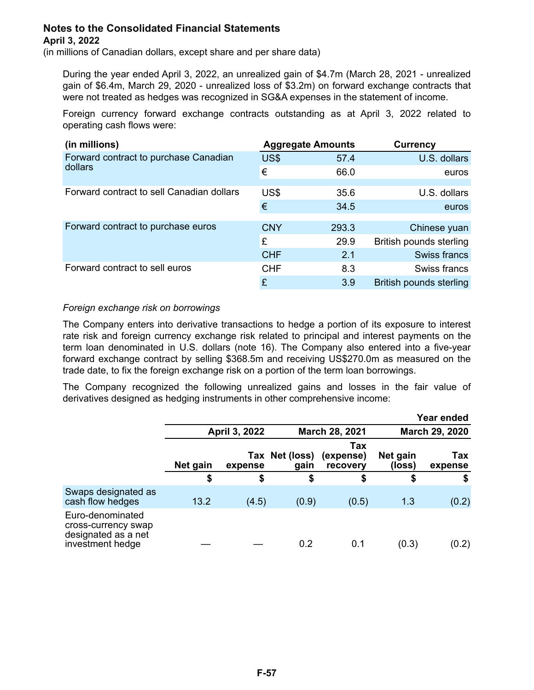(in millions of Canadian dollars, except share and per share data)

During the year ended April 3, 2022, an unrealized gain of \$4.7m (March 28, 2021 - unrealized gain of \$6.4m, March 29, 2020 - unrealized loss of \$3.2m) on forward exchange contracts that were not treated as hedges was recognized in SG&A expenses in the statement of income.

Foreign currency forward exchange contracts outstanding as at April 3, 2022 related to operating cash flows were:

| (in millions)                             |            | <b>Aggregate Amounts</b> | <b>Currency</b>         |
|-------------------------------------------|------------|--------------------------|-------------------------|
| Forward contract to purchase Canadian     | US\$       | 57.4                     | U.S. dollars            |
| dollars                                   | €          | 66.0                     | euros                   |
| Forward contract to sell Canadian dollars | US\$       | 35.6                     | U.S. dollars            |
|                                           | €          | 34.5                     | euros                   |
| Forward contract to purchase euros        | <b>CNY</b> | 293.3                    | Chinese yuan            |
|                                           | £          | 29.9                     | British pounds sterling |
|                                           | <b>CHF</b> | 2.1                      | Swiss francs            |
| Forward contract to sell euros            | <b>CHF</b> | 8.3                      | Swiss francs            |
|                                           | £          | 3.9                      | British pounds sterling |

### *Foreign exchange risk on borrowings*

The Company enters into derivative transactions to hedge a portion of its exposure to interest rate risk and foreign currency exchange risk related to principal and interest payments on the term loan denominated in U.S. dollars (note 16). The Company also entered into a five-year forward exchange contract by selling \$368.5m and receiving US\$270.0m as measured on the trade date, to fix the foreign exchange risk on a portion of the term loan borrowings.

The Company recognized the following unrealized gains and losses in the fair value of derivatives designed as hedging instruments in other comprehensive income:

|                                                                                    |          |               |                        |                              |                    | Year ended     |
|------------------------------------------------------------------------------------|----------|---------------|------------------------|------------------------------|--------------------|----------------|
|                                                                                    |          | April 3, 2022 |                        | <b>March 28, 2021</b>        | March 29, 2020     |                |
|                                                                                    | Net gain | expense       | Tax Net (loss)<br>gain | Tax<br>(expense)<br>recovery | Net gain<br>(loss) | Tax<br>expense |
|                                                                                    | \$       | \$            | \$                     | \$                           | \$                 | \$             |
| Swaps designated as<br>cash flow hedges                                            | 13.2     | (4.5)         | (0.9)                  | (0.5)                        | 1.3                | (0.2)          |
| Euro-denominated<br>cross-currency swap<br>designated as a net<br>investment hedge |          |               | 0.2                    | 0.1                          | (0.3)              | (0.2)          |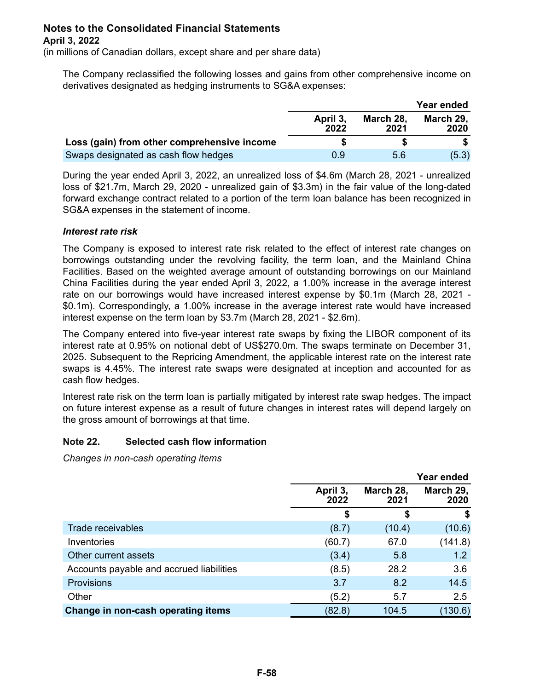(in millions of Canadian dollars, except share and per share data)

The Company reclassified the following losses and gains from other comprehensive income on derivatives designated as hedging instruments to SG&A expenses:

|                                             |                  |                   | Year ended        |
|---------------------------------------------|------------------|-------------------|-------------------|
|                                             | April 3.<br>2022 | March 28,<br>2021 | March 29,<br>2020 |
| Loss (gain) from other comprehensive income |                  |                   |                   |
| Swaps designated as cash flow hedges        | 0.9              | 5.6               | (5.3)             |

During the year ended April 3, 2022, an unrealized loss of \$4.6m (March 28, 2021 - unrealized loss of \$21.7m, March 29, 2020 - unrealized gain of \$3.3m) in the fair value of the long-dated forward exchange contract related to a portion of the term loan balance has been recognized in SG&A expenses in the statement of income.

### *Interest rate risk*

The Company is exposed to interest rate risk related to the effect of interest rate changes on borrowings outstanding under the revolving facility, the term loan, and the Mainland China Facilities. Based on the weighted average amount of outstanding borrowings on our Mainland China Facilities during the year ended April 3, 2022, a 1.00% increase in the average interest rate on our borrowings would have increased interest expense by \$0.1m (March 28, 2021 - \$0.1m). Correspondingly, a 1.00% increase in the average interest rate would have increased interest expense on the term loan by \$3.7m (March 28, 2021 - \$2.6m).

The Company entered into five-year interest rate swaps by fixing the LIBOR component of its interest rate at 0.95% on notional debt of US\$270.0m. The swaps terminate on December 31, 2025. Subsequent to the Repricing Amendment, the applicable interest rate on the interest rate swaps is 4.45%. The interest rate swaps were designated at inception and accounted for as cash flow hedges.

Interest rate risk on the term loan is partially mitigated by interest rate swap hedges. The impact on future interest expense as a result of future changes in interest rates will depend largely on the gross amount of borrowings at that time.

### **Note 22. Selected cash flow information**

*Changes in non-cash operating items*

|                                          |                  |                   | Year ended        |
|------------------------------------------|------------------|-------------------|-------------------|
|                                          | April 3,<br>2022 | March 28,<br>2021 | March 29,<br>2020 |
|                                          | \$               | \$                | S                 |
| Trade receivables                        | (8.7)            | (10.4)            | (10.6)            |
| Inventories                              | (60.7)           | 67.0              | (141.8)           |
| Other current assets                     | (3.4)            | 5.8               | 1.2               |
| Accounts payable and accrued liabilities | (8.5)            | 28.2              | 3.6               |
| <b>Provisions</b>                        | 3.7              | 8.2               | 14.5              |
| Other                                    | (5.2)            | 5.7               | 2.5               |
| Change in non-cash operating items       | (82.8)           | 104.5             | (130.6)           |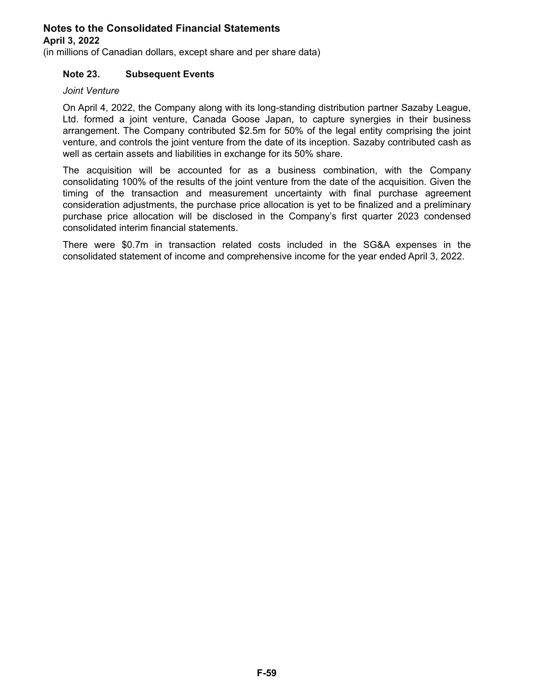(in millions of Canadian dollars, except share and per share data)

### **Note 23. Subsequent Events**

### *Joint Venture*

On April 4, 2022, the Company along with its long-standing distribution partner Sazaby League, Ltd. formed a joint venture, Canada Goose Japan, to capture synergies in their business arrangement. The Company contributed \$2.5m for 50% of the legal entity comprising the joint venture, and controls the joint venture from the date of its inception. Sazaby contributed cash as well as certain assets and liabilities in exchange for its 50% share.

The acquisition will be accounted for as a business combination, with the Company consolidating 100% of the results of the joint venture from the date of the acquisition. Given the timing of the transaction and measurement uncertainty with final purchase agreement consideration adjustments, the purchase price allocation is yet to be finalized and a preliminary purchase price allocation will be disclosed in the Company's first quarter 2023 condensed consolidated interim financial statements.

There were \$0.7m in transaction related costs included in the SG&A expenses in the consolidated statement of income and comprehensive income for the year ended April 3, 2022.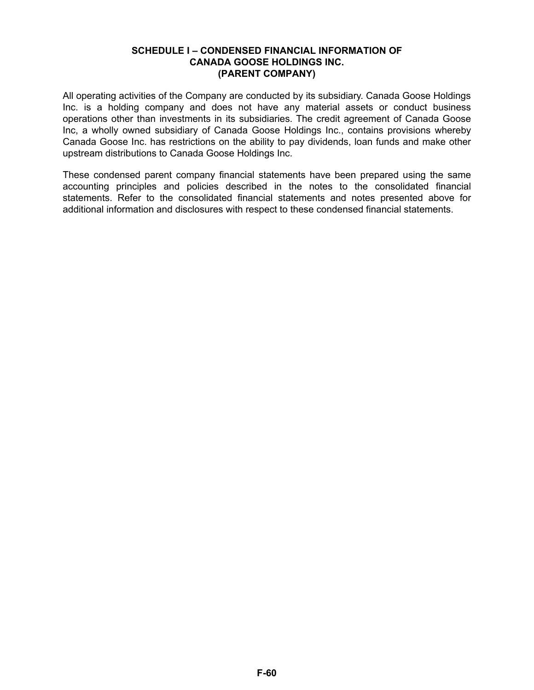### **SCHEDULE I – CONDENSED FINANCIAL INFORMATION OF CANADA GOOSE HOLDINGS INC. (PARENT COMPANY)**

All operating activities of the Company are conducted by its subsidiary. Canada Goose Holdings Inc. is a holding company and does not have any material assets or conduct business operations other than investments in its subsidiaries. The credit agreement of Canada Goose Inc, a wholly owned subsidiary of Canada Goose Holdings Inc., contains provisions whereby Canada Goose Inc. has restrictions on the ability to pay dividends, loan funds and make other upstream distributions to Canada Goose Holdings Inc.

These condensed parent company financial statements have been prepared using the same accounting principles and policies described in the notes to the consolidated financial statements. Refer to the consolidated financial statements and notes presented above for additional information and disclosures with respect to these condensed financial statements.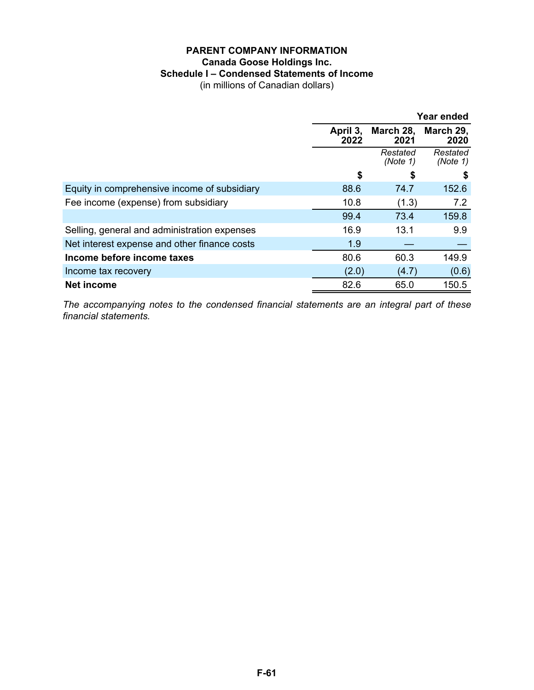### **PARENT COMPANY INFORMATION Canada Goose Holdings Inc. Schedule I – Condensed Statements of Income**

(in millions of Canadian dollars)

|                                              |                  |                      | Year ended           |
|----------------------------------------------|------------------|----------------------|----------------------|
|                                              | April 3,<br>2022 | March 28,<br>2021    | March 29,<br>2020    |
|                                              |                  | Restated<br>(Note 1) | Restated<br>(Note 1) |
|                                              | \$               | S                    | 5                    |
| Equity in comprehensive income of subsidiary | 88.6             | 74.7                 | 152.6                |
| Fee income (expense) from subsidiary         | 10.8             | (1.3)                | 7.2                  |
|                                              | 99.4             | 73.4                 | 159.8                |
| Selling, general and administration expenses | 16.9             | 13.1                 | 9.9                  |
| Net interest expense and other finance costs | 1.9              |                      |                      |
| Income before income taxes                   | 80.6             | 60.3                 | 149.9                |
| Income tax recovery                          | (2.0)            | (4.7)                | (0.6)                |
| <b>Net income</b>                            | 82.6             | 65.0                 | 150.5                |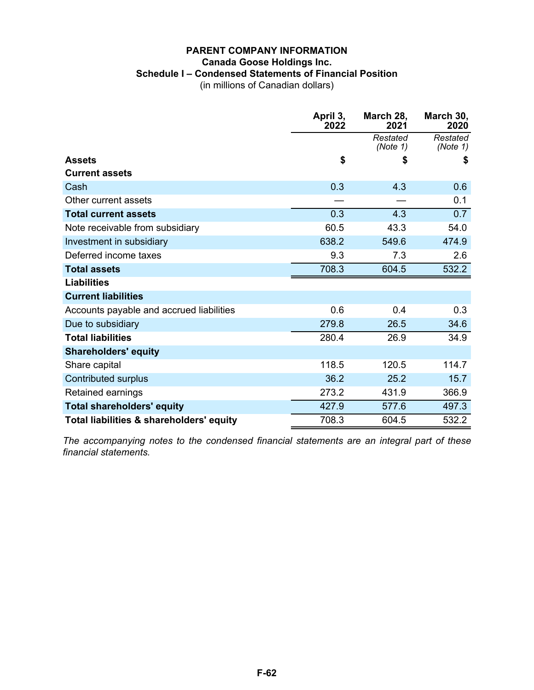### **PARENT COMPANY INFORMATION Canada Goose Holdings Inc. Schedule I – Condensed Statements of Financial Position**

(in millions of Canadian dollars)

|                                          | April 3,<br>2022 | March 28,<br>2021    | March 30,<br>2020    |
|------------------------------------------|------------------|----------------------|----------------------|
|                                          |                  | Restated<br>(Note 1) | Restated<br>(Note 1) |
| <b>Assets</b>                            | \$               | \$                   | \$                   |
| <b>Current assets</b>                    |                  |                      |                      |
| Cash                                     | 0.3              | 4.3                  | 0.6                  |
| Other current assets                     |                  |                      | 0.1                  |
| <b>Total current assets</b>              | 0.3              | 4.3                  | 0.7                  |
| Note receivable from subsidiary          | 60.5             | 43.3                 | 54.0                 |
| Investment in subsidiary                 | 638.2            | 549.6                | 474.9                |
| Deferred income taxes                    | 9.3              | 7.3                  | 2.6                  |
| <b>Total assets</b>                      | 708.3            | 604.5                | 532.2                |
| <b>Liabilities</b>                       |                  |                      |                      |
| <b>Current liabilities</b>               |                  |                      |                      |
| Accounts payable and accrued liabilities | 0.6              | 0.4                  | 0.3                  |
| Due to subsidiary                        | 279.8            | 26.5                 | 34.6                 |
| <b>Total liabilities</b>                 | 280.4            | 26.9                 | 34.9                 |
| <b>Shareholders' equity</b>              |                  |                      |                      |
| Share capital                            | 118.5            | 120.5                | 114.7                |
| Contributed surplus                      | 36.2             | 25.2                 | 15.7                 |
| Retained earnings                        | 273.2            | 431.9                | 366.9                |
| <b>Total shareholders' equity</b>        | 427.9            | 577.6                | 497.3                |
| Total liabilities & shareholders' equity | 708.3            | 604.5                | 532.2                |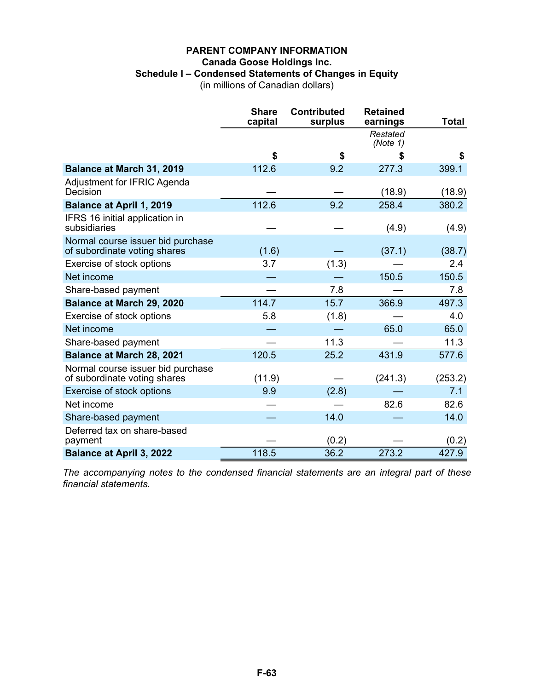### **PARENT COMPANY INFORMATION Canada Goose Holdings Inc. Schedule I – Condensed Statements of Changes in Equity**

(in millions of Canadian dollars)

|                                                                   | <b>Share</b><br>capital | <b>Contributed</b><br>surplus | <b>Retained</b><br>earnings | <b>Total</b> |
|-------------------------------------------------------------------|-------------------------|-------------------------------|-----------------------------|--------------|
|                                                                   |                         |                               | Restated<br>(Note 1)        |              |
|                                                                   | \$                      | \$                            | \$                          | \$           |
| <b>Balance at March 31, 2019</b>                                  | 112.6                   | 9.2                           | 277.3                       | 399.1        |
| Adjustment for IFRIC Agenda<br>Decision                           |                         |                               | (18.9)                      | (18.9)       |
| <b>Balance at April 1, 2019</b>                                   | 112.6                   | 9.2                           | 258.4                       | 380.2        |
| IFRS 16 initial application in<br>subsidiaries                    |                         |                               | (4.9)                       | (4.9)        |
| Normal course issuer bid purchase<br>of subordinate voting shares | (1.6)                   |                               | (37.1)                      | (38.7)       |
| Exercise of stock options                                         | 3.7                     | (1.3)                         |                             | 2.4          |
| Net income                                                        |                         |                               | 150.5                       | 150.5        |
| Share-based payment                                               |                         | 7.8                           |                             | 7.8          |
| <b>Balance at March 29, 2020</b>                                  | 114.7                   | 15.7                          | 366.9                       | 497.3        |
| Exercise of stock options                                         | 5.8                     | (1.8)                         |                             | 4.0          |
| Net income                                                        |                         |                               | 65.0                        | 65.0         |
| Share-based payment                                               |                         | 11.3                          |                             | 11.3         |
| <b>Balance at March 28, 2021</b>                                  | 120.5                   | 25.2                          | 431.9                       | 577.6        |
| Normal course issuer bid purchase<br>of subordinate voting shares | (11.9)                  |                               | (241.3)                     | (253.2)      |
| Exercise of stock options                                         | 9.9                     | (2.8)                         |                             | 7.1          |
| Net income                                                        |                         |                               | 82.6                        | 82.6         |
| Share-based payment                                               |                         | 14.0                          |                             | 14.0         |
| Deferred tax on share-based<br>payment                            |                         | (0.2)                         |                             | (0.2)        |
| <b>Balance at April 3, 2022</b>                                   | 118.5                   | 36.2                          | 273.2                       | 427.9        |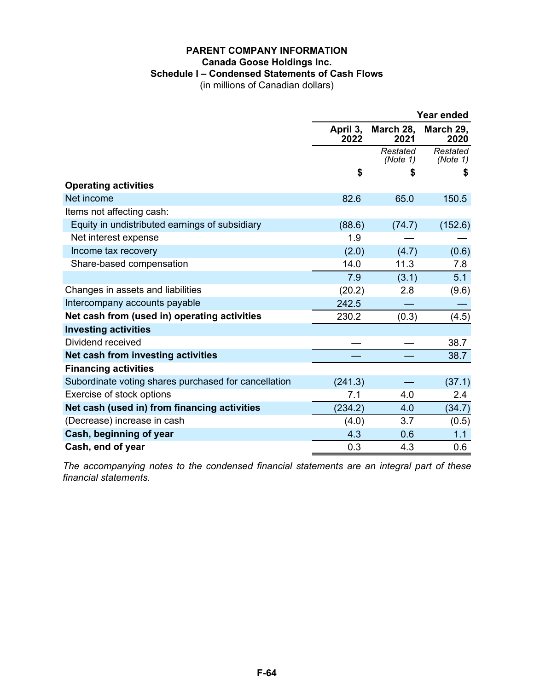### **PARENT COMPANY INFORMATION Canada Goose Holdings Inc. Schedule I – Condensed Statements of Cash Flows**

(in millions of Canadian dollars)

|                                                      | <b>Year ended</b> |                      |                      |  |
|------------------------------------------------------|-------------------|----------------------|----------------------|--|
|                                                      | April 3,<br>2022  | March 28,<br>2021    | March 29,<br>2020    |  |
|                                                      |                   | Restated<br>(Note 1) | Restated<br>(Note 1) |  |
|                                                      | \$                | \$                   | \$                   |  |
| <b>Operating activities</b>                          |                   |                      |                      |  |
| Net income                                           | 82.6              | 65.0                 | 150.5                |  |
| Items not affecting cash:                            |                   |                      |                      |  |
| Equity in undistributed earnings of subsidiary       | (88.6)            | (74.7)               | (152.6)              |  |
| Net interest expense                                 | 1.9               |                      |                      |  |
| Income tax recovery                                  | (2.0)             | (4.7)                | (0.6)                |  |
| Share-based compensation                             | 14.0              | 11.3                 | 7.8                  |  |
|                                                      | 7.9               | (3.1)                | 5.1                  |  |
| Changes in assets and liabilities                    | (20.2)            | 2.8                  | (9.6)                |  |
| Intercompany accounts payable                        | 242.5             |                      |                      |  |
| Net cash from (used in) operating activities         | 230.2             | (0.3)                | (4.5)                |  |
| <b>Investing activities</b>                          |                   |                      |                      |  |
| Dividend received                                    |                   |                      | 38.7                 |  |
| Net cash from investing activities                   |                   |                      | 38.7                 |  |
| <b>Financing activities</b>                          |                   |                      |                      |  |
| Subordinate voting shares purchased for cancellation | (241.3)           |                      | (37.1)               |  |
| Exercise of stock options                            | 7.1               | 4.0                  | 2.4                  |  |
| Net cash (used in) from financing activities         | (234.2)           | 4.0                  | (34.7)               |  |
| (Decrease) increase in cash                          | (4.0)             | 3.7                  | (0.5)                |  |
| Cash, beginning of year                              | 4.3               | 0.6                  | 1.1                  |  |
| Cash, end of year                                    | 0.3               | 4.3                  | 0.6                  |  |